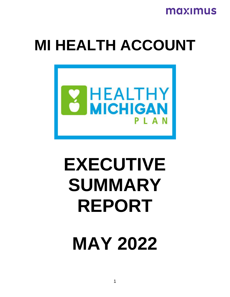

# **MI HEALTH ACCOUNT**



# **EXECUTIVE SUMMARY REPORT**

**MAY 2022**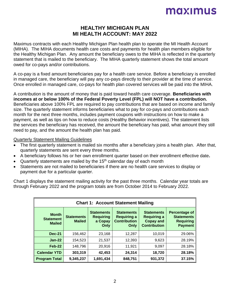#### **HEALTHY MICHIGAN PLAN MI HEALTH ACCOUNT: MAY 2022**

Maximus contracts with each Healthy Michigan Plan health plan to operate the MI Health Account (MIHA). The MIHA documents health care costs and payments for health plan members eligible for the Healthy Michigan Plan. Any amount the beneficiary owes to the MIHA is reflected in the quarterly statement that is mailed to the beneficiary. The MIHA quarterly statement shows the total amount owed for co-pays and/or contributions.

A co-pay is a fixed amount beneficiaries pay for a health care service. Before a beneficiary is enrolled in managed care, the beneficiary will pay any co-pays directly to their provider at the time of service. Once enrolled in managed care, co-pays for health plan covered services will be paid into the MIHA.

A contribution is the amount of money that is paid toward health care coverage. **Beneficiaries with incomes at or below 100% of the Federal Poverty Level (FPL) will NOT have a contribution.** Beneficiaries above 100% FPL are required to pay contributions that are based on income and family size. The quarterly statement informs beneficiaries what to pay for co-pays and contributions each month for the next three months, includes payment coupons with instructions on how to make a payment, as well as tips on how to reduce costs (Healthy Behavior incentives). The statement lists the services the beneficiary has received, the amount the beneficiary has paid, what amount they still need to pay, and the amount the health plan has paid.

#### Quarterly Statement Mailing Guidelines

- The first quarterly statement is mailed six months after a beneficiary joins a health plan. After that, quarterly statements are sent every three months.
- A beneficiary follows his or her own enrollment quarter based on their enrollment effective date**.**
- Quarterly statements are mailed by the  $15<sup>th</sup>$  calendar day of each month
- Statements are not mailed to beneficiaries if there are no health care services to display or payment due for a particular quarter.

Chart 1 displays the statement mailing activity for the past three months. Calendar year totals are through February 2022 and the program totals are from October 2014 to February 2022.

| <b>Chart 1: Account Statement Mailing</b>         |                                    |                                                          |                                                                        |                                                                                    |                                                                                 |  |
|---------------------------------------------------|------------------------------------|----------------------------------------------------------|------------------------------------------------------------------------|------------------------------------------------------------------------------------|---------------------------------------------------------------------------------|--|
| <b>Month</b><br><b>Statement</b><br><b>Mailed</b> | <b>Statements</b><br><b>Mailed</b> | <b>Statements</b><br><b>Requiring</b><br>a Copay<br>Only | <b>Statements</b><br><b>Requiring a</b><br><b>Contribution</b><br>Only | <b>Statements</b><br><b>Requiring a</b><br><b>Copay and</b><br><b>Contribution</b> | <b>Percentage of</b><br><b>Statements</b><br><b>Requiring</b><br><b>Payment</b> |  |
| <b>Dec-21</b>                                     | 156,462                            | 23,168                                                   | 12,287                                                                 | 10,019                                                                             | 29.06%                                                                          |  |
| $Jan-22$                                          | 154,523                            | 21,537                                                   | 12,393                                                                 | 9,623                                                                              | 28.19%                                                                          |  |
| Feb-22                                            | 148,796                            | 20,916                                                   | 11,921                                                                 | 9,097                                                                              | 28.18%                                                                          |  |
| <b>Calendar YTD</b>                               | 303,319                            | 42,453                                                   | 24,314                                                                 | 18,720                                                                             | 28.18%                                                                          |  |
| <b>Program Total</b>                              | 9,345,237                          | 1,691,434                                                | 848,751                                                                | 931,372                                                                            | 37.15%                                                                          |  |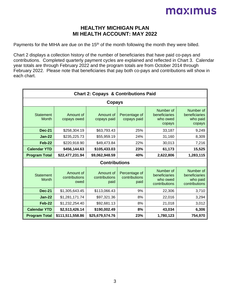#### **HEALTHY MICHIGAN PLAN MI HEALTH ACCOUNT: MAY 2022**

Payments for the MIHA are due on the 15<sup>th</sup> of the month following the month they were billed.

Chart 2 displays a collection history of the number of beneficiaries that have paid co-pays and contributions. Completed quarterly payment cycles are explained and reflected in Chart 3. Calendar year totals are through February 2022 and the program totals are from October 2014 through February 2022. Please note that beneficiaries that pay both co-pays and contributions will show in each chart.

|                                  | <b>Chart 2: Copays &amp; Contributions Paid</b> |                                    |                                        |                                                         |                                                         |  |  |
|----------------------------------|-------------------------------------------------|------------------------------------|----------------------------------------|---------------------------------------------------------|---------------------------------------------------------|--|--|
|                                  | Copays                                          |                                    |                                        |                                                         |                                                         |  |  |
| <b>Statement</b><br><b>Month</b> | Amount of<br>copays owed                        | Amount of<br>copays paid           | Percentage of<br>copays paid           | Number of<br>beneficiaries<br>who owed<br>copays        | Number of<br>beneficiaries<br>who paid<br>copays        |  |  |
| <b>Dec-21</b>                    | \$258,304.19                                    | \$63,793.43                        | 25%                                    | 33,187                                                  | 9,249                                                   |  |  |
| $Jan-22$                         | \$235,225.73                                    | \$55,959.19                        | 24%                                    | 31,160                                                  | 8,309                                                   |  |  |
| Feb-22                           | \$220,918.90                                    | \$49,473.84                        | 22%                                    | 30,013                                                  | 7,216                                                   |  |  |
| <b>Calendar YTD</b>              | 23%<br>\$456,144.63<br>\$105,433.03<br>61,173   |                                    |                                        |                                                         | 15,525                                                  |  |  |
| <b>Program Total</b>             | \$22,477,231.94                                 | \$9,062,948.59                     | 40%                                    | 2,622,806                                               | 1,283,115                                               |  |  |
|                                  |                                                 | <b>Contributions</b>               |                                        |                                                         |                                                         |  |  |
| <b>Statement</b><br><b>Month</b> | Amount of<br>contributions<br>owed              | Amount of<br>contributions<br>paid | Percentage of<br>contributions<br>paid | Number of<br>beneficiaries<br>who owed<br>contributions | Number of<br>beneficiaries<br>who paid<br>contributions |  |  |
| <b>Dec-21</b>                    | \$1,305,643.45                                  | \$113,066.43                       | 9%                                     | 22,306                                                  | 3,710                                                   |  |  |
| $Jan-22$                         | \$1,281,171.74                                  | \$97,321.36                        | 8%                                     | 22,016                                                  | 3,294                                                   |  |  |
| Feb-22                           | \$1,232,254.40                                  | \$92,681.13                        | 8%                                     | 21,018                                                  | 3,012                                                   |  |  |
| <b>Calendar YTD</b>              | \$2,513,426.14                                  | \$190,002.49                       | 8%                                     | 43,034                                                  | 6,306                                                   |  |  |
| <b>Program Total</b>             | \$111,511,558.86                                | \$25,679,574.76                    | 23%                                    | 1,780,123                                               | 754,970                                                 |  |  |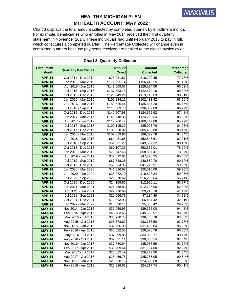

Chart 3 displays the total amount collected by completed quarter, by enrollment month. For example, beneficiaries who enrolled in May 2014 received their first quarterly statement in November 2014. These individuals had until February 2015 to pay in full, which constitutes a completed quarter. The Percentage Collected will change even in completed quarters because payments received are applied to the oldest invoice owed.

|                                   | <b>Chart 3: Quarterly Collection</b> |                              |                                   |                                       |  |  |
|-----------------------------------|--------------------------------------|------------------------------|-----------------------------------|---------------------------------------|--|--|
| <b>Enrollment</b><br><b>Month</b> | <b>Quarterly Pay Cycles</b>          | <b>Amount</b><br><b>Owed</b> | <b>Amount</b><br><b>Collected</b> | <b>Percentage</b><br><b>Collected</b> |  |  |
| 'APR-14                           | Oct 2014 - Dec 2014                  | \$23,281.87                  | \$18,109.45                       | 77.78%                                |  |  |
| <b>'APR-14</b>                    | Jan 2015 - Mar 2015                  | \$171,555.74                 | \$156,445.25                      | 91.19%                                |  |  |
| <b>'APR-14</b>                    | Apr 2015 - Jun 2015                  | \$143,009.57                 | \$129,594.58                      | 90.62%                                |  |  |
| <b>'APR-14</b>                    | Jul 2015 - Sep 2015                  | \$137,783.78                 | \$122,479.10                      | 88.89%                                |  |  |
| <b>'APR-14</b>                    | Oct 2015 - Dec 2015                  | \$125,249.29                 | \$113,118.69                      | 90.31%                                |  |  |
| 'APR-14                           | Jan 2016 - Mar 2016                  | \$109,834.12                 | \$102,433.42                      | 93.26%                                |  |  |
| <b>'APR-14</b>                    | Apr 2016 - Jun 2016                  | \$158,626.44                 | \$135,887.20                      | 85.66%                                |  |  |
| <b>'APR-14</b>                    | Jul 2016 - Sep 2016                  | \$110,689.78                 | \$96,069.09                       | 86.79%                                |  |  |
| 'APR-14                           | Oct 2016 - Dec 2016                  | \$142,507.98                 | \$124,666.62                      | 87.48%                                |  |  |
| <b>'APR-14</b>                    | Jan 2017 - Mar 2017                  | \$143,648.33                 | \$124,290.54                      | 86.52%                                |  |  |
| 'APR-14                           | Apr 2017 - Jun 2017                  | \$117,766.47                 | \$100,442.08                      | 85.29%                                |  |  |
| <b>'APR-14</b>                    | Jul 2017 - Sep 2017                  | \$100,115.39                 | \$85,023.76                       | 84.93%                                |  |  |
| 'APR-14                           | Oct 2017 - Dec 2017                  | \$100,028.02                 | \$85,493.80                       | 85.47%                                |  |  |
| <b>'APR-14</b>                    | Jan 2018 - Mar 2018                  | \$102,359.96                 | \$86,329.78                       | 84.34%                                |  |  |
| <b>'APR-14</b>                    | Apr 2018 - Jun 2018                  | \$64,431.65                  | \$52,843.61                       | 82.01%                                |  |  |
| <b>'APR-14</b>                    | Jul 2018 - Sep 2018                  | \$61,661.29                  | \$49,587.32                       | 80.42%                                |  |  |
| <b>'APR-14</b>                    | Oct 2018 - Dec 2018                  | \$67,107.36                  | \$52,872.01                       | 78.79%                                |  |  |
| 'APR-14                           | Jan 2019 - Mar 2019                  | \$79,647.43                  | \$58,837.41                       | 73.87%                                |  |  |
| <b>'APR-14</b>                    | Apr 2019 - Jun 2019                  | \$72,092.82                  | \$47,278.25                       | 65.58%                                |  |  |
| <b>'APR-14</b>                    | Jul 2019 - Sep 2019                  | \$67,888.38                  | \$40,859.70                       | 60.19%                                |  |  |
| <b>'APR-14</b>                    | Oct 2019 - Dec 2019                  | \$68,834.95                  | \$41,270.91                       | 59.96%                                |  |  |
| <b>'APR-14</b>                    | Jan 2020 - Mar 2020                  | \$41,836.68                  | \$25,010.09                       | 59.78%                                |  |  |
| 'APR-14                           | Apr 2020 - Jun 2020                  | \$33,072.70                  | \$19,828.34                       | 59.95%                                |  |  |
| <b>'APR-14</b>                    | Jul 2020 - Sep 2020                  | \$28,870.62                  | \$16,236.64                       | 56.24%                                |  |  |
| <b>'APR-14</b>                    | Oct 2020 - Dec 2020                  | \$24,169.65                  | \$12,996.11                       | 53.77%                                |  |  |
| <b>'APR-14</b>                    | Jan 2021 - Mar 2021                  | \$24,468.83                  | \$12,796.06                       | 52.30%                                |  |  |
| <b>'APR-14</b>                    | Apr 2021 - Jun 2021                  | \$22,290.69                  | \$9,248.18                        | 41.49%                                |  |  |
| 'APR-14                           | Jul 2021 - Sep 2021                  | \$20,656.79                  | \$7,184.89                        | 34.78%                                |  |  |
| <b>'APR-14</b>                    | Oct 2021 - Dec 2021                  | \$19,613.95                  | \$6,454.42                        | 32.91%                                |  |  |
| <b>'APR-14</b>                    | Jan 2022 - Mar 2022                  | \$18,530.17                  | \$5,503.42                        | 29.70%                                |  |  |
| <b>'MAY-14</b>                    | Nov 2014 - Jan 2015                  | \$31,069.95                  | \$29,355.00                       | 94.48%                                |  |  |
| <b>'MAY-14</b>                    | Feb 2015 - Apr 2015                  | \$48,783.66                  | \$45,533.97                       | 93.34%                                |  |  |
| <b>'MAY-14</b>                    | May 2015 - Jul 2015                  | \$38,930.75                  | \$36,468.78                       | 93.68%                                |  |  |
| <b>'MAY-14</b>                    | Aug 2015 - Oct 2015                  | \$35,573.67                  | \$33,356.50                       | 93.77%                                |  |  |
| <b>'MAY-14</b>                    | Nov 2015 - Jan 2016                  | \$32,796.96                  | \$31,452.84                       | 95.90%                                |  |  |
| <b>'MAY-14</b>                    | Feb 2016 - Apr 2016                  | \$30,022.55                  | \$29,020.78                       | 96.66%                                |  |  |
| <b>'MAY-14</b>                    | May 2016 - Jul 2016                  | \$37,809.88                  | \$34,093.77                       | 90.17%                                |  |  |
| <b>'MAY-14</b>                    | Aug 2016 - Oct 2016                  | \$32,821.11                  | \$30,308.54                       | 92.34%                                |  |  |
| <b>'MAY-14</b>                    | Nov 2016 - Jan 2017                  | \$37,780.94                  | \$35,058.59                       | 92.79%                                |  |  |
| 'MAY-14                           | Feb 2017 - Apr 2017                  | \$33,709.44                  | \$31,104.00                       | 92.27%                                |  |  |
| 'MAY-14                           | May 2017 - Jul 2017                  | \$28,612.49                  | \$26,277.90                       | 91.84%                                |  |  |
| <b>'MAY-14</b>                    | Aug 2017 - Oct 2017                  | \$28,456.78                  | \$25,765.05                       | 90.54%                                |  |  |
| <b>'MAY-14</b>                    | Nov 2017 - Jan 2018                  | \$26,850.76                  | \$24,539.68                       | 91.39%                                |  |  |
| <b>'MAY-14</b>                    | Feb 2018 - Apr 2018                  | \$26,896.62                  | \$24,317.74                       | 90.41%                                |  |  |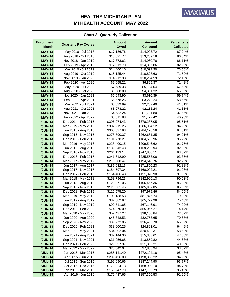| <b>Enrollment</b><br><b>Amount</b><br><b>Amount</b><br><b>Quarterly Pay Cycles</b><br><b>Collected</b><br><b>Month</b><br><b>Owed</b><br>May 2018 - Jul 2018<br>\$17,186.76<br>87.24%<br>'MAY-14<br>\$14,993.72<br>Aug 2018 - Oct 2018<br><b>'MAY-14</b><br>\$15,321.77<br>\$13,259.18<br>86.54%<br>Nov 2018 - Jan 2019<br><b>'MAY-14</b><br>\$14,960.76<br>\$17,373.62<br>Feb 2019 - Apr 2019<br>\$17,313.70<br>82.98%<br>'MAY-14<br>\$14,367.06<br>May 2019 - Jul 2019<br>\$14,400.15<br>\$10,592.30<br>'MAY-14<br>73.56%<br><b>'MAY-14</b><br>Aug 2019 - Oct 2019<br>71.59%<br>\$15,125.44<br>\$10,828.63<br>Nov 2019 - Jan 2020<br>'MAY-14<br>\$14,212.38<br>\$10,254.59<br>72.15%<br><b>'MAY-14</b><br>Feb 2020 - Apr 2020<br>\$9,655.21<br>\$6,895.37<br>71.42%<br>May 2020 - Jul 2020<br><b>'MAY-14</b><br>\$7,589.33<br>\$5,124.04<br>67.52%<br>Aug 2020 - Oct 2020<br>'MAY-14<br>\$6,688.00<br>\$4,351.32<br>65.06%<br>Nov 2020 - Jan 2021<br>'MAY-14<br>\$6,043.90<br>\$3,610.39<br>59.74%<br>Feb 2021 - Apr 2021<br>\$5,578.26<br>\$3,272.24<br>'MAY-14<br>58.66%<br>May 2021 - Jul 2021<br><b>'MAY-14</b><br>\$5,339.99<br>\$2,232.49<br>Aug 2021 - Oct 2021<br>\$2,113.24<br>41.65%<br>'MAY-14<br>\$5,073.22<br>Nov 2021 - Jan 2022<br>'MAY-14<br>\$4,532.24<br>\$1,701.80<br>37.55%<br>Feb 2022 - Apr 2022<br>\$1,477.42<br>40.90%<br>'MAY-14<br>\$3,611.88<br>Dec 2014 - Feb 2015<br>95.51%<br><b>'JUN-14</b><br>\$396,074.43<br>\$378,287.05<br>Mar 2015 - May 2015<br><b>'JUN-14</b><br>\$302,215.25<br>\$286,964.12<br>94.95%<br>Jun 2015 - Aug 2015<br>\$300,637.93<br>\$284,128.56<br><b>'JUN-14</b><br>Sep 2015 - Nov 2015<br><b>'JUN-14</b><br>94.21%<br>\$278,790.37<br>\$262,661.35<br>Dec 2015 - Feb 2016<br>\$191,778.21<br>96.22%<br><b>'JUN-14</b><br>\$184,535.96<br>Mar 2016 - May 2016<br><b>'JUN-14</b><br>\$228,400.15<br>\$209,546.62<br>91.75%<br>Jun 2016 - Aug 2016<br><b>'JUN-14</b><br>\$182,242.43<br>\$169,222.94<br>Sep 2016 - Nov 2016<br><b>'JUN-14</b><br>\$264,133.14<br>\$247,806.11<br>93.82%<br>Dec 2016 - Feb 2017<br>93.35%<br><b>'JUN-14</b><br>\$241,612.90<br>\$225,553.06<br><b>'JUN-14</b><br>Mar 2017 - May 2017<br>92.29%<br>\$210,900.47<br>\$194,648.76<br><b>'JUN-14</b><br>Jun 2017 - Aug 2017<br>\$187,032.13<br>\$171,850.23<br>Sep 2017 - Nov 2017<br><b>'JUN-14</b><br>\$184,597.34<br>\$168,092.21<br>Dec 2017 - Feb 2018<br><b>'JUN-14</b><br>\$164,406.48<br>\$151,070.90<br>90.03%<br>Mar 2018 - May 2018<br>\$158,796.23<br>\$142,966.13<br><b>'JUN-14</b><br>86.29%<br><b>'JUN-14</b><br>Jun 2018 - Aug 2018<br>\$123,371.05<br>\$106,457.36<br>Sep 2018 - Nov 2018<br><b>'JUN-14</b><br>\$123,581.45<br>\$105,882.85<br>Dec 2018 - Feb 2019<br><b>'JUN-14</b><br>\$116,575.20<br>\$97,979.46<br>84.05%<br>Mar 2019 - May 2019<br><b>'JUN-14</b><br>\$103,138.53<br>\$81,876.74<br>79.39%<br>Jun 2019 - Aug 2019<br>75.48%<br><b>'JUN-14</b><br>\$87,082.97<br>\$65,729.96<br>Sep 2019 - Nov 2019<br><b>'JUN-14</b><br>\$90,711.65<br>74.02%<br>\$67,146.91<br>Dec 2019 - Feb 2020<br><b>'JUN-14</b><br>\$74,270.09<br>\$55,067.27<br>74.14%<br>Mar 2020 - May 2020<br>\$38,106.84<br>72.67%<br><b>'JUN-14</b><br>\$52,437.27<br>Jun 2020 - Aug 2020<br><b>'JUN-14</b><br>\$46,348.53<br>\$32,753.65<br>70.67%<br><b>'JUN-14</b><br>Sep 2020 - Nov 2020<br>\$39,772.86<br>66.62%<br>\$26,495.70<br>Dec 2020 - Feb 2021<br><b>'JUN-14</b><br>\$38,600.25<br>\$24,893.01<br>64.49%<br><b>'JUN-14</b><br>Mar 2021 - May 2021<br>\$34,992.04<br>\$20,482.31<br>58.53%<br>Jun 2021 - Aug 2021<br>\$32,144.30<br>\$15,383.61<br>47.86%<br><b>'JUN-14</b><br>Sep 2021 - Nov 2021<br><b>'JUN-14</b><br>\$31,056.68<br>\$13,859.82<br>44.63%<br>Dec 2021 - Feb 2022<br>\$29,037.37<br>\$11,865.21<br>40.86%<br><b>'JUN-14</b><br>Mar 2022 - May 2022<br><b>'JUN-14</b><br>\$23,642.04<br>\$7,805.94<br>33.02%<br><b>'JUL-14</b><br>Jan 2015 - Mar 2015<br>\$272,104.18<br>\$285,141.40<br>95.43%<br>Apr 2015 - Jun 2015<br><b>'JUL-14</b><br>\$209,436.00<br>\$198,888.22<br>94.96%<br>Jul 2015 - Sep 2015<br><b>'JUL-14</b><br>\$199,690.66<br>\$187,244.90<br>93.77%<br><b>'JUL-14</b><br>Oct 2015 - Dec 2015<br>94.72%<br>\$178,324.13<br>\$168,909.10<br>Jan 2016 - Mar 2016<br><b>'JUL-14</b><br>\$153,247.79<br>\$147,732.79<br>96.40% | <b>Chart 3: Quarterly Collection</b> |                     |              |              |                                       |  |
|-------------------------------------------------------------------------------------------------------------------------------------------------------------------------------------------------------------------------------------------------------------------------------------------------------------------------------------------------------------------------------------------------------------------------------------------------------------------------------------------------------------------------------------------------------------------------------------------------------------------------------------------------------------------------------------------------------------------------------------------------------------------------------------------------------------------------------------------------------------------------------------------------------------------------------------------------------------------------------------------------------------------------------------------------------------------------------------------------------------------------------------------------------------------------------------------------------------------------------------------------------------------------------------------------------------------------------------------------------------------------------------------------------------------------------------------------------------------------------------------------------------------------------------------------------------------------------------------------------------------------------------------------------------------------------------------------------------------------------------------------------------------------------------------------------------------------------------------------------------------------------------------------------------------------------------------------------------------------------------------------------------------------------------------------------------------------------------------------------------------------------------------------------------------------------------------------------------------------------------------------------------------------------------------------------------------------------------------------------------------------------------------------------------------------------------------------------------------------------------------------------------------------------------------------------------------------------------------------------------------------------------------------------------------------------------------------------------------------------------------------------------------------------------------------------------------------------------------------------------------------------------------------------------------------------------------------------------------------------------------------------------------------------------------------------------------------------------------------------------------------------------------------------------------------------------------------------------------------------------------------------------------------------------------------------------------------------------------------------------------------------------------------------------------------------------------------------------------------------------------------------------------------------------------------------------------------------------------------------------------------------------------------------------------------------------------------------------------------------------------------------------------------------------------------------------------------------------------------------------------------------------------------------------------------------------------------------------------------------------------------------------------------------------------------------------------------------------------------------------------------------------------------------------------------------------------------------------------------------------------------------------------------------------------------------------|--------------------------------------|---------------------|--------------|--------------|---------------------------------------|--|
|                                                                                                                                                                                                                                                                                                                                                                                                                                                                                                                                                                                                                                                                                                                                                                                                                                                                                                                                                                                                                                                                                                                                                                                                                                                                                                                                                                                                                                                                                                                                                                                                                                                                                                                                                                                                                                                                                                                                                                                                                                                                                                                                                                                                                                                                                                                                                                                                                                                                                                                                                                                                                                                                                                                                                                                                                                                                                                                                                                                                                                                                                                                                                                                                                                                                                                                                                                                                                                                                                                                                                                                                                                                                                                                                                                                                                                                                                                                                                                                                                                                                                                                                                                                                                                                                                                             |                                      |                     |              |              | <b>Percentage</b><br><b>Collected</b> |  |
|                                                                                                                                                                                                                                                                                                                                                                                                                                                                                                                                                                                                                                                                                                                                                                                                                                                                                                                                                                                                                                                                                                                                                                                                                                                                                                                                                                                                                                                                                                                                                                                                                                                                                                                                                                                                                                                                                                                                                                                                                                                                                                                                                                                                                                                                                                                                                                                                                                                                                                                                                                                                                                                                                                                                                                                                                                                                                                                                                                                                                                                                                                                                                                                                                                                                                                                                                                                                                                                                                                                                                                                                                                                                                                                                                                                                                                                                                                                                                                                                                                                                                                                                                                                                                                                                                                             |                                      |                     |              |              |                                       |  |
|                                                                                                                                                                                                                                                                                                                                                                                                                                                                                                                                                                                                                                                                                                                                                                                                                                                                                                                                                                                                                                                                                                                                                                                                                                                                                                                                                                                                                                                                                                                                                                                                                                                                                                                                                                                                                                                                                                                                                                                                                                                                                                                                                                                                                                                                                                                                                                                                                                                                                                                                                                                                                                                                                                                                                                                                                                                                                                                                                                                                                                                                                                                                                                                                                                                                                                                                                                                                                                                                                                                                                                                                                                                                                                                                                                                                                                                                                                                                                                                                                                                                                                                                                                                                                                                                                                             |                                      |                     |              |              |                                       |  |
|                                                                                                                                                                                                                                                                                                                                                                                                                                                                                                                                                                                                                                                                                                                                                                                                                                                                                                                                                                                                                                                                                                                                                                                                                                                                                                                                                                                                                                                                                                                                                                                                                                                                                                                                                                                                                                                                                                                                                                                                                                                                                                                                                                                                                                                                                                                                                                                                                                                                                                                                                                                                                                                                                                                                                                                                                                                                                                                                                                                                                                                                                                                                                                                                                                                                                                                                                                                                                                                                                                                                                                                                                                                                                                                                                                                                                                                                                                                                                                                                                                                                                                                                                                                                                                                                                                             |                                      |                     |              |              | 86.11%                                |  |
|                                                                                                                                                                                                                                                                                                                                                                                                                                                                                                                                                                                                                                                                                                                                                                                                                                                                                                                                                                                                                                                                                                                                                                                                                                                                                                                                                                                                                                                                                                                                                                                                                                                                                                                                                                                                                                                                                                                                                                                                                                                                                                                                                                                                                                                                                                                                                                                                                                                                                                                                                                                                                                                                                                                                                                                                                                                                                                                                                                                                                                                                                                                                                                                                                                                                                                                                                                                                                                                                                                                                                                                                                                                                                                                                                                                                                                                                                                                                                                                                                                                                                                                                                                                                                                                                                                             |                                      |                     |              |              |                                       |  |
|                                                                                                                                                                                                                                                                                                                                                                                                                                                                                                                                                                                                                                                                                                                                                                                                                                                                                                                                                                                                                                                                                                                                                                                                                                                                                                                                                                                                                                                                                                                                                                                                                                                                                                                                                                                                                                                                                                                                                                                                                                                                                                                                                                                                                                                                                                                                                                                                                                                                                                                                                                                                                                                                                                                                                                                                                                                                                                                                                                                                                                                                                                                                                                                                                                                                                                                                                                                                                                                                                                                                                                                                                                                                                                                                                                                                                                                                                                                                                                                                                                                                                                                                                                                                                                                                                                             |                                      |                     |              |              |                                       |  |
|                                                                                                                                                                                                                                                                                                                                                                                                                                                                                                                                                                                                                                                                                                                                                                                                                                                                                                                                                                                                                                                                                                                                                                                                                                                                                                                                                                                                                                                                                                                                                                                                                                                                                                                                                                                                                                                                                                                                                                                                                                                                                                                                                                                                                                                                                                                                                                                                                                                                                                                                                                                                                                                                                                                                                                                                                                                                                                                                                                                                                                                                                                                                                                                                                                                                                                                                                                                                                                                                                                                                                                                                                                                                                                                                                                                                                                                                                                                                                                                                                                                                                                                                                                                                                                                                                                             |                                      |                     |              |              |                                       |  |
|                                                                                                                                                                                                                                                                                                                                                                                                                                                                                                                                                                                                                                                                                                                                                                                                                                                                                                                                                                                                                                                                                                                                                                                                                                                                                                                                                                                                                                                                                                                                                                                                                                                                                                                                                                                                                                                                                                                                                                                                                                                                                                                                                                                                                                                                                                                                                                                                                                                                                                                                                                                                                                                                                                                                                                                                                                                                                                                                                                                                                                                                                                                                                                                                                                                                                                                                                                                                                                                                                                                                                                                                                                                                                                                                                                                                                                                                                                                                                                                                                                                                                                                                                                                                                                                                                                             |                                      |                     |              |              |                                       |  |
|                                                                                                                                                                                                                                                                                                                                                                                                                                                                                                                                                                                                                                                                                                                                                                                                                                                                                                                                                                                                                                                                                                                                                                                                                                                                                                                                                                                                                                                                                                                                                                                                                                                                                                                                                                                                                                                                                                                                                                                                                                                                                                                                                                                                                                                                                                                                                                                                                                                                                                                                                                                                                                                                                                                                                                                                                                                                                                                                                                                                                                                                                                                                                                                                                                                                                                                                                                                                                                                                                                                                                                                                                                                                                                                                                                                                                                                                                                                                                                                                                                                                                                                                                                                                                                                                                                             |                                      |                     |              |              |                                       |  |
|                                                                                                                                                                                                                                                                                                                                                                                                                                                                                                                                                                                                                                                                                                                                                                                                                                                                                                                                                                                                                                                                                                                                                                                                                                                                                                                                                                                                                                                                                                                                                                                                                                                                                                                                                                                                                                                                                                                                                                                                                                                                                                                                                                                                                                                                                                                                                                                                                                                                                                                                                                                                                                                                                                                                                                                                                                                                                                                                                                                                                                                                                                                                                                                                                                                                                                                                                                                                                                                                                                                                                                                                                                                                                                                                                                                                                                                                                                                                                                                                                                                                                                                                                                                                                                                                                                             |                                      |                     |              |              |                                       |  |
|                                                                                                                                                                                                                                                                                                                                                                                                                                                                                                                                                                                                                                                                                                                                                                                                                                                                                                                                                                                                                                                                                                                                                                                                                                                                                                                                                                                                                                                                                                                                                                                                                                                                                                                                                                                                                                                                                                                                                                                                                                                                                                                                                                                                                                                                                                                                                                                                                                                                                                                                                                                                                                                                                                                                                                                                                                                                                                                                                                                                                                                                                                                                                                                                                                                                                                                                                                                                                                                                                                                                                                                                                                                                                                                                                                                                                                                                                                                                                                                                                                                                                                                                                                                                                                                                                                             |                                      |                     |              |              |                                       |  |
|                                                                                                                                                                                                                                                                                                                                                                                                                                                                                                                                                                                                                                                                                                                                                                                                                                                                                                                                                                                                                                                                                                                                                                                                                                                                                                                                                                                                                                                                                                                                                                                                                                                                                                                                                                                                                                                                                                                                                                                                                                                                                                                                                                                                                                                                                                                                                                                                                                                                                                                                                                                                                                                                                                                                                                                                                                                                                                                                                                                                                                                                                                                                                                                                                                                                                                                                                                                                                                                                                                                                                                                                                                                                                                                                                                                                                                                                                                                                                                                                                                                                                                                                                                                                                                                                                                             |                                      |                     |              |              |                                       |  |
|                                                                                                                                                                                                                                                                                                                                                                                                                                                                                                                                                                                                                                                                                                                                                                                                                                                                                                                                                                                                                                                                                                                                                                                                                                                                                                                                                                                                                                                                                                                                                                                                                                                                                                                                                                                                                                                                                                                                                                                                                                                                                                                                                                                                                                                                                                                                                                                                                                                                                                                                                                                                                                                                                                                                                                                                                                                                                                                                                                                                                                                                                                                                                                                                                                                                                                                                                                                                                                                                                                                                                                                                                                                                                                                                                                                                                                                                                                                                                                                                                                                                                                                                                                                                                                                                                                             |                                      |                     |              |              |                                       |  |
|                                                                                                                                                                                                                                                                                                                                                                                                                                                                                                                                                                                                                                                                                                                                                                                                                                                                                                                                                                                                                                                                                                                                                                                                                                                                                                                                                                                                                                                                                                                                                                                                                                                                                                                                                                                                                                                                                                                                                                                                                                                                                                                                                                                                                                                                                                                                                                                                                                                                                                                                                                                                                                                                                                                                                                                                                                                                                                                                                                                                                                                                                                                                                                                                                                                                                                                                                                                                                                                                                                                                                                                                                                                                                                                                                                                                                                                                                                                                                                                                                                                                                                                                                                                                                                                                                                             |                                      |                     |              |              | 41.81%                                |  |
|                                                                                                                                                                                                                                                                                                                                                                                                                                                                                                                                                                                                                                                                                                                                                                                                                                                                                                                                                                                                                                                                                                                                                                                                                                                                                                                                                                                                                                                                                                                                                                                                                                                                                                                                                                                                                                                                                                                                                                                                                                                                                                                                                                                                                                                                                                                                                                                                                                                                                                                                                                                                                                                                                                                                                                                                                                                                                                                                                                                                                                                                                                                                                                                                                                                                                                                                                                                                                                                                                                                                                                                                                                                                                                                                                                                                                                                                                                                                                                                                                                                                                                                                                                                                                                                                                                             |                                      |                     |              |              |                                       |  |
|                                                                                                                                                                                                                                                                                                                                                                                                                                                                                                                                                                                                                                                                                                                                                                                                                                                                                                                                                                                                                                                                                                                                                                                                                                                                                                                                                                                                                                                                                                                                                                                                                                                                                                                                                                                                                                                                                                                                                                                                                                                                                                                                                                                                                                                                                                                                                                                                                                                                                                                                                                                                                                                                                                                                                                                                                                                                                                                                                                                                                                                                                                                                                                                                                                                                                                                                                                                                                                                                                                                                                                                                                                                                                                                                                                                                                                                                                                                                                                                                                                                                                                                                                                                                                                                                                                             |                                      |                     |              |              |                                       |  |
|                                                                                                                                                                                                                                                                                                                                                                                                                                                                                                                                                                                                                                                                                                                                                                                                                                                                                                                                                                                                                                                                                                                                                                                                                                                                                                                                                                                                                                                                                                                                                                                                                                                                                                                                                                                                                                                                                                                                                                                                                                                                                                                                                                                                                                                                                                                                                                                                                                                                                                                                                                                                                                                                                                                                                                                                                                                                                                                                                                                                                                                                                                                                                                                                                                                                                                                                                                                                                                                                                                                                                                                                                                                                                                                                                                                                                                                                                                                                                                                                                                                                                                                                                                                                                                                                                                             |                                      |                     |              |              |                                       |  |
|                                                                                                                                                                                                                                                                                                                                                                                                                                                                                                                                                                                                                                                                                                                                                                                                                                                                                                                                                                                                                                                                                                                                                                                                                                                                                                                                                                                                                                                                                                                                                                                                                                                                                                                                                                                                                                                                                                                                                                                                                                                                                                                                                                                                                                                                                                                                                                                                                                                                                                                                                                                                                                                                                                                                                                                                                                                                                                                                                                                                                                                                                                                                                                                                                                                                                                                                                                                                                                                                                                                                                                                                                                                                                                                                                                                                                                                                                                                                                                                                                                                                                                                                                                                                                                                                                                             |                                      |                     |              |              |                                       |  |
|                                                                                                                                                                                                                                                                                                                                                                                                                                                                                                                                                                                                                                                                                                                                                                                                                                                                                                                                                                                                                                                                                                                                                                                                                                                                                                                                                                                                                                                                                                                                                                                                                                                                                                                                                                                                                                                                                                                                                                                                                                                                                                                                                                                                                                                                                                                                                                                                                                                                                                                                                                                                                                                                                                                                                                                                                                                                                                                                                                                                                                                                                                                                                                                                                                                                                                                                                                                                                                                                                                                                                                                                                                                                                                                                                                                                                                                                                                                                                                                                                                                                                                                                                                                                                                                                                                             |                                      |                     |              |              |                                       |  |
|                                                                                                                                                                                                                                                                                                                                                                                                                                                                                                                                                                                                                                                                                                                                                                                                                                                                                                                                                                                                                                                                                                                                                                                                                                                                                                                                                                                                                                                                                                                                                                                                                                                                                                                                                                                                                                                                                                                                                                                                                                                                                                                                                                                                                                                                                                                                                                                                                                                                                                                                                                                                                                                                                                                                                                                                                                                                                                                                                                                                                                                                                                                                                                                                                                                                                                                                                                                                                                                                                                                                                                                                                                                                                                                                                                                                                                                                                                                                                                                                                                                                                                                                                                                                                                                                                                             |                                      |                     |              |              | 94.51%                                |  |
|                                                                                                                                                                                                                                                                                                                                                                                                                                                                                                                                                                                                                                                                                                                                                                                                                                                                                                                                                                                                                                                                                                                                                                                                                                                                                                                                                                                                                                                                                                                                                                                                                                                                                                                                                                                                                                                                                                                                                                                                                                                                                                                                                                                                                                                                                                                                                                                                                                                                                                                                                                                                                                                                                                                                                                                                                                                                                                                                                                                                                                                                                                                                                                                                                                                                                                                                                                                                                                                                                                                                                                                                                                                                                                                                                                                                                                                                                                                                                                                                                                                                                                                                                                                                                                                                                                             |                                      |                     |              |              |                                       |  |
|                                                                                                                                                                                                                                                                                                                                                                                                                                                                                                                                                                                                                                                                                                                                                                                                                                                                                                                                                                                                                                                                                                                                                                                                                                                                                                                                                                                                                                                                                                                                                                                                                                                                                                                                                                                                                                                                                                                                                                                                                                                                                                                                                                                                                                                                                                                                                                                                                                                                                                                                                                                                                                                                                                                                                                                                                                                                                                                                                                                                                                                                                                                                                                                                                                                                                                                                                                                                                                                                                                                                                                                                                                                                                                                                                                                                                                                                                                                                                                                                                                                                                                                                                                                                                                                                                                             |                                      |                     |              |              |                                       |  |
|                                                                                                                                                                                                                                                                                                                                                                                                                                                                                                                                                                                                                                                                                                                                                                                                                                                                                                                                                                                                                                                                                                                                                                                                                                                                                                                                                                                                                                                                                                                                                                                                                                                                                                                                                                                                                                                                                                                                                                                                                                                                                                                                                                                                                                                                                                                                                                                                                                                                                                                                                                                                                                                                                                                                                                                                                                                                                                                                                                                                                                                                                                                                                                                                                                                                                                                                                                                                                                                                                                                                                                                                                                                                                                                                                                                                                                                                                                                                                                                                                                                                                                                                                                                                                                                                                                             |                                      |                     |              |              |                                       |  |
|                                                                                                                                                                                                                                                                                                                                                                                                                                                                                                                                                                                                                                                                                                                                                                                                                                                                                                                                                                                                                                                                                                                                                                                                                                                                                                                                                                                                                                                                                                                                                                                                                                                                                                                                                                                                                                                                                                                                                                                                                                                                                                                                                                                                                                                                                                                                                                                                                                                                                                                                                                                                                                                                                                                                                                                                                                                                                                                                                                                                                                                                                                                                                                                                                                                                                                                                                                                                                                                                                                                                                                                                                                                                                                                                                                                                                                                                                                                                                                                                                                                                                                                                                                                                                                                                                                             |                                      |                     |              |              | 92.86%                                |  |
|                                                                                                                                                                                                                                                                                                                                                                                                                                                                                                                                                                                                                                                                                                                                                                                                                                                                                                                                                                                                                                                                                                                                                                                                                                                                                                                                                                                                                                                                                                                                                                                                                                                                                                                                                                                                                                                                                                                                                                                                                                                                                                                                                                                                                                                                                                                                                                                                                                                                                                                                                                                                                                                                                                                                                                                                                                                                                                                                                                                                                                                                                                                                                                                                                                                                                                                                                                                                                                                                                                                                                                                                                                                                                                                                                                                                                                                                                                                                                                                                                                                                                                                                                                                                                                                                                                             |                                      |                     |              |              |                                       |  |
|                                                                                                                                                                                                                                                                                                                                                                                                                                                                                                                                                                                                                                                                                                                                                                                                                                                                                                                                                                                                                                                                                                                                                                                                                                                                                                                                                                                                                                                                                                                                                                                                                                                                                                                                                                                                                                                                                                                                                                                                                                                                                                                                                                                                                                                                                                                                                                                                                                                                                                                                                                                                                                                                                                                                                                                                                                                                                                                                                                                                                                                                                                                                                                                                                                                                                                                                                                                                                                                                                                                                                                                                                                                                                                                                                                                                                                                                                                                                                                                                                                                                                                                                                                                                                                                                                                             |                                      |                     |              |              |                                       |  |
|                                                                                                                                                                                                                                                                                                                                                                                                                                                                                                                                                                                                                                                                                                                                                                                                                                                                                                                                                                                                                                                                                                                                                                                                                                                                                                                                                                                                                                                                                                                                                                                                                                                                                                                                                                                                                                                                                                                                                                                                                                                                                                                                                                                                                                                                                                                                                                                                                                                                                                                                                                                                                                                                                                                                                                                                                                                                                                                                                                                                                                                                                                                                                                                                                                                                                                                                                                                                                                                                                                                                                                                                                                                                                                                                                                                                                                                                                                                                                                                                                                                                                                                                                                                                                                                                                                             |                                      |                     |              |              |                                       |  |
|                                                                                                                                                                                                                                                                                                                                                                                                                                                                                                                                                                                                                                                                                                                                                                                                                                                                                                                                                                                                                                                                                                                                                                                                                                                                                                                                                                                                                                                                                                                                                                                                                                                                                                                                                                                                                                                                                                                                                                                                                                                                                                                                                                                                                                                                                                                                                                                                                                                                                                                                                                                                                                                                                                                                                                                                                                                                                                                                                                                                                                                                                                                                                                                                                                                                                                                                                                                                                                                                                                                                                                                                                                                                                                                                                                                                                                                                                                                                                                                                                                                                                                                                                                                                                                                                                                             |                                      |                     |              |              | 91.88%                                |  |
|                                                                                                                                                                                                                                                                                                                                                                                                                                                                                                                                                                                                                                                                                                                                                                                                                                                                                                                                                                                                                                                                                                                                                                                                                                                                                                                                                                                                                                                                                                                                                                                                                                                                                                                                                                                                                                                                                                                                                                                                                                                                                                                                                                                                                                                                                                                                                                                                                                                                                                                                                                                                                                                                                                                                                                                                                                                                                                                                                                                                                                                                                                                                                                                                                                                                                                                                                                                                                                                                                                                                                                                                                                                                                                                                                                                                                                                                                                                                                                                                                                                                                                                                                                                                                                                                                                             |                                      |                     |              |              | 91.06%                                |  |
|                                                                                                                                                                                                                                                                                                                                                                                                                                                                                                                                                                                                                                                                                                                                                                                                                                                                                                                                                                                                                                                                                                                                                                                                                                                                                                                                                                                                                                                                                                                                                                                                                                                                                                                                                                                                                                                                                                                                                                                                                                                                                                                                                                                                                                                                                                                                                                                                                                                                                                                                                                                                                                                                                                                                                                                                                                                                                                                                                                                                                                                                                                                                                                                                                                                                                                                                                                                                                                                                                                                                                                                                                                                                                                                                                                                                                                                                                                                                                                                                                                                                                                                                                                                                                                                                                                             |                                      |                     |              |              | 91.89%                                |  |
|                                                                                                                                                                                                                                                                                                                                                                                                                                                                                                                                                                                                                                                                                                                                                                                                                                                                                                                                                                                                                                                                                                                                                                                                                                                                                                                                                                                                                                                                                                                                                                                                                                                                                                                                                                                                                                                                                                                                                                                                                                                                                                                                                                                                                                                                                                                                                                                                                                                                                                                                                                                                                                                                                                                                                                                                                                                                                                                                                                                                                                                                                                                                                                                                                                                                                                                                                                                                                                                                                                                                                                                                                                                                                                                                                                                                                                                                                                                                                                                                                                                                                                                                                                                                                                                                                                             |                                      |                     |              |              |                                       |  |
|                                                                                                                                                                                                                                                                                                                                                                                                                                                                                                                                                                                                                                                                                                                                                                                                                                                                                                                                                                                                                                                                                                                                                                                                                                                                                                                                                                                                                                                                                                                                                                                                                                                                                                                                                                                                                                                                                                                                                                                                                                                                                                                                                                                                                                                                                                                                                                                                                                                                                                                                                                                                                                                                                                                                                                                                                                                                                                                                                                                                                                                                                                                                                                                                                                                                                                                                                                                                                                                                                                                                                                                                                                                                                                                                                                                                                                                                                                                                                                                                                                                                                                                                                                                                                                                                                                             |                                      |                     |              |              |                                       |  |
|                                                                                                                                                                                                                                                                                                                                                                                                                                                                                                                                                                                                                                                                                                                                                                                                                                                                                                                                                                                                                                                                                                                                                                                                                                                                                                                                                                                                                                                                                                                                                                                                                                                                                                                                                                                                                                                                                                                                                                                                                                                                                                                                                                                                                                                                                                                                                                                                                                                                                                                                                                                                                                                                                                                                                                                                                                                                                                                                                                                                                                                                                                                                                                                                                                                                                                                                                                                                                                                                                                                                                                                                                                                                                                                                                                                                                                                                                                                                                                                                                                                                                                                                                                                                                                                                                                             |                                      |                     |              |              | 85.68%                                |  |
|                                                                                                                                                                                                                                                                                                                                                                                                                                                                                                                                                                                                                                                                                                                                                                                                                                                                                                                                                                                                                                                                                                                                                                                                                                                                                                                                                                                                                                                                                                                                                                                                                                                                                                                                                                                                                                                                                                                                                                                                                                                                                                                                                                                                                                                                                                                                                                                                                                                                                                                                                                                                                                                                                                                                                                                                                                                                                                                                                                                                                                                                                                                                                                                                                                                                                                                                                                                                                                                                                                                                                                                                                                                                                                                                                                                                                                                                                                                                                                                                                                                                                                                                                                                                                                                                                                             |                                      |                     |              |              |                                       |  |
|                                                                                                                                                                                                                                                                                                                                                                                                                                                                                                                                                                                                                                                                                                                                                                                                                                                                                                                                                                                                                                                                                                                                                                                                                                                                                                                                                                                                                                                                                                                                                                                                                                                                                                                                                                                                                                                                                                                                                                                                                                                                                                                                                                                                                                                                                                                                                                                                                                                                                                                                                                                                                                                                                                                                                                                                                                                                                                                                                                                                                                                                                                                                                                                                                                                                                                                                                                                                                                                                                                                                                                                                                                                                                                                                                                                                                                                                                                                                                                                                                                                                                                                                                                                                                                                                                                             |                                      |                     |              |              |                                       |  |
|                                                                                                                                                                                                                                                                                                                                                                                                                                                                                                                                                                                                                                                                                                                                                                                                                                                                                                                                                                                                                                                                                                                                                                                                                                                                                                                                                                                                                                                                                                                                                                                                                                                                                                                                                                                                                                                                                                                                                                                                                                                                                                                                                                                                                                                                                                                                                                                                                                                                                                                                                                                                                                                                                                                                                                                                                                                                                                                                                                                                                                                                                                                                                                                                                                                                                                                                                                                                                                                                                                                                                                                                                                                                                                                                                                                                                                                                                                                                                                                                                                                                                                                                                                                                                                                                                                             |                                      |                     |              |              |                                       |  |
|                                                                                                                                                                                                                                                                                                                                                                                                                                                                                                                                                                                                                                                                                                                                                                                                                                                                                                                                                                                                                                                                                                                                                                                                                                                                                                                                                                                                                                                                                                                                                                                                                                                                                                                                                                                                                                                                                                                                                                                                                                                                                                                                                                                                                                                                                                                                                                                                                                                                                                                                                                                                                                                                                                                                                                                                                                                                                                                                                                                                                                                                                                                                                                                                                                                                                                                                                                                                                                                                                                                                                                                                                                                                                                                                                                                                                                                                                                                                                                                                                                                                                                                                                                                                                                                                                                             |                                      |                     |              |              |                                       |  |
|                                                                                                                                                                                                                                                                                                                                                                                                                                                                                                                                                                                                                                                                                                                                                                                                                                                                                                                                                                                                                                                                                                                                                                                                                                                                                                                                                                                                                                                                                                                                                                                                                                                                                                                                                                                                                                                                                                                                                                                                                                                                                                                                                                                                                                                                                                                                                                                                                                                                                                                                                                                                                                                                                                                                                                                                                                                                                                                                                                                                                                                                                                                                                                                                                                                                                                                                                                                                                                                                                                                                                                                                                                                                                                                                                                                                                                                                                                                                                                                                                                                                                                                                                                                                                                                                                                             |                                      |                     |              |              |                                       |  |
|                                                                                                                                                                                                                                                                                                                                                                                                                                                                                                                                                                                                                                                                                                                                                                                                                                                                                                                                                                                                                                                                                                                                                                                                                                                                                                                                                                                                                                                                                                                                                                                                                                                                                                                                                                                                                                                                                                                                                                                                                                                                                                                                                                                                                                                                                                                                                                                                                                                                                                                                                                                                                                                                                                                                                                                                                                                                                                                                                                                                                                                                                                                                                                                                                                                                                                                                                                                                                                                                                                                                                                                                                                                                                                                                                                                                                                                                                                                                                                                                                                                                                                                                                                                                                                                                                                             |                                      |                     |              |              |                                       |  |
|                                                                                                                                                                                                                                                                                                                                                                                                                                                                                                                                                                                                                                                                                                                                                                                                                                                                                                                                                                                                                                                                                                                                                                                                                                                                                                                                                                                                                                                                                                                                                                                                                                                                                                                                                                                                                                                                                                                                                                                                                                                                                                                                                                                                                                                                                                                                                                                                                                                                                                                                                                                                                                                                                                                                                                                                                                                                                                                                                                                                                                                                                                                                                                                                                                                                                                                                                                                                                                                                                                                                                                                                                                                                                                                                                                                                                                                                                                                                                                                                                                                                                                                                                                                                                                                                                                             |                                      |                     |              |              |                                       |  |
|                                                                                                                                                                                                                                                                                                                                                                                                                                                                                                                                                                                                                                                                                                                                                                                                                                                                                                                                                                                                                                                                                                                                                                                                                                                                                                                                                                                                                                                                                                                                                                                                                                                                                                                                                                                                                                                                                                                                                                                                                                                                                                                                                                                                                                                                                                                                                                                                                                                                                                                                                                                                                                                                                                                                                                                                                                                                                                                                                                                                                                                                                                                                                                                                                                                                                                                                                                                                                                                                                                                                                                                                                                                                                                                                                                                                                                                                                                                                                                                                                                                                                                                                                                                                                                                                                                             |                                      |                     |              |              |                                       |  |
|                                                                                                                                                                                                                                                                                                                                                                                                                                                                                                                                                                                                                                                                                                                                                                                                                                                                                                                                                                                                                                                                                                                                                                                                                                                                                                                                                                                                                                                                                                                                                                                                                                                                                                                                                                                                                                                                                                                                                                                                                                                                                                                                                                                                                                                                                                                                                                                                                                                                                                                                                                                                                                                                                                                                                                                                                                                                                                                                                                                                                                                                                                                                                                                                                                                                                                                                                                                                                                                                                                                                                                                                                                                                                                                                                                                                                                                                                                                                                                                                                                                                                                                                                                                                                                                                                                             |                                      |                     |              |              |                                       |  |
|                                                                                                                                                                                                                                                                                                                                                                                                                                                                                                                                                                                                                                                                                                                                                                                                                                                                                                                                                                                                                                                                                                                                                                                                                                                                                                                                                                                                                                                                                                                                                                                                                                                                                                                                                                                                                                                                                                                                                                                                                                                                                                                                                                                                                                                                                                                                                                                                                                                                                                                                                                                                                                                                                                                                                                                                                                                                                                                                                                                                                                                                                                                                                                                                                                                                                                                                                                                                                                                                                                                                                                                                                                                                                                                                                                                                                                                                                                                                                                                                                                                                                                                                                                                                                                                                                                             |                                      |                     |              |              |                                       |  |
|                                                                                                                                                                                                                                                                                                                                                                                                                                                                                                                                                                                                                                                                                                                                                                                                                                                                                                                                                                                                                                                                                                                                                                                                                                                                                                                                                                                                                                                                                                                                                                                                                                                                                                                                                                                                                                                                                                                                                                                                                                                                                                                                                                                                                                                                                                                                                                                                                                                                                                                                                                                                                                                                                                                                                                                                                                                                                                                                                                                                                                                                                                                                                                                                                                                                                                                                                                                                                                                                                                                                                                                                                                                                                                                                                                                                                                                                                                                                                                                                                                                                                                                                                                                                                                                                                                             |                                      |                     |              |              |                                       |  |
|                                                                                                                                                                                                                                                                                                                                                                                                                                                                                                                                                                                                                                                                                                                                                                                                                                                                                                                                                                                                                                                                                                                                                                                                                                                                                                                                                                                                                                                                                                                                                                                                                                                                                                                                                                                                                                                                                                                                                                                                                                                                                                                                                                                                                                                                                                                                                                                                                                                                                                                                                                                                                                                                                                                                                                                                                                                                                                                                                                                                                                                                                                                                                                                                                                                                                                                                                                                                                                                                                                                                                                                                                                                                                                                                                                                                                                                                                                                                                                                                                                                                                                                                                                                                                                                                                                             |                                      |                     |              |              |                                       |  |
|                                                                                                                                                                                                                                                                                                                                                                                                                                                                                                                                                                                                                                                                                                                                                                                                                                                                                                                                                                                                                                                                                                                                                                                                                                                                                                                                                                                                                                                                                                                                                                                                                                                                                                                                                                                                                                                                                                                                                                                                                                                                                                                                                                                                                                                                                                                                                                                                                                                                                                                                                                                                                                                                                                                                                                                                                                                                                                                                                                                                                                                                                                                                                                                                                                                                                                                                                                                                                                                                                                                                                                                                                                                                                                                                                                                                                                                                                                                                                                                                                                                                                                                                                                                                                                                                                                             |                                      |                     |              |              |                                       |  |
|                                                                                                                                                                                                                                                                                                                                                                                                                                                                                                                                                                                                                                                                                                                                                                                                                                                                                                                                                                                                                                                                                                                                                                                                                                                                                                                                                                                                                                                                                                                                                                                                                                                                                                                                                                                                                                                                                                                                                                                                                                                                                                                                                                                                                                                                                                                                                                                                                                                                                                                                                                                                                                                                                                                                                                                                                                                                                                                                                                                                                                                                                                                                                                                                                                                                                                                                                                                                                                                                                                                                                                                                                                                                                                                                                                                                                                                                                                                                                                                                                                                                                                                                                                                                                                                                                                             |                                      |                     |              |              |                                       |  |
|                                                                                                                                                                                                                                                                                                                                                                                                                                                                                                                                                                                                                                                                                                                                                                                                                                                                                                                                                                                                                                                                                                                                                                                                                                                                                                                                                                                                                                                                                                                                                                                                                                                                                                                                                                                                                                                                                                                                                                                                                                                                                                                                                                                                                                                                                                                                                                                                                                                                                                                                                                                                                                                                                                                                                                                                                                                                                                                                                                                                                                                                                                                                                                                                                                                                                                                                                                                                                                                                                                                                                                                                                                                                                                                                                                                                                                                                                                                                                                                                                                                                                                                                                                                                                                                                                                             |                                      |                     |              |              |                                       |  |
|                                                                                                                                                                                                                                                                                                                                                                                                                                                                                                                                                                                                                                                                                                                                                                                                                                                                                                                                                                                                                                                                                                                                                                                                                                                                                                                                                                                                                                                                                                                                                                                                                                                                                                                                                                                                                                                                                                                                                                                                                                                                                                                                                                                                                                                                                                                                                                                                                                                                                                                                                                                                                                                                                                                                                                                                                                                                                                                                                                                                                                                                                                                                                                                                                                                                                                                                                                                                                                                                                                                                                                                                                                                                                                                                                                                                                                                                                                                                                                                                                                                                                                                                                                                                                                                                                                             |                                      |                     |              |              |                                       |  |
|                                                                                                                                                                                                                                                                                                                                                                                                                                                                                                                                                                                                                                                                                                                                                                                                                                                                                                                                                                                                                                                                                                                                                                                                                                                                                                                                                                                                                                                                                                                                                                                                                                                                                                                                                                                                                                                                                                                                                                                                                                                                                                                                                                                                                                                                                                                                                                                                                                                                                                                                                                                                                                                                                                                                                                                                                                                                                                                                                                                                                                                                                                                                                                                                                                                                                                                                                                                                                                                                                                                                                                                                                                                                                                                                                                                                                                                                                                                                                                                                                                                                                                                                                                                                                                                                                                             |                                      |                     |              |              |                                       |  |
|                                                                                                                                                                                                                                                                                                                                                                                                                                                                                                                                                                                                                                                                                                                                                                                                                                                                                                                                                                                                                                                                                                                                                                                                                                                                                                                                                                                                                                                                                                                                                                                                                                                                                                                                                                                                                                                                                                                                                                                                                                                                                                                                                                                                                                                                                                                                                                                                                                                                                                                                                                                                                                                                                                                                                                                                                                                                                                                                                                                                                                                                                                                                                                                                                                                                                                                                                                                                                                                                                                                                                                                                                                                                                                                                                                                                                                                                                                                                                                                                                                                                                                                                                                                                                                                                                                             |                                      |                     |              |              |                                       |  |
|                                                                                                                                                                                                                                                                                                                                                                                                                                                                                                                                                                                                                                                                                                                                                                                                                                                                                                                                                                                                                                                                                                                                                                                                                                                                                                                                                                                                                                                                                                                                                                                                                                                                                                                                                                                                                                                                                                                                                                                                                                                                                                                                                                                                                                                                                                                                                                                                                                                                                                                                                                                                                                                                                                                                                                                                                                                                                                                                                                                                                                                                                                                                                                                                                                                                                                                                                                                                                                                                                                                                                                                                                                                                                                                                                                                                                                                                                                                                                                                                                                                                                                                                                                                                                                                                                                             | <b>'JUL-14</b>                       | Apr 2016 - Jun 2016 | \$172,437.65 | \$157,356.53 | 91.25%                                |  |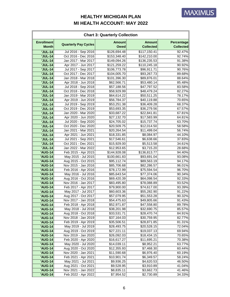| <b>Chart 3: Quarterly Collection</b> |                                            |                              |                                   |                                       |  |
|--------------------------------------|--------------------------------------------|------------------------------|-----------------------------------|---------------------------------------|--|
| <b>Enrollment</b><br><b>Month</b>    | <b>Quarterly Pay Cycles</b>                | <b>Amount</b><br><b>Owed</b> | <b>Amount</b><br><b>Collected</b> | <b>Percentage</b><br><b>Collected</b> |  |
| <b>'JUL-14</b>                       | Jul 2016 - Sep 2016                        | \$126,694.48                 | \$117,150.41                      | 92.47%                                |  |
| <b>'JUL-14</b>                       | Oct 2016 - Dec 2016                        | \$153,348.40                 | \$142,210.00                      | 92.74%                                |  |
| <b>'JUL-14</b>                       | Jan 2017 - Mar 2017                        | \$149,094.26                 | \$136,235.53                      | 91.38%                                |  |
| <b>'JUL-14</b>                       | Apr 2017 - Jun 2017                        | \$121,259.22                 | \$110,245.18                      | 90.92%                                |  |
| <b>'JUL-14</b>                       | Jul 2017 - Sep 2017                        | \$106,773.78                 | \$96,911.71                       | 90.76%                                |  |
| <b>'JUL-14</b>                       | Oct 2017 - Dec 2017                        | \$104,005.70                 | \$93,267.73                       | 89.68%                                |  |
| <b>'JUL-14</b>                       | Jan 2018 - Mar 2018                        | \$101,396.30                 | \$89,876.01                       | 88.64%                                |  |
| <b>'JUL-14</b>                       | Apr 2018 - Jun 2018                        | \$62,566.71                  | \$53,480.14                       | 85.48%                                |  |
| <b>'JUL-14</b>                       | Jul 2018 - Sep 2018                        | \$57,188.56                  | \$47,797.52                       | 83.58%                                |  |
| <b>'JUL-14</b>                       | Oct 2018 - Dec 2018                        | \$58,929.99                  | \$48,479.24                       | 82.27%                                |  |
| <b>'JUL-14</b>                       | Jan 2019 - Mar 2019                        | \$64,614.22                  | \$50,511.25                       | 78.17%                                |  |
| <b>'JUL-14</b>                       | Apr 2019 - Jun 2019                        | \$56,784.37                  | \$40,119.88                       | 70.65%                                |  |
| <b>'JUL-14</b>                       | Jul 2019 - Sep 2019                        | \$53,251.38                  | \$36,409.28                       | 68.37%                                |  |
| <b>'JUL-14</b>                       | Oct 2019 - Dec 2019                        | \$53,693.35                  | \$36,279.56                       | 67.57%                                |  |
| <b>'JUL-14</b>                       | Jan 2020 - Mar 2020                        | \$33,687.22                  | \$22,841.81                       | 67.81%                                |  |
| <b>'JUL-14</b>                       | Apr 2020 - Jun 2020                        | \$27,132.70                  | \$17,583.99                       | 64.81%                                |  |
| <b>'JUL-14</b>                       | Jul 2020 - Sep 2020                        | \$24,705.02                  | \$15,737.74                       | 63.70%                                |  |
| <b>'JUL-14</b>                       | Oct 2020 - Dec 2020                        | \$20,509.75                  | \$12,014.50                       | 58.58%                                |  |
| <b>'JUL-14</b>                       | Jan 2021 - Mar 2021                        | \$20,264.54                  | \$11,499.04                       | 56.74%                                |  |
| <b>'JUL-14</b>                       | Apr 2021 - Jun 2021                        | \$18,331.85                  | \$8,084.97                        | 44.10%                                |  |
| <b>'JUL-14</b>                       | Jul 2021 - Sep 2021                        | \$17,546.61                  | \$6,638.66                        | 37.83%                                |  |
| <b>'JUL-14</b>                       | Oct 2021 - Dec 2021                        | \$15,929.00                  | \$5,513.58                        | 34.61%                                |  |
| <b>'JUL-14</b>                       | Jan 2022 - Mar 2022                        | \$12,953.65                  | \$3,715.20                        | 28.68%                                |  |
| <b>'AUG-14</b>                       | Feb 2015 - Apr 2015                        | \$144,928.08                 | \$136,813.77                      | 94.40%                                |  |
| <b>'AUG-14</b>                       | May 2015 - Jul 2015                        | \$100,661.83                 | \$93,691.04                       | 93.08%                                |  |
| <b>'AUG-14</b>                       | Aug 2015 - Oct 2015                        | \$95,112.74                  | \$89,563.19                       | 94.17%                                |  |
| <b>'AUG-14</b>                       | Nov 2015 - Jan 2016                        | \$85,706.68                  | \$82,286.57                       | 96.01%                                |  |
| <b>'AUG-14</b>                       | Feb 2016 - Apr 2016                        | \$78,172.99                  | \$75,594.54                       | 96.70%                                |  |
| 'AUG-14                              | May 2016 - Jul 2016                        | \$85,643.54                  | \$77,374.06                       | 90.34%                                |  |
| <b>'AUG-14</b>                       | Aug 2016 - Oct 2016                        | \$69,420.39                  | \$64,098.54                       | $92.33\%$                             |  |
| <b>'AUG-14</b>                       | Nov 2016 - Jan 2017                        | \$83,495.80                  | \$78,088.89                       | 93.52%                                |  |
| <b>'AUG-14</b>                       | Feb 2017 - Apr 2017                        | \$79,900.00                  | \$74,617.00                       | 93.39%                                |  |
| <b>'AUG-14</b>                       | May 2017 - Jul 2017                        | \$60,603.36                  | \$55,282.90                       | 91.22%                                |  |
| <b>'AUG-14</b>                       | Aug 2017 - Oct 2017                        | \$57,079.95                  | \$51,553.28                       | 90.32%                                |  |
| <b>'AUG-14</b>                       | Nov 2017 - Jan 2018                        | \$54,475.63                  | \$49,805.66                       | 91.43%                                |  |
| 'AUG-14                              | Feb 2018 - Apr 2018<br>May 2018 - Jul 2018 | \$52,971.87<br>\$38,201.98   | \$47,558.80<br>\$32,690.75        | 89.78%                                |  |
| <b>'AUG-14</b><br><b>'AUG-14</b>     | Aug 2018 - Oct 2018                        | \$33,531.71                  | \$28,470.74                       | 85.57%<br>84.91%                      |  |
| <b>'AUG-14</b>                       | Nov 2018 - Jan 2019                        | \$37,164.03                  | \$30,759.95                       | 82.77%                                |  |
| <b>'AUG-14</b>                       | Feb 2019 - Apr 2019                        | \$35,506.51                  | \$28,871.85                       | 81.31%                                |  |
| <b>'AUG-14</b>                       | May 2019 - Jul 2019                        | \$28,493.75                  | \$20,528.15                       | 72.04%                                |  |
| <b>'AUG-14</b>                       | Aug 2019 - Oct 2019                        | \$27,221.11                  | \$19,037.13                       | 69.94%                                |  |
| <b>'AUG-14</b>                       | Nov 2019 - Jan 2020                        | \$26,092.03                  | \$18,434.15                       | 70.65%                                |  |
| <b>'AUG-14</b>                       | Feb 2020 - Apr 2020                        | \$16,617.27                  | \$11,695.21                       | 70.38%                                |  |
| <b>'AUG-14</b>                       | May 2020 - Jul 2020                        | \$14,039.11                  | \$8,952.21                        | 63.77%                                |  |
| <b>'AUG-14</b>                       | Aug 2020 - Oct 2020                        | \$12,355.93                  | \$7,468.30                        | 60.44%                                |  |
| <b>'AUG-14</b>                       | Nov 2020 - Jan 2021                        | \$11,590.68                  | \$6,976.40                        | 60.19%                                |  |
| <b>'AUG-14</b>                       | Feb 2021 - Apr 2021                        | \$10,901.74                  | \$6,349.57                        | 58.24%                                |  |
| 'AUG-14                              | May 2021 - Jul 2021                        | \$9,936.25                   | \$4,620.53                        | 46.50%                                |  |
| <b>'AUG-14</b>                       | Aug 2021 - Oct 2021                        | \$9,528.95                   | \$3,910.89                        | 41.04%                                |  |
| <b>'AUG-14</b>                       | Nov 2021 - Jan 2022                        | \$8,835.11                   | \$3,662.73                        | 41.46%                                |  |
| <b>'AUG-14</b>                       | Feb 2022 - Apr 2022                        | \$7,954.52                   | \$2,730.89                        | 34.33%                                |  |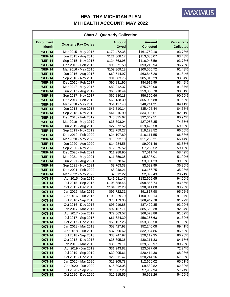| <b>Chart 3: Quarterly Collection</b> |                                            |                              |                                   |                                |  |
|--------------------------------------|--------------------------------------------|------------------------------|-----------------------------------|--------------------------------|--|
| <b>Enrollment</b><br><b>Month</b>    | <b>Quarterly Pay Cycles</b>                | <b>Amount</b><br><b>Owed</b> | <b>Amount</b><br><b>Collected</b> | Percentage<br><b>Collected</b> |  |
| <b>'SEP-14</b>                       | Mar 2015 - May 2015                        | \$172,472.35                 | \$161,752.10                      | 93.78%                         |  |
| <b>'SEP-14</b>                       | Jun 2015 - Aug 2015                        | \$121,608.17                 | \$113,685.07                      | 93.48%                         |  |
| <b>'SEP-14</b>                       | Sep 2015 - Nov 2015                        | \$124,763.95                 | \$116,946.59                      | 93.73%                         |  |
| <b>'SEP-14</b>                       | Dec 2015 - Feb 2016                        | \$96,371.50                  | \$93,219.94                       | 96.73%                         |  |
| <b>'SEP-14</b>                       | Mar 2016 - May 2016                        | \$109,869.18                 | \$100,505.72                      | 91.48%                         |  |
| <b>'SEP-14</b>                       | Jun 2016 - Aug 2016                        | \$69,514.97                  | \$63,845.28                       | 91.84%                         |  |
| <b>'SEP-14</b>                       | Sep 2016 - Nov 2016                        | \$91,083.75                  | \$85,015.29                       | 93.34%                         |  |
| <b>'SEP-14</b>                       | Dec 2016 - Feb 2017                        | \$90,831.95                  | \$84,919.99                       | 93.49%                         |  |
| <b>'SEP-14</b>                       | Mar 2017 - May 2017                        | \$82,912.37                  | \$75,760.00                       | 91.37%                         |  |
| <b>'SEP-14</b>                       | Jun 2017 - Aug 2017                        | \$65,910.44                  | \$59,850.78                       | 90.81%                         |  |
| <b>'SEP-14</b>                       | Sep 2017 - Nov 2017                        | \$62,280.18                  | \$56,360.66                       | 90.50%                         |  |
| <b>'SEP-14</b>                       | Dec 2017 - Feb 2018                        | \$60,138.30                  | \$55,036.88                       | 91.52%                         |  |
| <b>'SEP-14</b>                       | Mar 2018 - May 2018                        | \$54,137.48                  | \$48,241.21                       | 89.11%                         |  |
| <b>'SEP-14</b>                       | Jun 2018 - Aug 2018                        | \$41,810.14                  | \$35,405.44                       | 84.68%                         |  |
| <b>'SEP-14</b>                       | Sep 2018 - Nov 2018                        | \$41,016.90                  | \$34,005.61                       | 82.91%                         |  |
| <b>'SEP-14</b>                       | Dec 2018 - Feb 2019                        | \$40,335.62                  | \$32,649.51                       | 80.94%                         |  |
| <b>'SEP-14</b>                       | Mar 2019 - May 2019                        | \$36,393.04                  | \$27,058.35                       | 74.35%                         |  |
| <b>'SEP-14</b>                       | Jun 2019 - Aug 2019                        | \$27,872.52                  | \$19,425.58                       | 69.69%                         |  |
| <b>'SEP-14</b>                       | Sep 2019 - Nov 2019                        | \$28,759.27                  | \$19,123.52                       | 66.50%                         |  |
| <b>'SEP-14</b>                       | Dec 2019 - Feb 2020                        | \$24,107.80                  | \$16,111.55                       | 66.83%                         |  |
| <b>'SEP-14</b>                       | Mar 2020 - May 2020                        | \$16,992.10                  | \$11,238.21                       | 66.14%                         |  |
| <b>'SEP-14</b>                       | Jun 2020 - Aug 2020                        | \$14,284.56                  | \$9,091.46                        | 63.65%                         |  |
| <b>'SEP-14</b>                       | Sep 2020 - Nov 2020                        | \$12,275.52                  | \$7,258.52                        | 59.13%                         |  |
| <b>'SEP-14</b>                       | Dec 2020 - Feb 2021                        | \$11,988.90                  | \$7,011.74                        | 58.49%                         |  |
| <b>'SEP-14</b>                       | Mar 2021 - May 2021                        | \$11,359.35                  | \$5,898.01                        | 51.92%                         |  |
| <b>'SEP-14</b>                       | Jun 2021 - Aug 2021                        | \$10,078.67                  | \$3,991.23                        | 39.60%                         |  |
| <b>'SEP-14</b>                       | Sep 2021 - Nov 2021                        | \$9,763.38                   | \$3,592.99                        | 36.80%                         |  |
| <b>'SEP-14</b>                       | Dec 2021 - Feb 2022                        | \$8,948.21                   | \$3,156.75                        | 35.28%                         |  |
| <b>'SEP-14</b>                       | Mar 2022 - May 2022                        | \$7,312.22                   | \$2,099.43                        | 28.71%                         |  |
| 'OCT-14                              | Apr 2015 - Jun 2015                        | \$141,081.47                 | \$132,609.65                      | 94.00%                         |  |
| <b>'OCT-14</b>                       | Jul 2015 - Sep 2015                        | \$105,658.46                 | \$98,856.74                       | 93.56%<br>93.96%               |  |
| <b>'OCT-14</b>                       | Oct 2015 - Dec 2015<br>Jan 2016 - Mar 2016 | \$104,312.23                 | \$98,011.00                       |                                |  |
| <b>'OCT-14</b><br><b>'OCT-14</b>     | Apr 2016 - Jun 2016                        | \$95,722.31<br>\$109,829.70  | \$91,817.98<br>\$100,020.14       | 95.92%<br>91.07%               |  |
| <b>'OCT-14</b>                       | Jul 2016 - Sep 2016                        | \$75,173.30                  | \$68,949.78                       | 91.72%                         |  |
| <b>'OCT-14</b>                       | Oct 2016 - Dec 2016                        | \$93,919.88                  | \$87,429.35                       | 93.09%                         |  |
| <b>'OCT-14</b>                       | Jan 2017 - Mar 2017                        | \$92,157.71                  | \$85,560.38                       | 92.84%                         |  |
| <b>'OCT-14</b>                       | Apr 2017 - Jun 2017                        | \$72,663.57                  | \$66,573.86                       | 91.62%                         |  |
| <b>'OCT-14</b>                       | Jul 2017 - Sep 2017                        | \$61,624.30                  | \$56,265.63                       | 91.30%                         |  |
| <b>'OCT-14</b>                       | Oct 2017 - Dec 2017                        | \$59,157.25                  | \$53,835.50                       | 91.00%                         |  |
| <b>'OCT-14</b>                       | Jan 2018 - Mar 2018                        | \$58,427.93                  | \$52,240.08                       | 89.41%                         |  |
| <b>'OCT-14</b>                       | Apr 2018 - Jun 2018                        | \$37,990.62                  | \$32,934.86                       | 86.69%                         |  |
| <b>'OCT-14</b>                       | Jul 2018 - Sep 2018                        | \$33,747.97                  | \$29,112.35                       | 86.26%                         |  |
| <b>'OCT-14</b>                       | Oct 2018 - Dec 2018                        | \$35,895.36                  | \$30,211.83                       | 84.17%                         |  |
| <b>'OCT-14</b>                       | Jan 2019 - Mar 2019                        | \$36,979.11                  | \$29,690.97                       | 80.29%                         |  |
| <b>'OCT-14</b>                       | Apr 2019 - Jun 2019                        | \$31,943.82                  | \$23,077.66                       | 72.24%                         |  |
| <b>'OCT-14</b>                       | Jul 2019 - Sep 2019                        | \$30,005.61                  | \$20,414.30                       | 68.03%                         |  |
| <b>'OCT-14</b>                       | Oct 2019 - Dec 2019                        | \$29,911.47                  | \$20,244.16                       | 67.68%                         |  |
| <b>'OCT-14</b>                       | Jan 2020 - Mar 2020                        | \$19,305.78                  | \$12,666.02                       | 65.61%                         |  |
| <b>'OCT-14</b>                       | Apr 2020 - Jun 2020                        | \$15,393.05                  | \$9,589.82                        | 62.30%                         |  |
| <b>'OCT-14</b>                       | Jul 2020 - Sep 2020                        | \$13,867.20                  | \$7,937.94                        | 57.24%                         |  |
| <b>'OCT-14</b>                       | Oct 2020 - Dec 2020                        | \$12,215.55                  | \$6,628.26                        | 54.26%                         |  |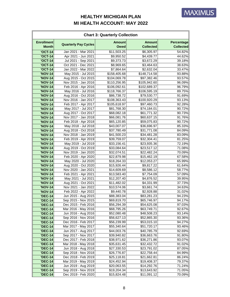| <b>Chart 3: Quarterly Collection</b> |                                            |                              |                                   |                                |  |
|--------------------------------------|--------------------------------------------|------------------------------|-----------------------------------|--------------------------------|--|
| <b>Enrollment</b><br><b>Month</b>    | <b>Quarterly Pay Cycles</b>                | <b>Amount</b><br><b>Owed</b> | <b>Amount</b><br><b>Collected</b> | Percentage<br><b>Collected</b> |  |
| <b>'OCT-14</b>                       | Jan 2021 - Mar 2021                        | \$11,503.25                  | \$6,305.97                        | 54.82%                         |  |
| <b>'OCT-14</b>                       | Apr 2021 - Jun 2021                        | $\overline{$9,950.52}$       | $\overline{$}4,439.77$            | 44.62%                         |  |
| <b>'OCT-14</b>                       | Jul 2021 - Sep 2021                        | \$9,373.73                   | \$3,672.29                        | 39.18%                         |  |
| <b>'OCT-14</b>                       | Oct 2021 - Dec 2021                        | \$8,969.65                   | \$3,464.63                        | 38.63%                         |  |
| <b>'OCT-14</b>                       | Jan 2022 - Mar 2022                        | \$7,864.64                   | \$2,632.04                        | 33.47%                         |  |
| <b>'NOV-14</b>                       | May 2015 - Jul 2015                        | \$158,405.68                 | \$148,714.58                      | 93.88%                         |  |
| <b>'NOV-14</b>                       | Aug 2015 - Oct 2015                        | \$104,069.78                 | \$97,382.46                       | 93.57%                         |  |
| <b>'NOV-14</b>                       | Nov 2015 - Jan 2016                        | \$110,256.95                 | \$105,942.60                      | 96.09%                         |  |
| <b>'NOV-14</b>                       | Feb 2016 - Apr 2016                        | \$106,092.61                 | \$102,689.37                      | 96.79%                         |  |
| <b>'NOV-14</b>                       | May 2016 - Jul 2016                        | \$118,766.37                 | \$106,595.19                      | 89.75%                         |  |
| <b>'NOV-14</b>                       | Aug 2016 - Oct 2016                        | \$86,738.72                  | \$79,530.77                       | 91.69%                         |  |
| <b>'NOV-14</b>                       | Nov 2016 - Jan 2017                        | \$108,363.43                 | \$100,920.29                      | 93.13%                         |  |
| <b>'NOV-14</b>                       | Feb 2017 - Apr 2017                        | \$105,618.97                 | \$97,460.73                       | 92.28%                         |  |
| <b>'NOV-14</b>                       | May 2017 - Jul 2017                        | \$81,768.30                  | \$74,184.01                       | 90.72%                         |  |
| <b>'NOV-14</b>                       | Aug 2017 - Oct 2017                        | \$68,082.18                  | \$61,771.32                       | 90.73%                         |  |
| 'NOV-14                              | Nov 2017 - Jan 2018                        | \$66,081.76                  | \$60,637.15                       | 91.76%                         |  |
| 'NOV-14                              | Feb 2018 - Apr 2018                        | \$65,120.85                  | \$59,075.83                       | 90.72%                         |  |
| <b>'NOV-14</b>                       | May 2018 - Jul 2018                        | \$43,007.07                  | \$36,696.97                       | 85.33%                         |  |
| <b>'NOV-14</b>                       | Aug 2018 - Oct 2018                        | \$37,780.49                  | \$31,771.08                       | 84.09%                         |  |
| <b>'NOV-14</b>                       | Nov 2018 - Jan 2019                        | \$41,500.23                  | \$34,481.28                       | 83.09%                         |  |
| <b>'NOV-14</b>                       | Feb 2019 - Apr 2019                        | \$39,759.07                  | \$32,304.41                       | 81.25%                         |  |
| <b>'NOV-14</b>                       | May 2019 - Jul 2019                        | \$33,156.41                  | \$23,935.36                       | 72.19%                         |  |
| <b>'NOV-14</b>                       | Aug 2019 - Oct 2019                        | \$33,084.64                  | \$23,517.12                       | 71.08%                         |  |
| <b>'NOV-14</b>                       | Nov 2019 - Jan 2020                        | \$32,074.51                  | \$22,482.24                       | 70.09%                         |  |
| <b>'NOV-14</b>                       | Feb 2020 - Apr 2020                        | \$22,879.98                  | \$15,462.19                       | 67.58%                         |  |
| <b>'NOV-14</b>                       | May 2020 - Jul 2020                        | \$18,264.33                  | \$12,053.27                       | 65.99%                         |  |
| <b>'NOV-14</b>                       | Aug 2020 - Oct 2020<br>Nov 2020 - Jan 2021 | \$15,926.44                  | \$9,817.22<br>\$8,586.12          | 61.64%                         |  |
| <b>'NOV-14</b><br><b>'NOV-14</b>     | Feb 2021 - Apr 2021                        | \$14,609.69<br>\$13,583.40   | \$7,754.09                        | 58.77%                         |  |
| 'NOV-14                              | May 2021 - Jul 2021                        | \$12,207.40                  | \$4,876.52                        | 57.09%<br>39.95%               |  |
| <b>'NOV-14</b>                       | Aug 2021 - Oct 2021                        | \$11,482.02                  | \$4,331.99                        | 37.73%                         |  |
| <b>'NOV-14</b>                       | Nov 2021 - Jan 2022                        | \$10,574.06                  | \$3,661.74                        | 34.63%                         |  |
| <b>'NOV-14</b>                       | Feb 2022 - Apr 2022                        | \$9,440.78                   | \$2,928.88                        | 31.02%                         |  |
| <b>'DEC-14</b>                       | Jun 2015 - Aug 2015                        | \$88,383.04                  | \$83,281.23                       | 94.23%                         |  |
| <b>'DEC-14</b>                       | Sep 2015 - Nov 2015                        | \$69,819.70                  | \$65,746.97                       | 94.17%                         |  |
| <b>'DEC-14</b>                       | Dec 2015 - Feb 2016                        | \$56,294.39                  | \$54,625.08                       | 97.03%                         |  |
| <b>'DEC-14</b>                       | Mar 2016 - May 2016                        | \$68,795.26                  | \$63,749.71                       | 92.67%                         |  |
| <b>'DEC-14</b>                       | Jun 2016 - Aug 2016                        | \$52,080.48                  | \$48,508.23                       | 93.14%                         |  |
| <b>'DEC-14</b>                       | Sep 2016 - Nov 2016                        | \$56,627.13                  | \$52,865.30                       | 93.36%                         |  |
| <b>'DEC-14</b>                       | Dec 2016 - Feb 2017                        | \$56,239.99                  | \$53,015.10                       | 94.27%                         |  |
| <b>'DEC-14</b>                       | Mar 2017 - May 2017                        | \$55,340.64                  | \$51,720.17                       | 93.46%                         |  |
| <b>'DEC-14</b>                       | Jun 2017 - Aug 2017                        | \$44,003.76                  | \$40,785.79                       | 92.69%                         |  |
| <b>'DEC-14</b>                       | Sep 2017 - Nov 2017                        | \$39,940.82                  | \$36,663.76                       | 91.80%                         |  |
| <b>'DEC-14</b>                       | Dec 2017 - Feb 2018                        | \$38,971.62                  | \$36,271.86                       | 93.07%                         |  |
| <b>'DEC-14</b>                       | Mar 2018 - May 2018                        | \$35,631.45                  | \$32,432.72                       | 91.02%                         |  |
| <b>'DEC-14</b>                       | Jun 2018 - Aug 2018                        | \$27,330.53                  | \$23,791.02                       | 87.05%                         |  |
| <b>'DEC-14</b>                       | Sep 2018 - Nov 2018                        | \$26,776.87                  | \$22,758.44                       | 84.99%                         |  |
| <b>'DEC-14</b>                       | Dec 2018 - Feb 2019                        | \$25,118.81                  | \$21,662.81                       | 86.24%                         |  |
| <b>'DEC-14</b>                       | Mar 2019 - May 2019                        | \$24,452.94                  | \$19,408.37                       | 79.37%                         |  |
| <b>'DEC-14</b>                       | Jun 2019 - Aug 2019                        | \$20,063.55                  | \$14,292.76                       | 71.24%                         |  |
| <b>'DEC-14</b>                       | Sep 2019 - Nov 2019                        | \$19,204.34                  | \$13,643.92                       | 71.05%                         |  |
| <b>'DEC-14</b>                       | Dec 2019 - Feb 2020                        | \$15,824.48                  | \$11,091.12                       | 70.09%                         |  |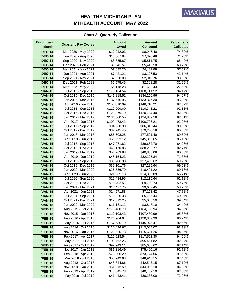| <b>Chart 3: Quarterly Collection</b> |                                            |                              |                                   |                                       |  |
|--------------------------------------|--------------------------------------------|------------------------------|-----------------------------------|---------------------------------------|--|
| <b>Enrollment</b><br><b>Month</b>    | <b>Quarterly Pay Cycles</b>                | <b>Amount</b><br><b>Owed</b> | <b>Amount</b><br><b>Collected</b> | <b>Percentage</b><br><b>Collected</b> |  |
| <b>'DEC-14</b>                       | Mar 2020 - May 2020                        | \$12,042.03                  | \$8,947.40                        | 74.30%                                |  |
| <b>'DEC-14</b>                       | Jun 2020 - Aug 2020                        | \$10,367.84                  | \$7,390.48                        | 71.28%                                |  |
| <b>'DEC-14</b>                       | Sep 2020 - Nov 2020                        | \$8,885.87                   | \$5,811.75                        | 65.40%                                |  |
| <b>'DEC-14</b>                       | Dec 2020 - Feb 2021                        | \$8,541.57                   | \$5,442.58                        | 63.72%                                |  |
| <b>'DEC-14</b>                       | Mar 2021 - May 2021                        | \$7,825.25                   | \$4,461.88                        | 57.02%                                |  |
| <b>'DEC-14</b>                       | Jun 2021 - Aug 2021                        | \$7,421.21                   | \$3,127.53                        | 42.14%                                |  |
| <b>'DEC-14</b>                       | Sep 2021 - Nov 2021                        | \$7,550.09                   | \$2,940.76                        | 38.95%                                |  |
| <b>'DEC-14</b>                       | Dec 2021 - Feb 2022                        | \$6,975.45                   | \$2,301.28                        | 32.99%                                |  |
| <b>'DEC-14</b>                       | Mar 2022 - May 2022                        | \$6,118.23                   | \$1,682.43                        | 27.50%                                |  |
| <b>'JAN-15</b>                       | Jul 2015 - Sep 2015                        | \$179,164.54                 | \$168,711.52                      | 94.17%                                |  |
| 'JAN-15                              | Oct 2015 - Dec 2015                        | \$141,818.52                 | \$134,256.96                      | 94.67%                                |  |
| 'JAN-15                              | Jan 2016 - Mar 2016                        | \$137,616.96                 | \$133,377.30                      | 96.92%                                |  |
| 'JAN-15                              | Apr 2016 - Jun 2016                        | \$158,310.09                 | \$146,710.21                      | 92.67%                                |  |
| 'JAN-15                              | Jul 2016 - Sep 2016                        | \$119,209.60                 | \$110,345.21                      | 92.56%                                |  |
| 'JAN-15                              | Oct 2016 - Dec 2016                        | \$129,879.79                 | \$120,724.40                      | 92.95%                                |  |
| 'JAN-15                              | Jan 2017 - Mar 2017                        | \$134,800.55                 | \$124,839.56                      | 92.61%                                |  |
| 'JAN-15                              | Apr 2017 - Jun 2017                        | \$109,478.42                 | \$100,796.21                      | 92.07%                                |  |
| 'JAN-15                              | Jul 2017 - Sep 2017                        | \$94,960.30                  | \$86,345.44                       | 90.93%                                |  |
| 'JAN-15                              | Oct 2017 - Dec 2017                        | \$87,745.45                  | \$79,260.18                       | 90.33%                                |  |
| <b>'JAN-15</b>                       | Jan 2018 - Mar 2018                        | \$86,503.28                  | \$77,521.40                       | 89.62%                                |  |
| 'JAN-15                              | Apr 2018 - Jun 2018                        | \$53,233.12                  | \$45,835.65                       | 86.10%                                |  |
| 'JAN-15                              | Jul 2018 - Sep 2018                        | \$47,071.82                  | \$39,662.70                       | 84.26%                                |  |
| 'JAN-15                              | Oct 2018 - Dec 2018<br>Jan 2019 - Mar 2019 | \$46,170.85                  | \$38,202.77                       | 82.74%                                |  |
| 'JAN-15<br>'JAN-15                   | Apr 2019 - Jun 2019                        | \$50,783.88<br>\$45,154.23   | \$40,808.08<br>\$32,225.84        | 80.36%<br>71.37%                      |  |
| 'JAN-15                              | Jul 2019 - Sep 2019                        | \$39,706.33                  | \$27,489.62                       | 69.23%                                |  |
| <b>'JAN-15</b>                       | Oct 2019 - Dec 2019                        | \$39,101.76                  | \$27,225.64                       | 69.63%                                |  |
| 'JAN-15                              | Jan 2020 - Mar 2020                        | \$26,736.79                  | \$18,491.22                       | 69.16%                                |  |
| 'JAN-15                              | Apr 2020 - Jun 2020                        | \$21,565.18                  | \$14,386.09                       | 66.71%                                |  |
| <b>'JAN-15</b>                       | Jul 2020 - Sep 2020                        | \$19,484.95                  | \$12,116.64                       | 62.18%                                |  |
| 'JAN-15                              | Oct 2020 - Dec 2020                        | \$16,402.51                  | \$9,799.73                        | 59.75%                                |  |
| <b>'JAN-15</b>                       | Jan 2021 - Mar 2021                        | \$16,437.75                  | \$9,687.45                        | 58.93%                                |  |
| 'JAN-15                              | Apr 2021 - Jun 2021                        | \$14,971.88                  | \$7,153.42                        | 47.78%                                |  |
| <b>'JAN-15</b>                       | Jul 2021 - Sep 2021                        | \$13,926.33                  | \$5,705.44                        | 40.97%                                |  |
| <b>'JAN-15</b>                       | Oct 2021 - Dec 2021                        | \$12,812.25                  | \$5,065.50                        | 39.54%                                |  |
| 'JAN-15                              | Jan 2022 - Mar 2022                        | \$11,181.12                  | \$3,848.10                        | 34.42%                                |  |
| <b>'FEB-15</b>                       | Aug 2015 - Oct 2015                        | \$173,480.79                 | \$164,190.94                      | 94.65%                                |  |
| <b>'FEB-15</b>                       | Nov 2015 - Jan 2016                        | \$112,103.43                 | \$107,480.99                      | 95.88%                                |  |
| <b>'FEB-15</b>                       | Feb 2016 - Apr 2016                        | \$124,904.64                 | \$120,832.90                      | 96.74%                                |  |
| <b>'FEB-15</b>                       | May 2016 - Jul 2016                        | \$157,535.79                 | \$145,975.47                      | 92.66%                                |  |
| <b>'FEB-15</b>                       | Aug 2016 - Oct 2016                        | \$120,496.67                 | \$113,005.07                      | 93.78%                                |  |
| <b>'FEB-15</b>                       | Nov 2016 - Jan 2017                        | \$122,920.73                 | \$115,621.26                      | 94.06%                                |  |
| <b>'FEB-15</b>                       | Feb 2017 - Apr 2017                        | \$125,023.54                 | \$117,592.30                      | 94.06%                                |  |
| <b>'FEB-15</b>                       | May 2017 - Jul 2017                        | \$102,762.26                 | \$95,401.82                       | 92.84%                                |  |
| <b>'FEB-15</b>                       | Aug 2017 - Oct 2017                        | \$92,943.11                  | \$85,633.62                       | 92.14%                                |  |
| <b>'FEB-15</b>                       | Nov 2017 - Jan 2018                        | \$81,316.49                  | \$75,400.16                       | 92.72%                                |  |
| <b>'FEB-15</b>                       | Feb 2018 - Apr 2018                        | \$79,806.29                  | \$73,174.66                       | 91.69%                                |  |
| <b>'FEB-15</b>                       | May 2018 - Jul 2018                        | \$55,949.68                  | \$48,943.15                       | 87.48%                                |  |
| <b>'FEB-15</b>                       | Aug 2018 - Oct 2018                        | \$48,844.86                  | \$42,543.15                       | 87.10%                                |  |
| <b>'FEB-15</b>                       | Nov 2018 - Jan 2019                        | \$51,812.59                  | \$44,029.10                       | 84.98%                                |  |
| <b>'FEB-15</b>                       | Feb 2019 - Apr 2019                        | \$48,845.73                  | \$40,469.10                       | 82.85%                                |  |
| <b>'FEB-15</b>                       | May 2019 - Jul 2019                        | \$41,443.41                  | \$30,238.00                       | 72.96%                                |  |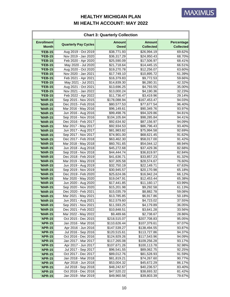| <b>Chart 3: Quarterly Collection</b> |                                            |                              |                                   |                                       |  |
|--------------------------------------|--------------------------------------------|------------------------------|-----------------------------------|---------------------------------------|--|
| <b>Enrollment</b><br><b>Month</b>    | <b>Quarterly Pay Cycles</b>                | <b>Amount</b><br><b>Owed</b> | <b>Amount</b><br><b>Collected</b> | <b>Percentage</b><br><b>Collected</b> |  |
| <b>'FEB-15</b>                       | Aug 2019 - Oct 2019                        | \$38,771.93                  | \$26,994.19                       | 69.62%                                |  |
| <b>'FEB-15</b>                       | Nov 2019 - Jan 2020                        | \$36,317.29                  | \$24,950.43                       | 68.70%                                |  |
| <b>'FEB-15</b>                       | Feb 2020 - Apr 2020                        | \$25,590.09                  | \$17,506.97                       | 68.41%                                |  |
| <b>'FEB-15</b>                       | May 2020 - Jul 2020                        | \$21,718.64                  | \$14,445.15                       | 66.51%                                |  |
| <b>'FEB-15</b>                       | Aug 2020 - Oct 2020                        | \$19,270.78                  | \$12,256.07                       | 63.60%                                |  |
| <b>'FEB-15</b>                       | Nov 2020 - Jan 2021                        | \$17,749.10                  | \$10,895.72                       | 61.39%                                |  |
| <b>'FEB-15</b>                       | Feb 2021 - Apr 2021                        | \$16,379.83                  | \$9,772.53                        | 59.66%                                |  |
| <b>'FEB-15</b>                       | May 2021 - Jul 2021                        | \$14,839.30                  | \$6,280.31                        | 42.32%                                |  |
| <b>'FEB-15</b>                       | Aug 2021 - Oct 2021                        | \$13,696.25                  | \$4,793.55                        | 35.00%                                |  |
| <b>'FEB-15</b>                       | Nov 2021 - Jan 2022                        | \$13,000.24                  | \$4,190.36                        | 32.23%                                |  |
| <b>'FEB-15</b>                       | Feb 2022 - Apr 2022                        | \$11,736.47                  | \$3,419.96                        | 29.14%                                |  |
| <b>'MAR-15</b>                       | Sep 2015 - Nov 2015                        | \$178,088.94                 | \$167,453.47                      | 94.03%                                |  |
| <b>'MAR-15</b>                       | Dec 2015 - Feb 2016                        | \$80,577.53                  | \$77,677.54                       | 96.40%                                |  |
| <b>'MAR-15</b>                       | Mar 2016 - May 2016                        | \$96,149.61                  | \$90,349.76                       | 93.97%                                |  |
| <b>'MAR-15</b>                       | Jun 2016 - Aug 2016                        | \$99,498.76                  | \$94,329.86                       | 94.81%                                |  |
| <b>'MAR-15</b>                       | Sep 2016 - Nov 2016                        | \$104,105.84                 | \$98,285.84                       | 94.41%                                |  |
| <b>'MAR-15</b>                       | Dec 2016 - Feb 2017                        | \$92,634.92                  | \$87,156.97                       | 94.09%                                |  |
| <b>'MAR-15</b>                       | Mar 2017 - May 2017                        | \$92,934.53                  | \$86,796.43                       | 93.40%                                |  |
| <b>'MAR-15</b>                       | Jun 2017 - Aug 2017                        | \$81,983.82                  | \$75,994.58                       | 92.69%                                |  |
| <b>'MAR-15</b>                       | Sep 2017 - Nov 2017<br>Dec 2017 - Feb 2018 | \$74,901.00                  | \$68,621.45                       | 91.62%                                |  |
| <b>'MAR-15</b><br><b>'MAR-15</b>     | Mar 2018 - May 2018                        | \$63,462.30<br>\$60,761.65   | \$58,017.00<br>\$54,044.12        | 91.42%<br>88.94%                      |  |
| <b>'MAR-15</b>                       | Jun 2018 - Aug 2018                        | \$45,272.68                  | \$37,429.36                       | 82.68%                                |  |
| <b>'MAR-15</b>                       | Sep 2018 - Nov 2018                        | \$44,444.74                  | \$36,819.97                       | 82.84%                                |  |
| <b>'MAR-15</b>                       | Dec 2018 - Feb 2019                        | \$41,636.71                  | \$33,857.23                       | 81.32%                                |  |
| <b>'MAR-15</b>                       | Mar 2019 - May 2019                        | \$37,305.58                  | \$28,574.67                       | 76.60%                                |  |
| <b>'MAR-15</b>                       | Jun 2019 - Aug 2019                        | \$32,750.19                  | \$22,149.71                       | 67.63%                                |  |
| <b>'MAR-15</b>                       | Sep 2019 - Nov 2019                        | \$30,945.57                  | \$20,170.98                       | 65.18%                                |  |
| <b>'MAR-15</b>                       | Dec 2019 - Feb 2020                        | \$25,624.06                  | \$16,942.24                       | 66.12%                                |  |
| <b>'MAR-15</b>                       | Mar 2020 - May 2020                        | \$19,047.91                  | \$12,453.44                       | 65.38%                                |  |
| <b>'MAR-15</b>                       | Jun 2020 - Aug 2020                        | \$17,441.85                  | \$11,160.17                       | 63.99%                                |  |
| <b>'MAR-15</b>                       | Sep 2020 - Nov 2020                        | \$15,201.98                  | \$9,292.58                        | 61.13%                                |  |
| <b>'MAR-15</b>                       | Dec 2020 - Feb 2021                        | \$15,035.79                  | \$8,882.78                        | 59.08%                                |  |
| <b>'MAR-15</b>                       | Mar 2021 - May 2021                        | \$13,785.85                  | \$6,917.86                        | 50.18%                                |  |
| <b>'MAR-15</b>                       | Jun 2021 - Aug 2021                        | \$12,579.60                  | \$4,723.02                        | 37.55%                                |  |
| <b>'MAR-15</b>                       | Sep 2021 - Nov 2021                        | \$11,593.25                  | \$4,179.89                        | 36.05%                                |  |
| <b>'MAR-15</b>                       | Dec 2021 - Feb 2022                        | \$10,848.51                  | \$3,641.28                        | 33.56%                                |  |
| <b>'MAR-15</b>                       | Mar 2022 - May 2022                        | \$9,489.66                   | \$2,738.67                        | 28.86%                                |  |
| <b>'APR-15</b>                       | Oct 2015 - Dec 2015                        | \$218,515.07                 | \$207,708.83                      | 95.05%                                |  |
| <b>'APR-15</b>                       | Jan 2016 - Mar 2016                        | \$110,626.44                 | \$107,379.61                      | 97.07%                                |  |
| <b>'APR-15</b>                       | Apr 2016 - Jun 2016                        | \$147,539.27                 | \$138,494.55                      | 93.87%                                |  |
| <b>'APR-15</b>                       | Jul 2016 - Sep 2016                        | \$120,515.61                 | \$113,727.86                      | 94.37%                                |  |
| 'APR-15                              | Oct 2016 - Dec 2016                        | \$124,929.26                 | \$117,543.96                      | 94.09%                                |  |
| <b>'APR-15</b>                       | Jan 2017 - Mar 2017                        | \$117,265.08                 | \$109,256.28                      | 93.17%                                |  |
| 'APR-15                              | Apr 2017 - Jun 2017                        | \$107,671.26                 | \$100,113.78                      | 92.98%                                |  |
| <b>'APR-15</b>                       | Jul 2017 - Sep 2017                        | \$96,541.55                  | \$89,062.75                       | 92.25%                                |  |
| <b>'APR-15</b>                       | Oct 2017 - Dec 2017                        | \$89,012.76                  | \$81,528.93                       | 91.59%                                |  |
| <b>'APR-15</b>                       | Jan 2018 - Mar 2018                        | \$81,819.21                  | \$74,267.60                       | 90.77%                                |  |
| <b>'APR-15</b>                       | Apr 2018 - Jun 2018                        | \$53,004.32                  | \$45,672.29                       | 86.17%                                |  |
| <b>'APR-15</b>                       | Jul 2018 - Sep 2018                        | \$48,242.67                  | \$40,236.57                       | 83.40%                                |  |
| <b>'APR-15</b>                       | Oct 2018 - Dec 2018                        | \$47,520.22                  | \$38,693.32                       | 81.42%                                |  |
| <b>'APR-15</b>                       | Jan 2019 - Mar 2019                        | \$49,960.58                  | \$39,803.39                       | 79.67%                                |  |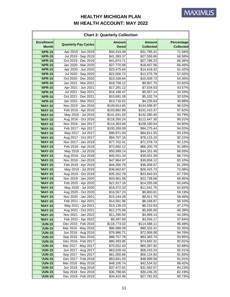| <b>Chart 3: Quarterly Collection</b> |                             |                              |                                   |                                       |  |
|--------------------------------------|-----------------------------|------------------------------|-----------------------------------|---------------------------------------|--|
| <b>Enrollment</b><br><b>Month</b>    | <b>Quarterly Pay Cycles</b> | <b>Amount</b><br><b>Owed</b> | <b>Amount</b><br><b>Collected</b> | <b>Percentage</b><br><b>Collected</b> |  |
| <b>'APR-15</b>                       | Apr 2019 - Jun 2019         | \$44,419.49                  | \$31,795.41                       | 71.58%                                |  |
| 'APR-15                              | Jul 2019 - Sep 2019         | \$41,393.37                  | \$27,559.66                       | 66.58%                                |  |
| <b>'APR-15</b>                       | Oct 2019 - Dec 2019         | \$41,874.71                  | \$27,786.23                       | 66.36%                                |  |
| <b>'APR-15</b>                       | Jan 2020 - Mar 2020         | \$27,770.99                  | \$18,457.56                       | 66.46%                                |  |
| <b>'APR-15</b>                       | Apr 2020 - Jun 2020         | \$23,475.64                  | \$14,418.42                       | 61.42%                                |  |
| <b>'APR-15</b>                       | Jul 2020 - Sep 2020         | \$22,056.72                  | \$12,575.78                       | 57.02%                                |  |
| 'APR-15                              | Oct 2020 - Dec 2020         | \$19,338.64                  | \$10,509.73                       | 54.35%                                |  |
| <b>'APR-15</b>                       | Jan 2021 - Mar 2021         | \$18,758.12                  | \$9,907.75                        | 52.82%                                |  |
| <b>'APR-15</b>                       | Apr 2021 - Jun 2021         | \$17,291.12                  | \$7,534.53                        | 43.57%                                |  |
| 'APR-15                              | Jul 2021 - Sep 2021         | \$16,188.47                  | \$5,557.14                        | 34.33%                                |  |
| <b>'APR-15</b>                       | Oct 2021 - Dec 2021         | \$15,691.26                  | \$5,102.74                        | 32.52%                                |  |
| <b>'APR-15</b>                       | Jan 2022 - Mar 2022         | \$13,716.52                  | \$4,235.63                        | 30.88%                                |  |
| <b>'MAY-15</b>                       | Nov 2015 - Jan 2016         | \$149,814.65                 | \$144,598.97                      | 96.52%                                |  |
| <b>'MAY-15</b>                       | Feb 2016 - Apr 2016         | \$103,882.89                 | \$101,410.37                      | 97.62%                                |  |
| <b>'MAY-15</b>                       | May 2016 - Jul 2016         | \$141,041.53                 | \$132,280.45                      | 93.79%                                |  |
| <b>'MAY-15</b>                       | Aug 2016 - Oct 2016         | \$118,350.24                 | \$112,447.30                      | 95.01%                                |  |
| <b>'MAY-15</b>                       | Nov 2016 - Jan 2017         | \$114,363.84                 | \$108,190.54                      | 94.60%                                |  |
| <b>'MAY-15</b>                       | Feb 2017 - Apr 2017         | \$100,269.09                 | \$94,275.44                       | 94.02%                                |  |
| <b>'MAY-15</b>                       | May 2017 - Jul 2017         | \$90,971.93                  | \$84,811.55                       | 93.23%                                |  |
| <b>'MAY-15</b>                       | Aug 2017 - Oct 2017         | \$84,707.16                  | \$78,115.10                       | 92.22%                                |  |
| <b>'MAY-15</b>                       | Nov 2017 - Jan 2018         | \$77,702.41                  | \$71,578.73                       | 92.12%                                |  |
| <b>'MAY-15</b>                       | Feb 2018 - Apr 2018         | \$72,682.12                  | \$66,200.79                       | 91.08%                                |  |
| <b>'MAY-15</b>                       | May 2018 - Jul 2018         | \$50,999.14                  | \$44,331.49                       | 86.93%                                |  |
| <b>'MAY-15</b>                       | Aug 2018 - Oct 2018         | \$45,551.34                  | \$39,501.09                       | 86.72%                                |  |
| <b>'MAY-15</b>                       | Nov 2018 - Jan 2019         | \$47,964.97                  | \$39,858.12                       | 83.10%                                |  |
| <b>'MAY-15</b>                       | Feb 2019 - Apr 2019         | \$44,356.79                  | \$36,058.67                       | 81.29%                                |  |
| <b>'MAY-15</b>                       | May 2019 - Jul 2019         | \$36,662.67                  | \$26,425.73                       | 72.08%                                |  |
| <b>'MAY-15</b>                       | Aug 2019 - Oct 2019         | \$35,352.79                  | \$23,943.53                       | 67.73%                                |  |
| 'MAY-15                              | Nov 2019 - Jan 2020         | \$33,961.56                  | \$22,738.68                       | 66.95%                                |  |
| <b>'MAY-15</b>                       | Feb 2020 - Apr 2020         | \$21,917.18                  | \$14,255.08                       | 65.04%                                |  |
| <b>'MAY-15</b>                       | May 2020 - Jul 2020         | \$18,372.33                  | \$11,541.75                       | 62.82%                                |  |
| <b>'MAY-15</b>                       | Aug 2020 - Oct 2020         | \$16,557.23                  | \$9,800.81                        | 59.19%                                |  |
| <b>'MAY-15</b>                       | Nov 2020 - Jan 2021         | \$15,244.28                  | \$8,911.75                        | 58.46%                                |  |
| <b>'MAY-15</b>                       | Feb 2021 - Apr 2021         | \$14,561.96                  | \$8,168.87                        | 56.10%                                |  |
| <b>'MAY-15</b>                       | May 2021 - Jul 2021         | \$13,139.23                  | \$6,210.93                        | 47.27%                                |  |
| <b>'MAY-15</b>                       | Aug 2021 - Oct 2021         | \$12,275.94                  | \$5,695.00                        | 46.39%                                |  |
| 'MAY-15                              | Nov 2021 - Jan 2022         | \$11,290.50                  | \$4,999.14                        | 44.28%                                |  |
| <b>'MAY-15</b>                       | Feb 2022 - Apr 2022         | \$9,397.69                   | \$3,556.17                        | 37.84%                                |  |
| <b>'JUN-15</b>                       | Dec 2015 - Feb 2016         | \$118,773.02                 | \$114,588.11                      | 96.48%                                |  |
| <b>'JUN-15</b>                       | Mar 2016 - May 2016         | \$86,988.09                  | \$80,332.41                       | 92.35%                                |  |
| <b>'JUN-15</b>                       | Jun 2016 - Aug 2016         | \$76,986.71                  | \$72,956.08                       | 94.76%                                |  |
| <b>'JUN-15</b>                       | Sep 2016 - Nov 2016         | \$88,757.78                  | \$83,383.70                       | 93.95%                                |  |
| <b>'JUN-15</b>                       | Dec 2016 - Feb 2017         | \$80,393.95                  | \$74,692.31                       | 92.91%                                |  |
| <b>'JUN-15</b>                       | Mar 2017 - May 2017         | \$70,552.43                  | \$65,387.92                       | 92.68%                                |  |
| <b>'JUN-15</b>                       | Jun 2017 - Aug 2017         | \$63,028.43                  | \$58,243.24                       | 92.41%                                |  |
| <b>'JUN-15</b>                       | Sep 2017 - Nov 2017         | \$61,050.66                  | \$56,124.83                       | 91.93%                                |  |
| <b>'JUN-15</b>                       | Dec 2017 - Feb 2018         | \$53,841.03                  | \$48,999.56                       | 91.01%                                |  |
| <b>'JUN-15</b>                       | Mar 2018 - May 2018         | \$48,106.74                  | \$42,534.52                       | 88.42%                                |  |
| <b>'JUN-15</b>                       | Jun 2018 - Aug 2018         | \$37,472.91                  | \$31,562.57                       | 84.23%                                |  |
| <b>'JUN-15</b>                       | Sep 2018 - Nov 2018         | \$36,798.65                  | \$30,246.25                       | 82.19%                                |  |
| <b>'JUN-15</b>                       | Dec 2018 - Feb 2019         | \$34,410.46                  | \$27,781.03                       | 80.73%                                |  |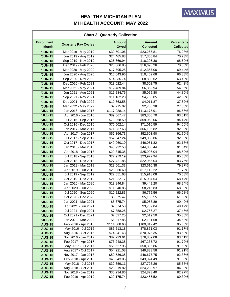| <b>Enrollment</b><br><b>Amount</b><br><b>Amount</b><br><b>Quarterly Pay Cycles</b><br><b>Month</b><br><b>Owed</b><br><b>Collected</b><br>Mar 2019 - May 2019<br>\$30,501.06<br><b>'JUN-15</b><br>\$23,265.81<br><b>'JUN-15</b><br>Jun 2019 - Aug 2019<br>\$24,465.83<br>\$17,305.84<br>Sep 2019 - Nov 2019<br>\$18,295.38<br><b>'JUN-15</b><br>\$26,669.94<br><b>'JUN-15</b><br>Dec 2019 - Feb 2020<br>\$16,693.26<br>\$23,666.85<br>Mar 2020 - May 2020<br>\$17,795.25<br>\$12,357.06<br><b>'JUN-15</b><br><b>'JUN-15</b><br>Jun 2020 - Aug 2020<br>\$15,643.96<br>\$10,462.68<br>Sep 2020 - Nov 2020<br><b>'JUN-15</b><br>\$14,035.74<br>\$8,898.62<br>Dec 2020 - Feb 2021<br>\$13,622.44<br><b>'JUN-15</b><br>\$8,502.75<br><b>'JUN-15</b><br>Mar 2021 - May 2021<br>\$12,489.84<br>\$6,862.94<br>\$11,284.76<br><b>'JUN-15</b><br>Jun 2021 - Aug 2021<br>\$5,055.80<br><b>'JUN-15</b><br>Sep 2021 - Nov 2021<br>\$11,162.23<br>\$4,753.05<br>Dec 2021 - Feb 2022<br>\$10,663.58<br>\$4,011.87<br><b>'JUN-15</b><br>Mar 2022 - May 2022<br>\$9,715.02<br><b>'JUN-15</b><br>\$2,705.38<br>Jan 2016 - Mar 2016<br><b>'JUL-15</b><br>\$117,088.14<br>\$113,175.91<br>\$83,306.70<br><b>'JUL-15</b><br>Apr 2016 - Jun 2016<br>\$89,567.47<br><b>JUL-15</b><br>Jul 2016 - Sep 2016<br>\$69,068.06<br>\$73,368.50<br><b>'JUL-15</b><br>Oct 2016 - Dec 2016<br>\$75,502.14<br>\$71,016.59<br>Jan 2017 - Mar 2017<br>\$71,837.63<br>\$66,106.82<br><b>'JUL-15</b><br><b>'JUL-15</b><br>Apr 2017 - Jun 2017<br>\$52,603.90<br>\$57,366.73<br>Jul 2017 - Sep 2017<br><b>'JUL-15</b><br>\$52,947.24<br>\$49,008.86<br><b>'JUL-15</b><br>Oct 2017 - Dec 2017<br>\$46,051.82<br>\$49,960.10<br><b>'JUL-15</b><br>Jan 2018 - Mar 2018<br>\$48,922.58<br>\$44,830.44<br><b>'JUL-15</b><br>Apr 2018 - Jun 2018<br>\$29,345.35<br>\$25,996.04<br><b>'JUL-15</b><br>Jul 2018 - Sep 2018<br>\$27,979.19<br>\$23,972.94<br><b>'JUL-15</b><br>Oct 2018 - Dec 2018<br>\$22,965.04<br>\$27,421.85<br><b>'JUL-15</b><br>Jan 2019 - Mar 2019<br>\$23,610.38<br>\$29,561.33<br>Apr 2019 - Jun 2019<br>\$17,112.22<br><b>'JUL-15</b><br>\$23,860.60<br>Jul 2019 - Sep 2019<br>\$22,551.68<br>\$15,918.08<br><b>'JUL-15</b><br><b>'JUL-15</b><br>Oct 2019 - Dec 2019<br>\$21,922.17<br>\$15,004.54<br><b>'JUL-15</b><br>Jan 2020 - Mar 2020<br>\$13,846.84<br>\$9,449.20<br>Apr 2020 - Jun 2020<br>\$11,940.85<br><b>'JUL-15</b><br>\$8,215.83<br>Jul 2020 - Sep 2020<br><b>'JUL-15</b><br>\$10,222.83<br>\$6,775.56<br>Oct 2020 - Dec 2020<br><b>'JUL-15</b><br>\$8,375.47<br>\$5,153.55<br>Jan 2021 - Mar 2021<br><b>'JUL-15</b><br>\$8,375.74<br>\$5,058.89<br>Apr 2021 - Jun 2021<br><b>'JUL-15</b><br>\$7,874.58<br>\$3,789.04<br><b>'JUL-15</b><br>Jul 2021 - Sep 2021<br>\$2,756.27<br>\$7,358.25<br>Oct 2021 - Dec 2021<br><b>'JUL-15</b><br>\$7,037.25<br>\$2,519.50<br>Jan 2022 - Mar 2022<br><b>'JUL-15</b><br>\$6,317.85<br>\$2,181.58 | <b>Chart 3: Quarterly Collection</b> |                     |              |              |                                |  |
|---------------------------------------------------------------------------------------------------------------------------------------------------------------------------------------------------------------------------------------------------------------------------------------------------------------------------------------------------------------------------------------------------------------------------------------------------------------------------------------------------------------------------------------------------------------------------------------------------------------------------------------------------------------------------------------------------------------------------------------------------------------------------------------------------------------------------------------------------------------------------------------------------------------------------------------------------------------------------------------------------------------------------------------------------------------------------------------------------------------------------------------------------------------------------------------------------------------------------------------------------------------------------------------------------------------------------------------------------------------------------------------------------------------------------------------------------------------------------------------------------------------------------------------------------------------------------------------------------------------------------------------------------------------------------------------------------------------------------------------------------------------------------------------------------------------------------------------------------------------------------------------------------------------------------------------------------------------------------------------------------------------------------------------------------------------------------------------------------------------------------------------------------------------------------------------------------------------------------------------------------------------------------------------------------------------------------------------------------------------------------------------------------------------------------------------------------------------------------------------------------------------------------------------------------------------------------------------------------------------------------------------------------------------------------------------------------------------------------------------------------------------------------------------------------------------------------------------------------------------------------------------------------------------------------|--------------------------------------|---------------------|--------------|--------------|--------------------------------|--|
|                                                                                                                                                                                                                                                                                                                                                                                                                                                                                                                                                                                                                                                                                                                                                                                                                                                                                                                                                                                                                                                                                                                                                                                                                                                                                                                                                                                                                                                                                                                                                                                                                                                                                                                                                                                                                                                                                                                                                                                                                                                                                                                                                                                                                                                                                                                                                                                                                                                                                                                                                                                                                                                                                                                                                                                                                                                                                                                           |                                      |                     |              |              | Percentage<br><b>Collected</b> |  |
|                                                                                                                                                                                                                                                                                                                                                                                                                                                                                                                                                                                                                                                                                                                                                                                                                                                                                                                                                                                                                                                                                                                                                                                                                                                                                                                                                                                                                                                                                                                                                                                                                                                                                                                                                                                                                                                                                                                                                                                                                                                                                                                                                                                                                                                                                                                                                                                                                                                                                                                                                                                                                                                                                                                                                                                                                                                                                                                           |                                      |                     |              |              | 76.28%                         |  |
|                                                                                                                                                                                                                                                                                                                                                                                                                                                                                                                                                                                                                                                                                                                                                                                                                                                                                                                                                                                                                                                                                                                                                                                                                                                                                                                                                                                                                                                                                                                                                                                                                                                                                                                                                                                                                                                                                                                                                                                                                                                                                                                                                                                                                                                                                                                                                                                                                                                                                                                                                                                                                                                                                                                                                                                                                                                                                                                           |                                      |                     |              |              | 70.73%                         |  |
|                                                                                                                                                                                                                                                                                                                                                                                                                                                                                                                                                                                                                                                                                                                                                                                                                                                                                                                                                                                                                                                                                                                                                                                                                                                                                                                                                                                                                                                                                                                                                                                                                                                                                                                                                                                                                                                                                                                                                                                                                                                                                                                                                                                                                                                                                                                                                                                                                                                                                                                                                                                                                                                                                                                                                                                                                                                                                                                           |                                      |                     |              |              | 68.60%                         |  |
|                                                                                                                                                                                                                                                                                                                                                                                                                                                                                                                                                                                                                                                                                                                                                                                                                                                                                                                                                                                                                                                                                                                                                                                                                                                                                                                                                                                                                                                                                                                                                                                                                                                                                                                                                                                                                                                                                                                                                                                                                                                                                                                                                                                                                                                                                                                                                                                                                                                                                                                                                                                                                                                                                                                                                                                                                                                                                                                           |                                      |                     |              |              | 70.53%                         |  |
|                                                                                                                                                                                                                                                                                                                                                                                                                                                                                                                                                                                                                                                                                                                                                                                                                                                                                                                                                                                                                                                                                                                                                                                                                                                                                                                                                                                                                                                                                                                                                                                                                                                                                                                                                                                                                                                                                                                                                                                                                                                                                                                                                                                                                                                                                                                                                                                                                                                                                                                                                                                                                                                                                                                                                                                                                                                                                                                           |                                      |                     |              |              | 69.44%                         |  |
|                                                                                                                                                                                                                                                                                                                                                                                                                                                                                                                                                                                                                                                                                                                                                                                                                                                                                                                                                                                                                                                                                                                                                                                                                                                                                                                                                                                                                                                                                                                                                                                                                                                                                                                                                                                                                                                                                                                                                                                                                                                                                                                                                                                                                                                                                                                                                                                                                                                                                                                                                                                                                                                                                                                                                                                                                                                                                                                           |                                      |                     |              |              | 66.88%                         |  |
|                                                                                                                                                                                                                                                                                                                                                                                                                                                                                                                                                                                                                                                                                                                                                                                                                                                                                                                                                                                                                                                                                                                                                                                                                                                                                                                                                                                                                                                                                                                                                                                                                                                                                                                                                                                                                                                                                                                                                                                                                                                                                                                                                                                                                                                                                                                                                                                                                                                                                                                                                                                                                                                                                                                                                                                                                                                                                                                           |                                      |                     |              |              | 63.40%                         |  |
|                                                                                                                                                                                                                                                                                                                                                                                                                                                                                                                                                                                                                                                                                                                                                                                                                                                                                                                                                                                                                                                                                                                                                                                                                                                                                                                                                                                                                                                                                                                                                                                                                                                                                                                                                                                                                                                                                                                                                                                                                                                                                                                                                                                                                                                                                                                                                                                                                                                                                                                                                                                                                                                                                                                                                                                                                                                                                                                           |                                      |                     |              |              | 62.42%                         |  |
|                                                                                                                                                                                                                                                                                                                                                                                                                                                                                                                                                                                                                                                                                                                                                                                                                                                                                                                                                                                                                                                                                                                                                                                                                                                                                                                                                                                                                                                                                                                                                                                                                                                                                                                                                                                                                                                                                                                                                                                                                                                                                                                                                                                                                                                                                                                                                                                                                                                                                                                                                                                                                                                                                                                                                                                                                                                                                                                           |                                      |                     |              |              | 54.95%                         |  |
|                                                                                                                                                                                                                                                                                                                                                                                                                                                                                                                                                                                                                                                                                                                                                                                                                                                                                                                                                                                                                                                                                                                                                                                                                                                                                                                                                                                                                                                                                                                                                                                                                                                                                                                                                                                                                                                                                                                                                                                                                                                                                                                                                                                                                                                                                                                                                                                                                                                                                                                                                                                                                                                                                                                                                                                                                                                                                                                           |                                      |                     |              |              | 44.80%                         |  |
|                                                                                                                                                                                                                                                                                                                                                                                                                                                                                                                                                                                                                                                                                                                                                                                                                                                                                                                                                                                                                                                                                                                                                                                                                                                                                                                                                                                                                                                                                                                                                                                                                                                                                                                                                                                                                                                                                                                                                                                                                                                                                                                                                                                                                                                                                                                                                                                                                                                                                                                                                                                                                                                                                                                                                                                                                                                                                                                           |                                      |                     |              |              | 42.58%                         |  |
|                                                                                                                                                                                                                                                                                                                                                                                                                                                                                                                                                                                                                                                                                                                                                                                                                                                                                                                                                                                                                                                                                                                                                                                                                                                                                                                                                                                                                                                                                                                                                                                                                                                                                                                                                                                                                                                                                                                                                                                                                                                                                                                                                                                                                                                                                                                                                                                                                                                                                                                                                                                                                                                                                                                                                                                                                                                                                                                           |                                      |                     |              |              | 37.62%                         |  |
|                                                                                                                                                                                                                                                                                                                                                                                                                                                                                                                                                                                                                                                                                                                                                                                                                                                                                                                                                                                                                                                                                                                                                                                                                                                                                                                                                                                                                                                                                                                                                                                                                                                                                                                                                                                                                                                                                                                                                                                                                                                                                                                                                                                                                                                                                                                                                                                                                                                                                                                                                                                                                                                                                                                                                                                                                                                                                                                           |                                      |                     |              |              | 27.85%                         |  |
|                                                                                                                                                                                                                                                                                                                                                                                                                                                                                                                                                                                                                                                                                                                                                                                                                                                                                                                                                                                                                                                                                                                                                                                                                                                                                                                                                                                                                                                                                                                                                                                                                                                                                                                                                                                                                                                                                                                                                                                                                                                                                                                                                                                                                                                                                                                                                                                                                                                                                                                                                                                                                                                                                                                                                                                                                                                                                                                           |                                      |                     |              |              | 96.66%                         |  |
|                                                                                                                                                                                                                                                                                                                                                                                                                                                                                                                                                                                                                                                                                                                                                                                                                                                                                                                                                                                                                                                                                                                                                                                                                                                                                                                                                                                                                                                                                                                                                                                                                                                                                                                                                                                                                                                                                                                                                                                                                                                                                                                                                                                                                                                                                                                                                                                                                                                                                                                                                                                                                                                                                                                                                                                                                                                                                                                           |                                      |                     |              |              | 93.01%                         |  |
|                                                                                                                                                                                                                                                                                                                                                                                                                                                                                                                                                                                                                                                                                                                                                                                                                                                                                                                                                                                                                                                                                                                                                                                                                                                                                                                                                                                                                                                                                                                                                                                                                                                                                                                                                                                                                                                                                                                                                                                                                                                                                                                                                                                                                                                                                                                                                                                                                                                                                                                                                                                                                                                                                                                                                                                                                                                                                                                           |                                      |                     |              |              | 94.14%                         |  |
|                                                                                                                                                                                                                                                                                                                                                                                                                                                                                                                                                                                                                                                                                                                                                                                                                                                                                                                                                                                                                                                                                                                                                                                                                                                                                                                                                                                                                                                                                                                                                                                                                                                                                                                                                                                                                                                                                                                                                                                                                                                                                                                                                                                                                                                                                                                                                                                                                                                                                                                                                                                                                                                                                                                                                                                                                                                                                                                           |                                      |                     |              |              | 94.06%                         |  |
|                                                                                                                                                                                                                                                                                                                                                                                                                                                                                                                                                                                                                                                                                                                                                                                                                                                                                                                                                                                                                                                                                                                                                                                                                                                                                                                                                                                                                                                                                                                                                                                                                                                                                                                                                                                                                                                                                                                                                                                                                                                                                                                                                                                                                                                                                                                                                                                                                                                                                                                                                                                                                                                                                                                                                                                                                                                                                                                           |                                      |                     |              |              | 92.02%                         |  |
|                                                                                                                                                                                                                                                                                                                                                                                                                                                                                                                                                                                                                                                                                                                                                                                                                                                                                                                                                                                                                                                                                                                                                                                                                                                                                                                                                                                                                                                                                                                                                                                                                                                                                                                                                                                                                                                                                                                                                                                                                                                                                                                                                                                                                                                                                                                                                                                                                                                                                                                                                                                                                                                                                                                                                                                                                                                                                                                           |                                      |                     |              |              | 91.70%                         |  |
|                                                                                                                                                                                                                                                                                                                                                                                                                                                                                                                                                                                                                                                                                                                                                                                                                                                                                                                                                                                                                                                                                                                                                                                                                                                                                                                                                                                                                                                                                                                                                                                                                                                                                                                                                                                                                                                                                                                                                                                                                                                                                                                                                                                                                                                                                                                                                                                                                                                                                                                                                                                                                                                                                                                                                                                                                                                                                                                           |                                      |                     |              |              | 92.56%                         |  |
|                                                                                                                                                                                                                                                                                                                                                                                                                                                                                                                                                                                                                                                                                                                                                                                                                                                                                                                                                                                                                                                                                                                                                                                                                                                                                                                                                                                                                                                                                                                                                                                                                                                                                                                                                                                                                                                                                                                                                                                                                                                                                                                                                                                                                                                                                                                                                                                                                                                                                                                                                                                                                                                                                                                                                                                                                                                                                                                           |                                      |                     |              |              | 92.18%                         |  |
|                                                                                                                                                                                                                                                                                                                                                                                                                                                                                                                                                                                                                                                                                                                                                                                                                                                                                                                                                                                                                                                                                                                                                                                                                                                                                                                                                                                                                                                                                                                                                                                                                                                                                                                                                                                                                                                                                                                                                                                                                                                                                                                                                                                                                                                                                                                                                                                                                                                                                                                                                                                                                                                                                                                                                                                                                                                                                                                           |                                      |                     |              |              | 91.64%                         |  |
|                                                                                                                                                                                                                                                                                                                                                                                                                                                                                                                                                                                                                                                                                                                                                                                                                                                                                                                                                                                                                                                                                                                                                                                                                                                                                                                                                                                                                                                                                                                                                                                                                                                                                                                                                                                                                                                                                                                                                                                                                                                                                                                                                                                                                                                                                                                                                                                                                                                                                                                                                                                                                                                                                                                                                                                                                                                                                                                           |                                      |                     |              |              | 88.59%                         |  |
|                                                                                                                                                                                                                                                                                                                                                                                                                                                                                                                                                                                                                                                                                                                                                                                                                                                                                                                                                                                                                                                                                                                                                                                                                                                                                                                                                                                                                                                                                                                                                                                                                                                                                                                                                                                                                                                                                                                                                                                                                                                                                                                                                                                                                                                                                                                                                                                                                                                                                                                                                                                                                                                                                                                                                                                                                                                                                                                           |                                      |                     |              |              | 85.68%                         |  |
|                                                                                                                                                                                                                                                                                                                                                                                                                                                                                                                                                                                                                                                                                                                                                                                                                                                                                                                                                                                                                                                                                                                                                                                                                                                                                                                                                                                                                                                                                                                                                                                                                                                                                                                                                                                                                                                                                                                                                                                                                                                                                                                                                                                                                                                                                                                                                                                                                                                                                                                                                                                                                                                                                                                                                                                                                                                                                                                           |                                      |                     |              |              | 83.75%                         |  |
|                                                                                                                                                                                                                                                                                                                                                                                                                                                                                                                                                                                                                                                                                                                                                                                                                                                                                                                                                                                                                                                                                                                                                                                                                                                                                                                                                                                                                                                                                                                                                                                                                                                                                                                                                                                                                                                                                                                                                                                                                                                                                                                                                                                                                                                                                                                                                                                                                                                                                                                                                                                                                                                                                                                                                                                                                                                                                                                           |                                      |                     |              |              | 79.87%                         |  |
|                                                                                                                                                                                                                                                                                                                                                                                                                                                                                                                                                                                                                                                                                                                                                                                                                                                                                                                                                                                                                                                                                                                                                                                                                                                                                                                                                                                                                                                                                                                                                                                                                                                                                                                                                                                                                                                                                                                                                                                                                                                                                                                                                                                                                                                                                                                                                                                                                                                                                                                                                                                                                                                                                                                                                                                                                                                                                                                           |                                      |                     |              |              | 71.72%                         |  |
|                                                                                                                                                                                                                                                                                                                                                                                                                                                                                                                                                                                                                                                                                                                                                                                                                                                                                                                                                                                                                                                                                                                                                                                                                                                                                                                                                                                                                                                                                                                                                                                                                                                                                                                                                                                                                                                                                                                                                                                                                                                                                                                                                                                                                                                                                                                                                                                                                                                                                                                                                                                                                                                                                                                                                                                                                                                                                                                           |                                      |                     |              |              | 70.58%                         |  |
|                                                                                                                                                                                                                                                                                                                                                                                                                                                                                                                                                                                                                                                                                                                                                                                                                                                                                                                                                                                                                                                                                                                                                                                                                                                                                                                                                                                                                                                                                                                                                                                                                                                                                                                                                                                                                                                                                                                                                                                                                                                                                                                                                                                                                                                                                                                                                                                                                                                                                                                                                                                                                                                                                                                                                                                                                                                                                                                           |                                      |                     |              |              | 68.44%                         |  |
|                                                                                                                                                                                                                                                                                                                                                                                                                                                                                                                                                                                                                                                                                                                                                                                                                                                                                                                                                                                                                                                                                                                                                                                                                                                                                                                                                                                                                                                                                                                                                                                                                                                                                                                                                                                                                                                                                                                                                                                                                                                                                                                                                                                                                                                                                                                                                                                                                                                                                                                                                                                                                                                                                                                                                                                                                                                                                                                           |                                      |                     |              |              | 68.24%                         |  |
|                                                                                                                                                                                                                                                                                                                                                                                                                                                                                                                                                                                                                                                                                                                                                                                                                                                                                                                                                                                                                                                                                                                                                                                                                                                                                                                                                                                                                                                                                                                                                                                                                                                                                                                                                                                                                                                                                                                                                                                                                                                                                                                                                                                                                                                                                                                                                                                                                                                                                                                                                                                                                                                                                                                                                                                                                                                                                                                           |                                      |                     |              |              | 68.80%                         |  |
|                                                                                                                                                                                                                                                                                                                                                                                                                                                                                                                                                                                                                                                                                                                                                                                                                                                                                                                                                                                                                                                                                                                                                                                                                                                                                                                                                                                                                                                                                                                                                                                                                                                                                                                                                                                                                                                                                                                                                                                                                                                                                                                                                                                                                                                                                                                                                                                                                                                                                                                                                                                                                                                                                                                                                                                                                                                                                                                           |                                      |                     |              |              | 66.28%                         |  |
|                                                                                                                                                                                                                                                                                                                                                                                                                                                                                                                                                                                                                                                                                                                                                                                                                                                                                                                                                                                                                                                                                                                                                                                                                                                                                                                                                                                                                                                                                                                                                                                                                                                                                                                                                                                                                                                                                                                                                                                                                                                                                                                                                                                                                                                                                                                                                                                                                                                                                                                                                                                                                                                                                                                                                                                                                                                                                                                           |                                      |                     |              |              | 61.53%                         |  |
|                                                                                                                                                                                                                                                                                                                                                                                                                                                                                                                                                                                                                                                                                                                                                                                                                                                                                                                                                                                                                                                                                                                                                                                                                                                                                                                                                                                                                                                                                                                                                                                                                                                                                                                                                                                                                                                                                                                                                                                                                                                                                                                                                                                                                                                                                                                                                                                                                                                                                                                                                                                                                                                                                                                                                                                                                                                                                                                           |                                      |                     |              |              | 60.40%                         |  |
|                                                                                                                                                                                                                                                                                                                                                                                                                                                                                                                                                                                                                                                                                                                                                                                                                                                                                                                                                                                                                                                                                                                                                                                                                                                                                                                                                                                                                                                                                                                                                                                                                                                                                                                                                                                                                                                                                                                                                                                                                                                                                                                                                                                                                                                                                                                                                                                                                                                                                                                                                                                                                                                                                                                                                                                                                                                                                                                           |                                      |                     |              |              | 48.12%                         |  |
|                                                                                                                                                                                                                                                                                                                                                                                                                                                                                                                                                                                                                                                                                                                                                                                                                                                                                                                                                                                                                                                                                                                                                                                                                                                                                                                                                                                                                                                                                                                                                                                                                                                                                                                                                                                                                                                                                                                                                                                                                                                                                                                                                                                                                                                                                                                                                                                                                                                                                                                                                                                                                                                                                                                                                                                                                                                                                                                           |                                      |                     |              |              | 37.46%                         |  |
|                                                                                                                                                                                                                                                                                                                                                                                                                                                                                                                                                                                                                                                                                                                                                                                                                                                                                                                                                                                                                                                                                                                                                                                                                                                                                                                                                                                                                                                                                                                                                                                                                                                                                                                                                                                                                                                                                                                                                                                                                                                                                                                                                                                                                                                                                                                                                                                                                                                                                                                                                                                                                                                                                                                                                                                                                                                                                                                           |                                      |                     |              |              | 35.80%                         |  |
|                                                                                                                                                                                                                                                                                                                                                                                                                                                                                                                                                                                                                                                                                                                                                                                                                                                                                                                                                                                                                                                                                                                                                                                                                                                                                                                                                                                                                                                                                                                                                                                                                                                                                                                                                                                                                                                                                                                                                                                                                                                                                                                                                                                                                                                                                                                                                                                                                                                                                                                                                                                                                                                                                                                                                                                                                                                                                                                           |                                      |                     |              |              | 34.53%                         |  |
|                                                                                                                                                                                                                                                                                                                                                                                                                                                                                                                                                                                                                                                                                                                                                                                                                                                                                                                                                                                                                                                                                                                                                                                                                                                                                                                                                                                                                                                                                                                                                                                                                                                                                                                                                                                                                                                                                                                                                                                                                                                                                                                                                                                                                                                                                                                                                                                                                                                                                                                                                                                                                                                                                                                                                                                                                                                                                                                           | <b>'AUG-15</b>                       | Feb 2016 - Apr 2016 | \$114,808.60 | \$109,812.42 | 95.65%                         |  |
| May 2016 - Jul 2016<br><b>'AUG-15</b><br>\$86,513.18<br>\$78,871.03                                                                                                                                                                                                                                                                                                                                                                                                                                                                                                                                                                                                                                                                                                                                                                                                                                                                                                                                                                                                                                                                                                                                                                                                                                                                                                                                                                                                                                                                                                                                                                                                                                                                                                                                                                                                                                                                                                                                                                                                                                                                                                                                                                                                                                                                                                                                                                                                                                                                                                                                                                                                                                                                                                                                                                                                                                                       |                                      |                     |              |              | 91.17%                         |  |
| Aug 2016 - Oct 2016<br><b>'AUG-15</b><br>\$74,841.43<br>\$70,075.35                                                                                                                                                                                                                                                                                                                                                                                                                                                                                                                                                                                                                                                                                                                                                                                                                                                                                                                                                                                                                                                                                                                                                                                                                                                                                                                                                                                                                                                                                                                                                                                                                                                                                                                                                                                                                                                                                                                                                                                                                                                                                                                                                                                                                                                                                                                                                                                                                                                                                                                                                                                                                                                                                                                                                                                                                                                       |                                      |                     |              |              | 93.63%                         |  |
| <b>'AUG-15</b><br>Nov 2016 - Jan 2017<br>\$82,223.61<br>\$76,809.08                                                                                                                                                                                                                                                                                                                                                                                                                                                                                                                                                                                                                                                                                                                                                                                                                                                                                                                                                                                                                                                                                                                                                                                                                                                                                                                                                                                                                                                                                                                                                                                                                                                                                                                                                                                                                                                                                                                                                                                                                                                                                                                                                                                                                                                                                                                                                                                                                                                                                                                                                                                                                                                                                                                                                                                                                                                       |                                      |                     |              |              | 93.41%                         |  |
| Feb 2017 - Apr 2017<br>\$67,235.72<br><b>'AUG-15</b><br>\$73,248.38                                                                                                                                                                                                                                                                                                                                                                                                                                                                                                                                                                                                                                                                                                                                                                                                                                                                                                                                                                                                                                                                                                                                                                                                                                                                                                                                                                                                                                                                                                                                                                                                                                                                                                                                                                                                                                                                                                                                                                                                                                                                                                                                                                                                                                                                                                                                                                                                                                                                                                                                                                                                                                                                                                                                                                                                                                                       |                                      |                     |              |              | 91.79%                         |  |
| May 2017 - Jul 2017<br><b>'AUG-15</b><br>\$55,627.95<br>\$50,896.86                                                                                                                                                                                                                                                                                                                                                                                                                                                                                                                                                                                                                                                                                                                                                                                                                                                                                                                                                                                                                                                                                                                                                                                                                                                                                                                                                                                                                                                                                                                                                                                                                                                                                                                                                                                                                                                                                                                                                                                                                                                                                                                                                                                                                                                                                                                                                                                                                                                                                                                                                                                                                                                                                                                                                                                                                                                       |                                      |                     |              |              | 91.50%                         |  |
| Aug 2017 - Oct 2017<br><b>'AUG-15</b><br>\$54,221.08<br>\$49,833.58                                                                                                                                                                                                                                                                                                                                                                                                                                                                                                                                                                                                                                                                                                                                                                                                                                                                                                                                                                                                                                                                                                                                                                                                                                                                                                                                                                                                                                                                                                                                                                                                                                                                                                                                                                                                                                                                                                                                                                                                                                                                                                                                                                                                                                                                                                                                                                                                                                                                                                                                                                                                                                                                                                                                                                                                                                                       |                                      |                     |              |              | 91.91%                         |  |
| Nov 2017 - Jan 2018<br><b>'AUG-15</b><br>\$46,677.75<br>\$50,536.35                                                                                                                                                                                                                                                                                                                                                                                                                                                                                                                                                                                                                                                                                                                                                                                                                                                                                                                                                                                                                                                                                                                                                                                                                                                                                                                                                                                                                                                                                                                                                                                                                                                                                                                                                                                                                                                                                                                                                                                                                                                                                                                                                                                                                                                                                                                                                                                                                                                                                                                                                                                                                                                                                                                                                                                                                                                       |                                      |                     |              |              | 92.36%                         |  |
| Feb 2018 - Apr 2018<br>\$43,924.49<br><b>'AUG-15</b><br>\$48,243.06                                                                                                                                                                                                                                                                                                                                                                                                                                                                                                                                                                                                                                                                                                                                                                                                                                                                                                                                                                                                                                                                                                                                                                                                                                                                                                                                                                                                                                                                                                                                                                                                                                                                                                                                                                                                                                                                                                                                                                                                                                                                                                                                                                                                                                                                                                                                                                                                                                                                                                                                                                                                                                                                                                                                                                                                                                                       |                                      |                     |              |              | 91.05%                         |  |
| May 2018 - Jul 2018<br>\$32,359.11<br>\$27,726.26<br><b>'AUG-15</b><br>Aug 2018 - Oct 2018                                                                                                                                                                                                                                                                                                                                                                                                                                                                                                                                                                                                                                                                                                                                                                                                                                                                                                                                                                                                                                                                                                                                                                                                                                                                                                                                                                                                                                                                                                                                                                                                                                                                                                                                                                                                                                                                                                                                                                                                                                                                                                                                                                                                                                                                                                                                                                                                                                                                                                                                                                                                                                                                                                                                                                                                                                |                                      |                     |              |              | 85.68%                         |  |
| <b>'AUG-15</b><br>\$28,819.82<br>\$24,293.97<br>Nov 2018 - Jan 2019<br><b>'AUG-15</b><br>\$30,234.86<br>\$24,873.40                                                                                                                                                                                                                                                                                                                                                                                                                                                                                                                                                                                                                                                                                                                                                                                                                                                                                                                                                                                                                                                                                                                                                                                                                                                                                                                                                                                                                                                                                                                                                                                                                                                                                                                                                                                                                                                                                                                                                                                                                                                                                                                                                                                                                                                                                                                                                                                                                                                                                                                                                                                                                                                                                                                                                                                                       |                                      |                     |              |              | 84.30%<br>82.27%               |  |
| Feb 2019 - Apr 2019<br><b>'AUG-15</b><br>\$29,175.74<br>\$23,455.52                                                                                                                                                                                                                                                                                                                                                                                                                                                                                                                                                                                                                                                                                                                                                                                                                                                                                                                                                                                                                                                                                                                                                                                                                                                                                                                                                                                                                                                                                                                                                                                                                                                                                                                                                                                                                                                                                                                                                                                                                                                                                                                                                                                                                                                                                                                                                                                                                                                                                                                                                                                                                                                                                                                                                                                                                                                       |                                      |                     |              |              | 80.39%                         |  |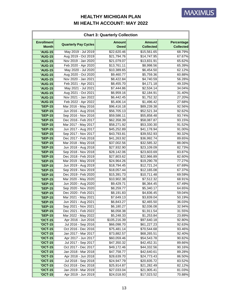| <b>Chart 3: Quarterly Collection</b> |                             |                              |                                   |                                       |  |
|--------------------------------------|-----------------------------|------------------------------|-----------------------------------|---------------------------------------|--|
| <b>Enrollment</b><br><b>Month</b>    | <b>Quarterly Pay Cycles</b> | <b>Amount</b><br><b>Owed</b> | <b>Amount</b><br><b>Collected</b> | <b>Percentage</b><br><b>Collected</b> |  |
| <b>'AUG-15</b>                       | May 2019 - Jul 2019         | \$22,620.46                  | \$15,561.65                       | 68.79%                                |  |
| <b>'AUG-15</b>                       | Aug 2019 - Oct 2019         | \$21,794.76                  | \$14,747.95                       | 67.67%                                |  |
| <b>'AUG-15</b>                       | Nov 2019 - Jan 2020         | \$21,079.07                  | \$13,831.91                       | 65.62%                                |  |
| <b>'AUG-15</b>                       | Feb 2020 - Apr 2020         | \$13,761.11                  | \$8,998.56                        | 65.39%                                |  |
| <b>'AUG-15</b>                       | May 2020 - Jul 2020         | \$10,389.65                  | \$6,454.50                        | 62.12%                                |  |
| <b>'AUG-15</b>                       | Aug 2020 - Oct 2020         | \$9,460.77                   | \$5,759.36                        | 60.88%                                |  |
| <b>'AUG-15</b>                       | Nov 2020 - Jan 2021         | \$8,422.84                   | \$4,740.59                        | 56.28%                                |  |
| <b>'AUG-15</b>                       | Feb 2021 - Apr 2021         | \$8,455.70                   | \$4,171.18                        | 49.33%                                |  |
| <b>'AUG-15</b>                       | May 2021 - Jul 2021         | \$7,444.86                   | \$2,534.14                        | 34.04%                                |  |
| <b>'AUG-15</b>                       | Aug 2021 - Oct 2021         | \$6,959.16                   | \$2,184.91                        | 31.40%                                |  |
| <b>'AUG-15</b>                       | Nov 2021 - Jan 2022         | \$6,442.45                   | \$1,752.32                        | 27.20%                                |  |
| <b>'AUG-15</b>                       | Feb 2022 - Apr 2022         | \$5,406.14                   | \$1,496.42                        | 27.68%                                |  |
| <b>'SEP-15</b>                       | Mar 2016 - May 2016         | \$96,416.18                  | \$89,239.38                       | 92.56%                                |  |
| <b>'SEP-15</b>                       | Jun 2016 - Aug 2016         | \$56,705.13                  | \$52,521.34                       | 92.62%                                |  |
| <b>'SEP-15</b>                       | Sep 2016 - Nov 2016         | \$59,586.11                  | \$55,858.48                       | 93.74%                                |  |
| <b>'SEP-15</b>                       | Dec 2016 - Feb 2017         | \$62,358.39                  | \$58,087.87                       | 93.15%                                |  |
| <b>'SEP-15</b>                       | Mar 2017 - May 2017         | \$58,271.92                  | \$53,330.30                       | 91.52%                                |  |
| <b>'SEP-15</b>                       | Jun 2017 - Aug 2017         | \$45,252.89                  | \$41,178.94                       | 91.00%                                |  |
| <b>'SEP-15</b>                       | Sep 2017 - Nov 2017         | \$43,793.81                  | \$39,552.93                       | 90.32%                                |  |
| <b>'SEP-15</b>                       | Dec 2017 - Feb 2018         | \$41,263.92                  | \$36,992.74                       | 89.65%                                |  |
| <b>'SEP-15</b>                       | Mar 2018 - May 2018         | \$37,002.56                  | \$32,585.32                       | 88.06%                                |  |
| <b>'SEP-15</b>                       | Jun 2018 - Aug 2018         | \$27,932.90                  | \$23,109.09                       | 82.73%                                |  |
| <b>'SEP-15</b>                       | Sep 2018 - Nov 2018         | \$28,142.06                  | \$23,603.69                       | 83.87%                                |  |
| <b>'SEP-15</b>                       | Dec 2018 - Feb 2019         | \$27,803.62                  | \$22,966.89                       | 82.60%                                |  |
| <b>'SEP-15</b>                       | Mar 2019 - May 2019         | \$24,964.26                  | \$19,290.78                       | 77.27%                                |  |
| <b>'SEP-15</b>                       | Jun 2019 - Aug 2019         | \$18,794.45                  | \$12,721.24                       | 67.69%                                |  |
| <b>'SEP-15</b>                       | Sep 2019 - Nov 2019         | \$18,057.44                  | \$12,165.08                       | 67.37%                                |  |
| <b>'SEP-15</b>                       | Dec 2019 - Feb 2020         | \$15,391.73                  | \$10,711.48                       | 69.59%                                |  |
| <b>'SEP-15</b>                       | Mar 2020 - May 2020         | \$10,902.38                  | \$7,512.32                        | 68.91%                                |  |
| <b>'SEP-15</b>                       | Jun 2020 - Aug 2020         | \$9,429.71                   | \$6,364.45                        | 67.49%                                |  |
| <b>'SEP-15</b>                       | Sep 2020 - Nov 2020         | \$8,259.77                   | \$5,340.17                        | 64.65%                                |  |
| <b>'SEP-15</b>                       | Dec 2020 - Feb 2021         | \$8,191.83                   | \$4,836.45                        | 59.04%                                |  |
| <b>'SEP-15</b>                       | Mar 2021 - May 2021         | \$7,649.13                   | \$3,839.04                        | 50.19%                                |  |
| <b>'SEP-15</b>                       | Jun 2021 - Aug 2021         | \$6,843.27                   | \$2,465.50                        | 36.03%                                |  |
| <b>'SEP-15</b>                       | Sep 2021 - Nov 2021         | \$6,180.27                   | \$2,036.08                        | 32.94%                                |  |
| <b>'SEP-15</b>                       | Dec 2021 - Feb 2022         | \$6,058.38                   | \$1,911.54                        | 31.55%                                |  |
| <b>'SEP-15</b>                       | Mar 2022 - May 2022         | \$5,248.33                   | \$1,253.84                        | 23.89%                                |  |
| <b>'OCT-15</b>                       | Apr 2016 - Jun 2016         | \$105,216.39                 | \$97,640.18                       | 92.80%                                |  |
| <b>'OCT-15</b>                       | Jul 2016 - Sep 2016         | \$66,098.70                  | \$61,227.23                       | 92.63%                                |  |
| <b>'OCT-15</b>                       | Oct 2016 - Dec 2016         | \$75,481.14                  | \$70,544.68                       | 93.46%                                |  |
| <b>'OCT-15</b>                       | Jan 2017 - Mar 2017         | \$73,882.57                  | \$68,265.51                       | 92.40%                                |  |
| <b>'OCT-15</b>                       | Apr 2017 - Jun 2017         | \$60,059.46                  | \$54,543.78                       | 90.82%                                |  |
| <b>'OCT-15</b>                       | Jul 2017 - Sep 2017         | \$47,350.32                  | \$42,452.31                       | 89.66%                                |  |
| <b>'OCT-15</b>                       | Oct 2017 - Dec 2017         | \$49,172.46                  | \$44,332.56                       | 90.16%                                |  |
| <b>'OCT-15</b>                       | Jan 2018 - Mar 2018         | \$47,758.77                  | \$42,640.61                       | 89.28%                                |  |
| <b>'OCT-15</b>                       | Apr 2018 - Jun 2018         | \$28,639.70                  | \$24,773.43                       | 86.50%                                |  |
| <b>'OCT-15</b>                       | Jul 2018 - Sep 2018         | \$24,947.79                  | \$20,835.72                       | 83.52%                                |  |
| <b>'OCT-15</b>                       | Oct 2018 - Dec 2018         | \$25,914.87                  | \$21,282.49                       | 82.12%                                |  |
| <b>'OCT-15</b>                       | Jan 2019 - Mar 2019         | \$27,033.04                  | \$21,905.41                       | 81.03%                                |  |
| <b>'OCT-15</b>                       | Apr 2019 - Jun 2019         | \$24,018.93                  | \$17,023.52                       | 70.88%                                |  |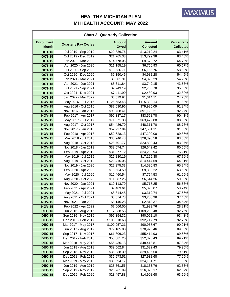| <b>Chart 3: Quarterly Collection</b> |                             |                              |                                   |                                       |
|--------------------------------------|-----------------------------|------------------------------|-----------------------------------|---------------------------------------|
| <b>Enrollment</b><br><b>Month</b>    | <b>Quarterly Pay Cycles</b> | <b>Amount</b><br><b>Owed</b> | <b>Amount</b><br><b>Collected</b> | <b>Percentage</b><br><b>Collected</b> |
| <b>'OCT-15</b>                       | Jul 2019 - Sep 2019         | \$20,836.76                  | \$13,212.24                       | 63.41%                                |
| <b>'OCT-15</b>                       | Oct 2019 - Dec 2019         | \$21,765.33                  | \$13,799.38                       | 63.40%                                |
| <b>'OCT-15</b>                       | Jan 2020 - Mar 2020         | $\overline{$}14,778.06$      | \$9,572.72                        | 64.78%                                |
| <b>'OCT-15</b>                       | Apr 2020 - Jun 2020         | \$11,155.19                  | \$6,756.93                        | 60.57%                                |
| <b>'OCT-15</b>                       | Jul 2020 - Sep 2020         | \$10,536.71                  | \$6,165.76                        | 58.52%                                |
| <b>'OCT-15</b>                       | Oct 2020 - Dec 2020         | \$9,150.46                   | \$4,982.28                        | 54.45%                                |
| <b>'OCT-15</b>                       | Jan 2021 - Mar 2021         | $\overline{$8,901.91}$       | \$4,829.39                        | 54.25%                                |
| <b>'OCT-15</b>                       | Apr 2021 - Jun 2021         | \$8,611.84                   | \$3,749.15                        | 43.53%                                |
| <b>'OCT-15</b>                       | Jul 2021 - Sep 2021         | \$7,743.19                   | \$2,756.78                        | 35.60%                                |
| <b>'OCT-15</b>                       | Oct 2021 - Dec 2021         | \$7,411.90                   | \$2,430.93                        | 32.80%                                |
| <b>'OCT-15</b>                       | Jan 2022 - Mar 2022         | \$6,519.94                   | \$1,614.11                        | 24.76%                                |
| <b>'NOV-15</b>                       | May 2016 - Jul 2016         | \$125,653.48                 | \$115,392.14                      | 91.83%                                |
| <b>'NOV-15</b>                       | Aug 2016 - Oct 2016         | \$87,030.96                  | \$79,925.09                       | 91.84%                                |
| <b>'NOV-15</b>                       | Nov 2016 - Jan 2017         | \$98,758.41                  | \$91,129.21                       | 92.27%                                |
| <b>'NOV-15</b>                       | Feb 2017 - Apr 2017         | \$92,387.17                  | \$83,528.78                       | 90.41%                                |
| <b>'NOV-15</b>                       | May 2017 - Jul 2017         | \$71,371.33                  | \$63,472.88                       | 88.93%                                |
| <b>'NOV-15</b>                       | Aug 2017 - Oct 2017         | \$54,426.70                  | \$48,311.70                       | 88.76%                                |
| <b>'NOV-15</b>                       | Nov 2017 - Jan 2018         | \$52,227.84                  | \$47,561.11                       | 91.06%                                |
| <b>'NOV-15</b>                       | Feb 2018 - Apr 2018         | \$52,628.13                  | \$47,290.08                       | 89.86%                                |
| <b>'NOV-15</b>                       | May 2018 - Jul 2018         | \$33,946.43                  | \$28,390.58                       | 83.63%                                |
| <b>'NOV-15</b>                       | Aug 2018 - Oct 2018         | \$28,701.77                  | \$23,899.43                       | 83.27%                                |
| <b>'NOV-15</b>                       | Nov 2018 - Jan 2019         | \$33,074.74                  | \$26,642.42                       | 80.55%                                |
| <b>'NOV-15</b>                       | Feb 2019 - Apr 2019         | \$31,877.12                  | \$24,293.94                       | 76.21%                                |
| <b>'NOV-15</b>                       | May 2019 - Jul 2019         | \$25,280.19                  | \$17,129.38                       | 67.76%                                |
| <b>'NOV-15</b>                       | Aug 2019 - Oct 2019         | \$22,415.06                  | \$14,414.59                       | 64.31%                                |
| <b>'NOV-15</b>                       | Nov 2019 - Jan 2020         | \$22,375.33                  | \$14,596.83                       | 65.24%                                |
| <b>'NOV-15</b>                       | Feb 2020 - Apr 2020         | \$15,554.50                  | \$9,893.22                        | 63.60%                                |
| <b>'NOV-15</b>                       | May 2020 - Jul 2020         | \$12,460.54                  | \$7,724.53                        | 61.99%                                |
| <b>'NOV-15</b>                       | Aug 2020 - Oct 2020         | \$11,087.25                  | \$6,544.36                        | 59.03%                                |
| <b>'NOV-15</b>                       | Nov 2020 - Jan 2021         | \$10,113.79                  | \$5,717.25                        | 56.53%                                |
| <b>'NOV-15</b>                       | Feb 2021 - Apr 2021         | \$9,483.61                   | \$5,096.07                        | 53.74%                                |
| <b>'NOV-15</b>                       | May 2021 - Jul 2021         | \$8,814.48                   | \$3,319.74                        | 37.66%                                |
| <b>'NOV-15</b>                       | Aug 2021 - Oct 2021         | \$8,574.73                   | \$3,206.96                        | 37.40%                                |
| <b>'NOV-15</b>                       | Nov 2021 - Jan 2022         | \$8,146.28                   | \$2,813.37                        | 34.54%                                |
| <b>'NOV-15</b>                       | Feb 2022 - Apr 2022         | \$7,066.50                   | \$1,993.76                        | 28.21%                                |
| <b>'DEC-15</b>                       | Jun 2016 - Aug 2016         | \$117,838.55                 | \$109,289.48                      | 92.75%                                |
| <b>'DEC-15</b>                       | Sep 2016 - Nov 2016         | \$96,354.32                  | \$90,022.10                       | 93.43%                                |
| <b>'DEC-15</b>                       | Dec 2016 - Feb 2017         | \$100,018.63                 | \$92,717.79                       | 92.70%                                |
| <b>'DEC-15</b>                       | Mar 2017 - May 2017         | \$100,057.21                 | \$90,957.67                       | 90.91%                                |
| <b>'DEC-15</b>                       | Jun 2017 - Aug 2017         | \$79,105.80                  | \$70,925.46                       | 89.66%                                |
| <b>'DEC-15</b>                       | Sep 2017 - Nov 2017         | \$61,806.23                  | \$55,414.93                       | 89.66%                                |
| <b>'DEC-15</b>                       | Dec 2017 - Feb 2018         | \$58,881.20                  | \$52,823.43                       | 89.71%                                |
| <b>'DEC-15</b>                       | Mar 2018 - May 2018         | \$55,436.13                  | \$48,418.81                       | 87.34%                                |
| <b>'DEC-15</b>                       | Jun 2018 - Aug 2018         | \$39,562.84                  | \$31,632.43                       | 79.95%                                |
| <b>'DEC-15</b>                       | Sep 2018 - Nov 2018         | \$36,938.39                  | \$29,406.50                       | 79.61%                                |
| <b>'DEC-15</b>                       | Dec 2018 - Feb 2019         | \$35,973.51                  | \$27,932.68                       | 77.65%                                |
| <b>'DEC-15</b>                       | Mar 2019 - May 2019         | \$33,594.17                  | \$24,161.71                       | 71.92%                                |
| <b>'DEC-15</b>                       | Jun 2019 - Aug 2019         | \$28,861.56                  | \$18,133.76                       | 62.83%                                |
| <b>'DEC-15</b>                       | Sep 2019 - Nov 2019         | \$26,761.99                  | \$16,825.17                       | 62.87%                                |
| <b>'DEC-15</b>                       | Dec 2019 - Feb 2020         | \$23,457.88                  | \$14,908.68                       | 63.56%                                |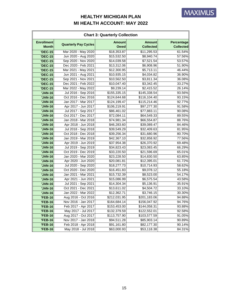|                                   | <b>Chart 3: Quarterly Collection</b> |                              |                                   |                                       |  |
|-----------------------------------|--------------------------------------|------------------------------|-----------------------------------|---------------------------------------|--|
| <b>Enrollment</b><br><b>Month</b> | <b>Quarterly Pay Cycles</b>          | <b>Amount</b><br><b>Owed</b> | <b>Amount</b><br><b>Collected</b> | <b>Percentage</b><br><b>Collected</b> |  |
| <b>'DEC-15</b>                    | Mar 2020 - May 2020                  | \$18,353.87                  | \$11,295.53                       | 61.54%                                |  |
| <b>'DEC-15</b>                    | Jun 2020 - Aug 2020                  | \$15,532.50                  | \$8,940.74                        | 57.56%                                |  |
| <b>'DEC-15</b>                    | Sep 2020 - Nov 2020                  | \$14,039.58                  | \$7,521.54                        | 53.57%                                |  |
| <b>'DEC-15</b>                    | Dec 2020 - Feb 2021                  | \$13,312.06                  | \$6,908.96                        | 51.90%                                |  |
| <b>'DEC-15</b>                    | Mar 2021 - May 2021                  | \$12,300.95                  | \$5,713.11                        | 46.44%                                |  |
| <b>'DEC-15</b>                    | Jun 2021 - Aug 2021                  | \$10,935.15                  | \$4,034.82                        | 36.90%                                |  |
| <b>'DEC-15</b>                    | Sep 2021 - Nov 2021                  | \$10,562.50                  | \$3,811.34                        | 36.08%                                |  |
| <b>'DEC-15</b>                    | Dec 2021 - Feb 2022                  | \$10,047.40                  | \$3,342.45                        | 33.27%                                |  |
| <b>'DEC-15</b>                    | Mar 2022 - May 2022                  | \$9,239.14                   | \$2,415.52                        | 26.14%                                |  |
| 'JAN-16                           | Jul 2016 - Sep 2016                  | \$155,335.15                 | \$145,338.54                      | 93.56%                                |  |
| 'JAN-16                           | Oct 2016 - Dec 2016                  | \$124,644.68                 | \$116,104.40                      | 93.15%                                |  |
| 'JAN-16                           | Jan 2017 - Mar 2017                  | \$124,199.47                 | \$115,214.46                      | 92.77%                                |  |
| 'JAN-16                           | Apr 2017 - Jun 2017                  | \$106,219.91                 | \$97,277.30                       | 91.58%                                |  |
| <b>'JAN-16</b>                    | Jul 2017 - Sep 2017                  | \$86,461.02                  | \$77,883.11                       | 90.08%                                |  |
| 'JAN-16                           | Oct 2017 - Dec 2017                  | \$72,084.11                  | \$64,549.33                       | 89.55%                                |  |
| 'JAN-16                           | Jan 2018 - Mar 2018                  | \$74,981.34                  | \$66,554.87                       | 88.76%                                |  |
| 'JAN-16                           | Apr 2018 - Jun 2018                  | \$46,283.60                  | \$39,089.47                       | 84.46%                                |  |
| 'JAN-16                           | Jul 2018 - Sep 2018                  | \$39,549.29                  | \$32,409.63                       | 81.95%                                |  |
| <b>'JAN-16</b>                    | Oct 2018 - Dec 2018                  | \$39,256.34                  | \$31,680.96                       | 80.70%                                |  |
| 'JAN-16                           | Jan 2019 - Mar 2019                  | \$42,367.10                  | \$32,858.92                       | 77.56%                                |  |
| 'JAN-16                           | Apr 2019 - Jun 2019                  | \$37,954.38                  | \$26,370.92                       | 69.48%                                |  |
| <b>'JAN-16</b>                    | Jul 2019 - Sep 2019                  | \$34,823.43                  | \$23,083.45                       | 66.29%                                |  |
| 'JAN-16                           | Oct 2019 - Dec 2019                  | \$33,220.50                  | \$21,596.69                       | 65.01%                                |  |
| 'JAN-16                           | Jan 2020 - Mar 2020                  | \$23,228.50                  | \$14,830.50                       | 63.85%                                |  |
| 'JAN-16                           | Apr 2020 - Jun 2020                  | \$20,081.81                  | \$12,395.01                       | 61.72%                                |  |
| 'JAN-16                           | Jul 2020 - Sep 2020                  | \$18,277.73                  | \$10,714.93                       | 58.62%                                |  |
| 'JAN-16                           | Oct 2020 - Dec 2020                  | \$16,451.83                  | \$9,078.12                        | 55.18%                                |  |
| 'JAN-16                           | Jan 2021 - Mar 2021                  | \$15,732.39                  | \$8,523.00                        | 54.17%                                |  |
| <b>JAN-16</b>                     | Apr 2021 - Jun 2021                  | \$15,086.99                  | \$6,575.54                        | 43.58%                                |  |
| 'JAN-16                           | Jul 2021 - Sep 2021                  | \$14,304.34                  | \$5,136.91                        | 35.91%                                |  |
| 'JAN-16                           | Oct 2021 - Dec 2021                  | \$13,611.02                  | \$4,504.72                        | 33.10%                                |  |
| 'JAN-16                           | Jan 2022 - Mar 2022                  | \$12,362.71                  | \$3,746.15                        | 30.30%                                |  |
| <b>'FEB-16</b>                    | Aug 2016 - Oct 2016                  | \$212,031.95                 | \$201,183.06                      | 94.88%                                |  |
| <b>'FEB-16</b>                    | Nov 2016 - Jan 2017                  | \$164,684.14                 | \$156,047.92                      | 94.76%                                |  |
| <b>'FEB-16</b>                    | Feb 2017 - Apr 2017                  | \$153,453.00                 | \$144,058.31                      | 93.88%                                |  |
| <b>'FEB-16</b>                    | May 2017 - Jul 2017                  | \$132,379.59                 | \$122,552.01                      | 92.58%                                |  |
| <b>'FEB-16</b>                    | Aug 2017 - Oct 2017                  | \$113,757.90                 | \$103,577.59                      | 91.05%                                |  |
| <b>'FEB-16</b>                    | Nov 2017 - Jan 2018                  | \$94,511.28                  | \$85,903.14                       | 90.89%                                |  |
| <b>'FEB-16</b>                    | Feb 2018 - Apr 2018                  | \$91,161.80                  | \$82,177.30                       | 90.14%                                |  |
| <b>'FEB-16</b>                    | May 2018 - Jul 2018                  | \$63,000.93                  | \$53,118.38                       | 84.31%                                |  |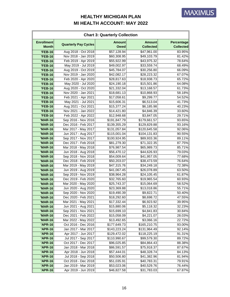| <b>Chart 3: Quarterly Collection</b> |                                            |                              |                                   |                                |
|--------------------------------------|--------------------------------------------|------------------------------|-----------------------------------|--------------------------------|
| <b>Enrollment</b><br><b>Month</b>    | <b>Quarterly Pay Cycles</b>                | <b>Amount</b><br><b>Owed</b> | <b>Amount</b><br><b>Collected</b> | Percentage<br><b>Collected</b> |
| <b>'FEB-16</b>                       | Aug 2018 - Oct 2018                        | \$57,128.94                  | \$47,961.00                       | 83.95%                         |
| <b>'FEB-16</b>                       | Nov 2018 - Jan 2019                        | \$60,308.95                  | \$49,103.79                       | 81.42%                         |
| <b>'FEB-16</b>                       | Feb 2019 - Apr 2019                        | \$55,922.99                  | \$43,975.32                       | 78.64%                         |
| <b>'FEB-16</b>                       | May 2019 - Jul 2019                        | \$49,002.97                  | \$33,559.74                       | 68.49%                         |
| <b>'FEB-16</b>                       | Aug 2019 - Oct 2019                        | \$45,784.07                  | \$30,256.80                       | 66.09%                         |
| <b>'FEB-16</b>                       | Nov 2019 - Jan 2020                        | \$42,082.17                  | \$28,223.32                       | 67.07%                         |
| <b>'FEB-16</b>                       | Feb 2020 - Apr 2020                        | \$28,817.63                  | \$18,938.73                       | 65.72%                         |
| <b>'FEB-16</b>                       | May 2020 - Jul 2020                        | \$24,190.18                  | \$15,501.86                       | 64.08%                         |
| <b>'FEB-16</b>                       | Aug 2020 - Oct 2020                        | \$21,332.04                  | \$13,168.57                       | 61.73%                         |
| <b>'FEB-16</b>                       | Nov 2020 - Jan 2021                        | \$18,681.13                  | \$10,868.93                       | 58.18%                         |
| <b>'FEB-16</b>                       | Feb 2021 - Apr 2021                        | \$17,058.61                  | \$9,299.77                        | 54.52%                         |
| <b>'FEB-16</b>                       | May 2021 - Jul 2021                        | \$15,606.31                  | \$6,513.04                        | 41.73%                         |
| <b>'FEB-16</b>                       | Aug 2021 - Oct 2021                        | \$15,377.24                  | \$6,185.98                        | 40.23%                         |
| <b>'FEB-16</b>                       | Nov 2021 - Jan 2022                        | \$14,421.80                  | \$4,846.39                        | 33.60%                         |
| <b>'FEB-16</b>                       | Feb 2022 - Apr 2022                        | \$12,948.68                  | \$3,847.05                        | 29.71%                         |
| <b>'MAR-16</b>                       | Sep 2016 - Nov 2016                        | \$191,847.79                 | \$179,661.57                      | 93.65%                         |
| <b>'MAR-16</b>                       | Dec 2016 - Feb 2017                        | \$139,355.29                 | \$129,829.88                      | 93.16%                         |
| <b>'MAR-16</b>                       | Mar 2017 - May 2017                        | \$131,057.84                 | \$120,645.58                      | 92.06%                         |
| <b>'MAR-16</b>                       | Jun 2017 - Aug 2017                        | \$115,001.04                 | \$104,131.83                      | 90.55%                         |
| <b>'MAR-16</b>                       | Sep 2017 - Nov 2017                        | \$100,924.95                 | \$89,933.36                       | 89.11%                         |
| <b>'MAR-16</b>                       | Dec 2017 - Feb 2018                        | \$81,279.30                  | \$71,322.35                       | 87.75%                         |
| <b>'MAR-16</b>                       | Mar 2018 - May 2018                        | \$76,987.54                  | \$65,989.73                       | 85.71%                         |
| <b>'MAR-16</b>                       | Jun 2018 - Aug 2018                        | \$56,470.12                  | \$44,626.93                       | 79.03%                         |
| <b>'MAR-16</b>                       | Sep 2018 - Nov 2018                        | \$54,009.64                  | \$41,957.05                       | 77.68%                         |
| <b>'MAR-16</b>                       | Dec 2018 - Feb 2019                        | \$50,203.07                  | \$38,473.59                       | 76.64%                         |
| <b>'MAR-16</b>                       | Mar 2019 - May 2019                        | \$47,315.76                  | \$34,249.18                       | 72.38%                         |
| <b>'MAR-16</b>                       | Jun 2019 - Aug 2019                        | $\overline{$41,067.45}$      | \$26,078.89                       | 63.50%                         |
| <b>'MAR-16</b>                       | Sep 2019 - Nov 2019                        | \$38,964.28                  | \$24,105.45                       | 61.87%                         |
| <b>'MAR-16</b>                       | Dec 2019 - Feb 2020                        | \$32,765.60                  | \$19,965.54                       | 60.93%                         |
| <b>'MAR-16</b>                       | Mar 2020 - May 2020                        | \$25,743.37                  | \$15,064.69                       | 58.52%                         |
| <b>'MAR-16</b>                       | Jun 2020 - Aug 2020                        | \$23,369.88                  | \$13,018.86                       | 55.71%                         |
| <b>'MAR-16</b>                       | Sep 2020 - Nov 2020                        | \$19,490.39                  | \$9,822.71                        | 50.40%                         |
| <b>'MAR-16</b>                       | Dec 2020 - Feb 2021                        | \$18,292.60                  | \$8,698.72                        | 47.55%                         |
| <b>'MAR-16</b>                       | Mar 2021 - May 2021                        | \$17,332.44                  | \$6,923.92                        | 39.95%                         |
| <b>'MAR-16</b>                       | Jun 2021 - Aug 2021                        | \$15,880.06<br>\$15,699.10   | \$5,118.32                        | 32.23%<br>30.84%               |
| <b>'MAR-16</b>                       | Sep 2021 - Nov 2021<br>Dec 2021 - Feb 2022 |                              | \$4,841.83<br>\$4,221.07          | 28.03%                         |
| <b>'MAR-16</b>                       | Mar 2022 - May 2022                        | \$15,058.09<br>\$13,492.65   | \$3,066.16                        | 22.72%                         |
| <b>'MAR-16</b><br>'APR-16            | Oct 2016 - Dec 2016                        | \$177,649.73                 | \$165,210.75                      | 93.00%                         |
| 'APR-16                              | Jan 2017 - Mar 2017                        | \$143,223.24                 | \$131,964.49                      | 92.14%                         |
| <b>'APR-16</b>                       | Apr 2017 - Jun 2017                        | \$129,472.02                 | \$118,225.19                      | 91.31%                         |
| 'APR-16                              | Jul 2017 - Sep 2017                        | \$110,990.67                 | \$99,579.30                       | 89.72%                         |
| 'APR-16                              | Oct 2017 - Dec 2017                        | \$96,025.85                  | \$84,864.43                       | 88.38%                         |
| 'APR-16                              | Jan 2018 - Mar 2018                        | \$86,591.57                  | \$75,918.37                       | 87.67%                         |
| 'APR-16                              | Apr 2018 - Jun 2018                        | \$57,444.01                  | \$48,328.74                       | 84.13%                         |
| 'APR-16                              | Jul 2018 - Sep 2018                        | \$50,506.80                  | \$41,382.96                       | 81.94%                         |
| <b>'APR-16</b>                       | Oct 2018 - Dec 2018                        | \$51,035.91                  | \$40,783.31                       | 79.91%                         |
| 'APR-16                              | Jan 2019 - Mar 2019                        | \$53,023.06                  | \$40,529.76                       | 76.44%                         |
| 'APR-16                              | Apr 2019 - Jun 2019                        | \$46,827.58                  | \$31,783.03                       | 67.87%                         |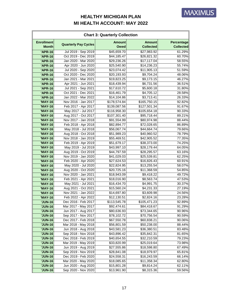| <b>Chart 3: Quarterly Collection</b> |                                            |                              |                                   |                                |
|--------------------------------------|--------------------------------------------|------------------------------|-----------------------------------|--------------------------------|
| <b>Enrollment</b><br><b>Month</b>    | <b>Quarterly Pay Cycles</b>                | <b>Amount</b><br><b>Owed</b> | <b>Amount</b><br><b>Collected</b> | Percentage<br><b>Collected</b> |
| <b>'APR-16</b>                       | Jul 2019 - Sep 2019                        | \$45,659.70                  | \$27,983.92                       | 61.29%                         |
| <b>'APR-16</b>                       | Oct 2019 - Dec 2019                        | \$44,185.47                  | \$26,821.32                       | 60.70%                         |
| <b>'APR-16</b>                       | Jan 2020 - Mar 2020                        | \$29,236.26                  | \$17,117.04                       | 58.55%                         |
| <b>'APR-16</b>                       | Apr 2020 - Jun 2020                        | \$25,540.90                  | \$14,236.23                       | 55.74%                         |
| 'APR-16                              | Jul 2020 - Sep 2020                        | \$23,074.42                  | \$11,905.13                       | 51.59%                         |
| 'APR-16                              | Oct 2020 - Dec 2020                        | \$20,193.93                  | \$9,704.24                        | 48.06%                         |
| <b>'APR-16</b>                       | Jan 2021 - Mar 2021                        | \$19,823.25                  | \$9,173.15                        | 46.27%                         |
| <b>'APR-16</b>                       | Apr 2021 - Jun 2021                        | \$18,439.94                  | \$6,731.56                        | 36.51%                         |
| <b>'APR-16</b>                       | Jul 2021 - Sep 2021                        | \$17,610.72                  | \$5,600.18                        | 31.80%                         |
| 'APR-16                              | Oct 2021 - Dec 2021                        | \$16,461.79                  | \$4,705.12                        | 28.58%                         |
| <b>'APR-16</b>                       | Jan 2022 - Mar 2022                        | \$14,104.86                  | \$3,713.41                        | 26.33%                         |
| <b>'MAY-16</b>                       | Nov 2016 - Jan 2017                        | \$178,574.84                 | \$165,750.15                      | 92.82%                         |
| <b>'MAY-16</b>                       | Feb 2017 - Apr 2017                        | \$139,087.56                 | \$127,501.34                      | 91.67%                         |
| <b>'MAY-16</b>                       | May 2017 - Jul 2017                        | \$116,958.30                 | \$105,654.18                      | 90.33%                         |
| <b>'MAY-16</b>                       | Aug 2017 - Oct 2017                        | \$107,301.40                 | \$95,718.44                       | 89.21%                         |
| <b>'MAY-16</b>                       | Nov 2017 - Jan 2018                        | \$91,554.99                  | \$80,974.98                       | 88.44%                         |
| <b>'MAY-16</b>                       | Feb 2018 - Apr 2018                        | \$82,894.77                  | \$72,028.65                       | 86.89%                         |
| <b>'MAY-16</b>                       | May 2018 - Jul 2018                        | \$56,067.74                  | \$44,664.74                       | 79.66%                         |
| <b>'MAY-16</b>                       | Aug 2018 - Oct 2018                        | \$51,989.23                  | \$40,960.52                       | 78.79%                         |
| <b>'MAY-16</b>                       | Nov 2018 - Jan 2019                        | \$55,469.51                  | \$42,905.52                       | 77.35%                         |
| <b>'MAY-16</b>                       | Feb 2019 - Apr 2019                        | \$51,679.17                  | \$38,373.00                       | 74.25%                         |
| <b>'MAY-16</b>                       | May 2019 - Jul 2019                        | \$43,997.10                  | \$28,179.44                       | 64.05%                         |
| <b>'MAY-16</b>                       | Aug 2019 - Oct 2019                        | \$44,797.59                  | \$28,295.57                       | 63.16%                         |
| <b>'MAY-16</b>                       | Nov 2019 - Jan 2020                        | \$41,029.03                  | \$25,539.81                       | 62.25%                         |
| <b>'MAY-16</b>                       | Feb 2020 - Apr 2020                        | \$27,624.53                  | \$16,826.43                       | 60.91%                         |
| <b>'MAY-16</b>                       | May 2020 - Jul 2020                        | \$22,824.95                  | \$13,255.54                       | 58.07%                         |
| <b>'MAY-16</b>                       | Aug 2020 - Oct 2020                        | \$20,725.16                  | \$11,368.59                       | 54.85%                         |
| <b>'MAY-16</b>                       | Nov 2020 - Jan 2021                        | \$18,943.09                  | \$9,418.22                        | 49.72%                         |
| 'MAY-16                              | Feb 2021 - Apr 2021                        | \$18,016.90                  | \$8,563.74                        | 47.53%                         |
| 'MAY-16                              | May 2021 - Jul 2021                        | \$16,434.70                  | \$4,991.75                        | 30.37%                         |
| <b>'MAY-16</b>                       | Aug 2021 - Oct 2021                        | \$15,560.24                  | \$4,231.33                        | 27.19%                         |
| 'MAY-16                              | Nov 2021 - Jan 2022                        | \$14,697.80                  | \$3,609.98                        | 24.56%                         |
| 'MAY-16                              | Feb 2022 - Apr 2022                        | \$12,130.51                  | \$2,824.16                        | 23.28%                         |
| <b>'JUN-16</b>                       | Dec 2016 - Feb 2017                        | \$113,545.78                 | \$105,471.23                      | 92.89%                         |
| <b>'JUN-16</b>                       | Mar 2017 - May 2017                        | \$92,474.61                  | \$84,418.67                       | 91.29%                         |
| <b>'JUN-16</b>                       | Jun 2017 - Aug 2017                        | \$80,636.93                  | \$73,344.65                       | 90.96%                         |
| <b>'JUN-16</b>                       | Sep 2017 - Nov 2017                        | \$78,102.72                  | \$70,756.54                       | 90.59%                         |
| <b>'JUN-16</b>                       | Dec 2017 - Feb 2018<br>Mar 2018 - May 2018 | \$67,550.78                  | \$60,838.21                       | 90.06%                         |
| <b>'JUN-16</b><br><b>'JUN-16</b>     | Jun 2018 - Aug 2018                        | \$56,801.59<br>\$43,581.23   | \$50,238.00<br>\$36,380.51        | 88.44%<br>83.48%               |
| <b>'JUN-16</b>                       | Sep 2018 - Nov 2018                        | \$43,896.42                  | \$35,842.31                       | 81.65%                         |
| <b>'JUN-16</b>                       | Dec 2018 - Feb 2019                        | \$40,654.55                  | \$32,210.59                       | 79.23%                         |
| <b>'JUN-16</b>                       | Mar 2019 - May 2019                        | \$33,820.99                  | \$25,019.64                       | 73.98%                         |
| <b>'JUN-16</b>                       | Jun 2019 - Aug 2019                        | \$27,555.86                  | \$18,598.80                       | 67.49%                         |
| <b>'JUN-16</b>                       | Sep 2019 - Nov 2019                        | \$28,841.08                  | \$18,979.97                       | 65.81%                         |
| <b>'JUN-16</b>                       | Dec 2019 - Feb 2020                        | \$24,558.31                  | \$16,243.59                       | 66.14%                         |
| <b>'JUN-16</b>                       | Mar 2020 - May 2020                        | \$18,085.65                  | \$11,358.34                       | 62.80%                         |
| <b>'JUN-16</b>                       | Jun 2020 - Aug 2020                        | \$15,801.28                  | \$9,814.24                        | 62.11%                         |
| <b>'JUN-16</b>                       | Sep 2020 - Nov 2020                        | \$13,961.90                  | \$8,315.36                        | 59.56%                         |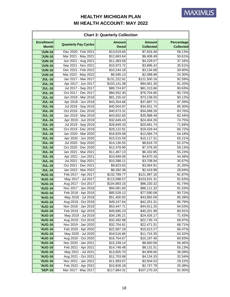|                                   | <b>Chart 3: Quarterly Collection</b> |                              |                                   |                                       |  |
|-----------------------------------|--------------------------------------|------------------------------|-----------------------------------|---------------------------------------|--|
| <b>Enrollment</b><br><b>Month</b> | <b>Quarterly Pay Cycles</b>          | <b>Amount</b><br><b>Owed</b> | <b>Amount</b><br><b>Collected</b> | <b>Percentage</b><br><b>Collected</b> |  |
| <b>'JUN-16</b>                    | Dec 2020 - Feb 2021                  | \$13,619.60                  | \$7,916.48                        | 58.13%                                |  |
| <b>'JUN-16</b>                    | Mar 2021 - May 2021                  | \$12,663.64                  | \$6,408.49                        | 50.61%                                |  |
| <b>'JUN-16</b>                    | Jun 2021 - Aug 2021                  | \$11,383.58                  | \$4,229.57                        | 37.16%                                |  |
| <b>'JUN-16</b>                    | Sep 2021 - Nov 2021                  | \$10,973.72                  | \$3,896.42                        | 35.51%                                |  |
| <b>'JUN-16</b>                    | Dec 2021 - Feb 2022                  | \$10,244.18                  | \$3,134.68                        | 30.60%                                |  |
| <b>'JUN-16</b>                    | Mar 2022 - May 2022                  | \$8,595.13                   | \$2,088.88                        | 24.30%                                |  |
| <b>'JUL-16</b>                    | Jan 2017 - Mar 2017                  | \$131,222.91                 | \$121,500.16                      | 92.59%                                |  |
| <b>'JUL-16</b>                    | Apr 2017 - Jun 2017                  | \$103,141.38                 | \$94,061.30                       | 91.20%                                |  |
| <b>'JUL-16</b>                    | Jul 2017 - Sep 2017                  | \$89,724.87                  | \$81,313.66                       | 90.63%                                |  |
| <b>'JUL-16</b>                    | Oct 2017 - Dec 2017                  | \$84,552.30                  | \$76,704.80                       | 90.72%                                |  |
| <b>'JUL-16</b>                    | Jan 2018 - Mar 2018                  | \$81,155.42                  | \$73,138.50                       | 90.12%                                |  |
| <b>'JUL-16</b>                    | Apr 2018 - Jun 2018                  | \$43,354.66                  | \$37,887.71                       | 87.39%                                |  |
| <b>'JUL-16</b>                    | Jul 2018 - Sep 2018                  | \$40,504.97                  | \$34,551.74                       | 85.30%                                |  |
| <b>'JUL-16</b>                    | Oct 2018 - Dec 2018                  | \$40,673.31                  | \$34,068.26                       | 83.76%                                |  |
| <b>'JUL-16</b>                    | Jan 2019 - Mar 2019                  | \$43,652.65                  | \$35,988.48                       | 82.44%                                |  |
| <b>'JUL-16</b>                    | Apr 2019 - Jun 2019                  | \$32,649.43                  | \$24,404.26                       | 74.75%                                |  |
| <b>'JUL-16</b>                    | Jul 2019 - Sep 2019                  | \$28,849.33                  | \$20,681.74                       | 71.69%                                |  |
| <b>'JUL-16</b>                    | Oct 2019 - Dec 2019                  | \$29,122.91                  | \$19,429.44                       | 66.72%                                |  |
| <b>'JUL-16</b>                    | Jan 2020 - Mar 2020                  | \$18,829.08                  | \$12,084.74                       | 64.18%                                |  |
| <b>'JUL-16</b>                    | Apr 2020 - Jun 2020                  | \$15,515.59                  | \$10,117.31                       | 65.21%                                |  |
| <b>'JUL-16</b>                    | Jul 2020 - Sep 2020                  | \$14,136.55                  | \$8,816.70                        | 62.37%                                |  |
| <b>'JUL-16</b>                    | Oct 2020 - Dec 2020                  | \$12,478.90                  | \$7,378.30                        | 59.13%                                |  |
| <b>'JUL-16</b>                    | Jan 2021 - Mar 2021                  | $\overline{$}11,467.13$      | \$6,332.85                        | 55.23%                                |  |
| <b>'JUL-16</b>                    | Apr 2021 - Jun 2021                  | \$10,949.06                  | \$4,870.18                        | 44.48%                                |  |
| <b>'JUL-16</b>                    | Jul 2021 - Sep 2021                  | \$10,398.11                  | \$3,708.94                        | 35.67%                                |  |
| <b>'JUL-16</b>                    | Oct 2021 - Dec 2021                  | \$9,823.62                   | \$3,064.91                        | 31.20%                                |  |
| <b>'JUL-16</b>                    | Jan 2022 - Mar 2022                  | \$8,392.38                   | \$2,419.99                        | 28.84%                                |  |
| <b>'AUG-16</b>                    | Feb 2017 - Apr 2017                  | \$132,799.77                 | \$121,997.16                      | 91.87%                                |  |
| 'AUG-16                           | May 2017 - Jul 2017                  | \$113,098.57                 | \$103,631.31                      | 91.63%                                |  |
| <b>'AUG-16</b>                    | Aug 2017 - Oct 2017                  | \$104,893.15                 | \$96,230.32                       | 91.74%                                |  |
| <b>'AUG-16</b>                    | Nov 2017 - Jan 2018                  | \$94,081.60                  | \$86,111.32                       | 91.53%                                |  |
| 'AUG-16                           | Feb 2018 - Apr 2018                  | \$85,528.12                  | \$77,590.08                       | 90.72%                                |  |
| <b>'AUG-16</b>                    | May 2018 - Jul 2018                  | \$51,400.92                  | \$43,892.69                       | 85.39%                                |  |
| <b>'AUG-16</b>                    | Aug 2018 - Oct 2018                  | \$49,247.64                  | \$42,251.31                       | 85.79%                                |  |
| <b>'AUG-16</b>                    | Nov 2018 - Jan 2019                  | \$53,447.71                  | \$44,911.25                       | 84.03%                                |  |
| <b>'AUG-16</b>                    | Feb 2019 - Apr 2019                  | \$49,685.23                  | \$40,201.98                       | 80.91%                                |  |
| <b>'AUG-16</b>                    | May 2019 - Jul 2019                  | \$34,195.21                  | \$24,426.17                       | 71.43%                                |  |
| <b>'AUG-16</b>                    | Aug 2019 - Oct 2019                  | \$32,492.98                  | \$22,735.74                       | 69.97%                                |  |
| 'AUG-16                           | Nov 2019 - Jan 2020                  | \$32,704.81                  | \$22,471.51                       | 68.71%                                |  |
| <b>'AUG-16</b>                    | Feb 2020 - Apr 2020                  | \$22,587.18                  | \$15,013.27                       | 66.47%                                |  |
| 'AUG-16                           | May 2020 - Jul 2020                  | \$18,516.66                  | \$11,724.35                       | 63.32%                                |  |
| <b>'AUG-16</b>                    | Aug 2020 - Oct 2020                  | \$16,764.67                  | \$10,197.46                       | 60.83%                                |  |
| <b>'AUG-16</b>                    | Nov 2020 - Jan 2021                  | \$15,339.14                  | \$8,660.06                        | 56.46%                                |  |
| <b>'AUG-16</b>                    | Feb 2021 - Apr 2021                  | \$14,748.48                  | \$8,131.51                        | 55.13%                                |  |
| <b>'AUG-16</b>                    | May 2021 - Jul 2021                  | \$13,605.70                  | \$4,909.66                        | 36.09%                                |  |
| 'AUG-16                           | Aug 2021 - Oct 2021                  | \$12,703.98                  | \$4,134.33                        |                                       |  |
| <b>'AUG-16</b>                    | Nov 2021 - Jan 2022                  |                              |                                   | 32.54%                                |  |
| 'AUG-16                           | Feb 2022 - Apr 2022                  | \$11,993.07                  | \$3,504.53                        | 29.22%<br>25.38%                      |  |
| <b>'SEP-16</b>                    |                                      | \$10,826.18<br>\$117,884.31  | \$2,747.79<br>\$107,270.33        |                                       |  |
|                                   | Mar 2017 - May 2017                  |                              |                                   | 91.00%                                |  |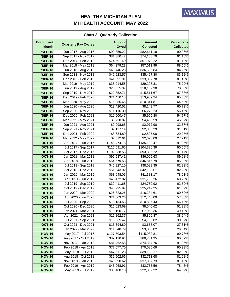|                                   | <b>Chart 3: Quarterly Collection</b>       |                              |                                   |                                |  |
|-----------------------------------|--------------------------------------------|------------------------------|-----------------------------------|--------------------------------|--|
| <b>Enrollment</b><br><b>Month</b> | <b>Quarterly Pay Cycles</b>                | <b>Amount</b><br><b>Owed</b> | <b>Amount</b><br><b>Collected</b> | Percentage<br><b>Collected</b> |  |
| <b>'SEP-16</b>                    | Jun 2017 - Aug 2017                        | \$90,859.22                  | \$82,641.18                       | 90.96%                         |  |
| <b>'SEP-16</b>                    | Sep 2017 - Nov 2017                        | \$81,380.42                  | \$74,183.79                       | 91.16%                         |  |
| <b>'SEP-16</b>                    | Dec 2017 - Feb 2018                        | \$74,591.40                  | \$67,970.22                       | 91.12%                         |  |
| <b>'SEP-16</b>                    | Mar 2018 - May 2018                        | \$64,379.28                  | \$57,011.99                       | 88.56%                         |  |
| <b>'SEP-16</b>                    | Jun 2018 - Aug 2018                        | \$43,446.28                  | \$36,605.84                       | 84.26%                         |  |
| <b>'SEP-16</b>                    | Sep 2018 - Nov 2018                        | \$42,623.57                  | \$35,427.80                       | 83.12%                         |  |
| <b>'SEP-16</b>                    | Dec 2018 - Feb 2019                        | \$41,591.91                  | \$33,867.78                       | 81.43%                         |  |
| <b>'SEP-16</b>                    | Mar 2019 - May 2019                        | \$38,914.58                  | \$29,297.31                       | 75.29%                         |  |
| <b>'SEP-16</b>                    | Jun 2019 - Aug 2019                        | \$25,655.37                  | \$18,132.30                       | 70.68%                         |  |
| <b>'SEP-16</b>                    | Sep 2019 - Nov 2019                        | \$22,852.71                  | \$15,511.67                       | 67.88%                         |  |
| <b>'SEP-16</b>                    | Dec 2019 - Feb 2020                        | \$21,470.18                  | \$13,969.24                       | 65.06%                         |  |
| <b>'SEP-16</b>                    | Mar 2020 - May 2020                        | \$15,955.65                  | \$10,311.81                       | 64.63%                         |  |
| <b>'SEP-16</b>                    | Jun 2020 - Aug 2020                        | \$13,420.52                  | \$8,149.77                        | 60.73%                         |  |
| <b>'SEP-16</b>                    | Sep 2020 - Nov 2020                        | \$11,116.30                  | \$6,275.23                        | 56.45%                         |  |
| <b>'SEP-16</b>                    | Dec 2020 - Feb 2021                        | \$10,900.47                  | \$5,969.80                        | 54.77%                         |  |
| <b>'SEP-16</b>                    | Mar 2021 - May 2021                        | \$9,730.87                   | \$4,463.59                        | 45.87%                         |  |
| <b>'SEP-16</b>                    | Jun 2021 - Aug 2021                        | \$9,098.65                   | \$2,972.98                        | 32.67%                         |  |
| <b>'SEP-16</b>                    | Sep 2021 - Nov 2021                        | \$9,127.14                   | \$2,885.29                        | 31.61%                         |  |
| <b>'SEP-16</b>                    | Dec 2021 - Feb 2022                        | \$8,634.89                   | \$2,527.06                        | 29.27%                         |  |
| <b>'SEP-16</b>                    | Mar 2022 - May 2022                        | $\overline{57}, 312.61$      | \$2,026.09                        | 27.71%                         |  |
| <b>'OCT-16</b>                    | Apr 2017 - Jun 2017                        | \$148,474.18                 | \$135,192.47                      | 91.05%                         |  |
| <b>'OCT-16</b>                    | Jul 2017 - Sep 2017                        | \$115,091.65                 | \$104,326.39                      | 90.65%                         |  |
| <b>'OCT-16</b>                    | Oct 2017 - Dec 2017                        | \$102,338.56                 | \$93,305.22                       | 91.17%                         |  |
| <b>'OCT-16</b>                    | Jan 2018 - Mar 2018                        | \$95,587.41                  | \$86,005.63                       | 89.98%                         |  |
| <b>'OCT-16</b>                    | Apr 2018 - Jun 2018                        | \$54,579.53                  | \$46,846.79                       | 85.83%                         |  |
| <b>'OCT-16</b>                    | Jul 2018 - Sep 2018                        | \$45,927.10                  | \$38,089.35                       | 82.93%                         |  |
| <b>'OCT-16</b>                    | Oct 2018 - Dec 2018                        | \$51,243.92                  | \$42,133.61                       | 82.22%                         |  |
| <b>'OCT-16</b>                    | Jan 2019 - Mar 2019                        | \$53,048.05                  | \$41,383.17                       | 78.01%                         |  |
| <b>'OCT-16</b>                    | Apr 2019 - Jun 2019                        | \$46,472.02                  | \$31,706.36                       | 68.23%                         |  |
| <b>'OCT-16</b>                    | Jul 2019 - Sep 2019                        | \$39,411.68                  | \$24,750.92                       | 62.80%                         |  |
| <b>'OCT-16</b>                    | Oct 2019 - Dec 2019                        | \$40,995.97                  | \$25,249.25                       | 61.59%                         |  |
| <b>'OCT-16</b>                    | Jan 2020 - Mar 2020                        | \$26,823.26                  | \$16,234.61                       | 60.52%                         |  |
| <b>'OCT-16</b>                    | Apr 2020 - Jun 2020                        | \$21,503.26                  | \$12,445.09                       | 57.88%                         |  |
| <b>'OCT-16</b>                    | Jul 2020 - Sep 2020                        | \$19,184.53                  | \$10,825.43                       | 56.43%                         |  |
| <b>'OCT-16</b>                    | Oct 2020 - Dec 2020                        | \$16,623.69                  | \$8,540.62                        | 51.38%                         |  |
| <b>'OCT-16</b>                    | Jan 2021 - Mar 2021                        | \$16,190.77                  | \$7,963.36                        | 49.18%                         |  |
| <b>'OCT-16</b>                    | Apr 2021 - Jun 2021                        | \$15,262.37                  | \$5,896.87                        | 38.64%                         |  |
| <b>'OCT-16</b>                    | Jul 2021 - Sep 2021                        | \$13,965.47                  | \$4,199.82                        | 30.07%                         |  |
| <b>'OCT-16</b>                    | Oct 2021 - Dec 2021                        | \$13,394.80                  | \$3,658.07                        | 27.31%                         |  |
| <b>'OCT-16</b>                    | Jan 2022 - Mar 2022                        | \$11,640.79                  | \$3,030.82                        | 26.04%                         |  |
| 'NOV-16                           | May 2017 - Jul 2017                        | \$127,703.54                 | \$115,932.81                      | 90.78%                         |  |
| 'NOV-16                           | Aug 2017 - Oct 2017                        | \$89,120.94                  | \$80,761.95                       | 90.62%                         |  |
| 'NOV-16                           | Nov 2017 - Jan 2018                        | \$81,462.58                  | \$74,334.76                       | 91.25%                         |  |
| 'NOV-16                           | Feb 2018 - Apr 2018                        | \$77,077.70                  | \$70,085.69                       | 90.93%                         |  |
| <b>'NOV-16</b>                    | May 2018 - Jul 2018<br>Aug 2018 - Oct 2018 | \$47,511.23<br>\$39,902.66   | \$39,103.17                       | 82.30%                         |  |
| 'NOV-16<br><b>'NOV-16</b>         | Nov 2018 - Jan 2019                        | \$46,690.62                  | \$32,713.68<br>\$37,867.73        | 81.98%<br>81.10%               |  |
| <b>'NOV-16</b>                    | Feb 2019 - Apr 2019                        | \$43,068.91                  | \$33,788.56                       | 78.45%                         |  |
| <b>'NOV-16</b>                    | May 2019 - Jul 2019                        | \$35,408.18                  | \$22,882.22                       | 64.62%                         |  |
|                                   |                                            |                              |                                   |                                |  |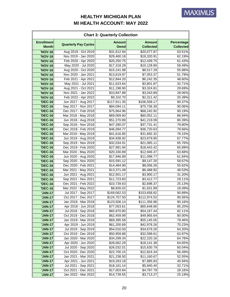| <b>Chart 3: Quarterly Collection</b> |                             |                              |                                   |                                |
|--------------------------------------|-----------------------------|------------------------------|-----------------------------------|--------------------------------|
| <b>Enrollment</b><br><b>Month</b>    | <b>Quarterly Pay Cycles</b> | <b>Amount</b><br><b>Owed</b> | <b>Amount</b><br><b>Collected</b> | Percentage<br><b>Collected</b> |
| <b>'NOV-16</b>                       | Aug 2019 - Oct 2019         | \$31,612.94                  | \$20,077.87                       | 63.51%                         |
| 'NOV-16                              | Nov 2019 - Jan 2020         | \$29,460.18                  | \$18,320.91                       | 62.19%                         |
| <b>'NOV-16</b>                       | Feb 2020 - Apr 2020         | \$20,250.75                  | $\overline{$}12,439.75$           | 61.43%                         |
| <b>'NOV-16</b>                       | May 2020 - Jul 2020         | \$17,318.29                  | \$10,128.80                       | 58.49%                         |
| <b>'NOV-16</b>                       | Aug 2020 - Oct 2020         | \$15,241.98                  | \$8,517.29                        | 55.88%                         |
| <b>'NOV-16</b>                       | Nov 2020 - Jan 2021         | \$13,619.97                  | \$7,053.37                        | 51.79%                         |
| 'NOV-16                              | Feb 2021 - Apr 2021         | \$12,844.20                  | \$6,242.35                        | 48.60%                         |
| <b>'NOV-16</b>                       | May 2021 - Jul 2021         | \$11,623.64                  | \$3,801.87                        | 32.71%                         |
| 'NOV-16                              | Aug 2021 - Oct 2021         | \$11,198.90                  | \$3,324.81                        | 29.69%                         |
| 'NOV-16                              | Nov 2021 - Jan 2022         | \$10,847.88                  | \$3,043.89                        | 28.06%                         |
| <b>'NOV-16</b>                       | Feb 2022 - Apr 2022         | \$9,102.70                   | \$2,311.42                        | 25.39%                         |
| <b>'DEC-16</b>                       | Jun 2017 - Aug 2017         | \$117,911.35                 | \$106,558.17                      | 90.37%                         |
| <b>'DEC-16</b>                       | Sep 2017 - Nov 2017         | \$84,094.11                  | \$75,736.30                       | 90.06%                         |
| <b>'DEC-16</b>                       | Dec 2017 - Feb 2018         | \$75,664.96                  | \$68,242.92                       | 90.19%                         |
| <b>'DEC-16</b>                       | Mar 2018 - May 2018         | \$69,069.60                  | \$60,052.11                       | 86.94%                         |
| <b>'DEC-16</b>                       | Jun 2018 - Aug 2018         | \$51,270.89                  | \$41,219.09                       | 80.39%                         |
| <b>'DEC-16</b>                       | Sep 2018 - Nov 2018         | \$47,280.07                  | \$37,731.41                       | 79.80%                         |
| <b>'DEC-16</b>                       | Dec 2018 - Feb 2019         | \$46,094.77                  | \$36,720.63                       | 79.66%                         |
| <b>'DEC-16</b>                       | Mar 2019 - May 2019         | \$41,616.85                  | \$31,692.32                       | 76.15%                         |
| <b>'DEC-16</b>                       | Jun 2019 - Aug 2019         | \$34,938.92                  | \$23,679.85                       | 67.77%                         |
| <b>'DEC-16</b>                       | Sep 2019 - Nov 2019         | \$32,034.91                  | \$21,065.11                       | 65.76%                         |
| <b>'DEC-16</b>                       | Dec 2019 - Feb 2020         | \$27,991.94                  | \$18,443.42                       | 65.89%                         |
| <b>'DEC-16</b>                       | Mar 2020 - May 2020         | \$20,330.89                  | \$12,946.37                       | 63.68%                         |
| <b>'DEC-16</b>                       | Jun 2020 - Aug 2020         | \$17,946.89                  | \$11,098.77                       | 61.84%                         |
| <b>'DEC-16</b>                       | Sep 2020 - Nov 2020         | \$15,591.12                  | \$9,147.20                        | 58.67%                         |
| <b>'DEC-16</b>                       | Dec 2020 - Feb 2021         | \$14,484.90                  | \$8,056.26                        | 55.62%                         |
| <b>'DEC-16</b>                       | Mar 2021 - May 2021         | \$13,371.49                  | \$6,488.92                        | 48.53%                         |
| <b>'DEC-16</b>                       | Jun 2021 - Aug 2021         | \$12,501.17                  | \$3,900.17                        | 31.20%                         |
| <b>'DEC-16</b>                       | Sep 2021 - Nov 2021         | \$11,723.83                  | \$3,412.77                        | 29.11%                         |
| <b>'DEC-16</b>                       | Dec 2021 - Feb 2022         | \$10,739.63                  | \$2,698.37                        | 25.13%                         |
| <b>'DEC-16</b>                       | Mar 2022 - May 2022         | \$8,826.02                   | \$1,631.89                        | 18.49%                         |
| <b>'JAN-17</b>                       | Jul 2017 - Sep 2017         | \$169,062.53                 | \$153,658.82                      | 90.89%                         |
| <b>'JAN-17</b>                       | Oct 2017 - Dec 2017         | \$124,757.50                 | \$112,974.52                      | 90.56%                         |
| <b>'JAN-17</b>                       | Jan 2018 - Mar 2018         | \$123,506.14                 | \$111,356.96                      | 90.16%                         |
| <b>'JAN-17</b>                       | Apr 2018 - Jun 2018         | \$77,053.61                  | \$65,648.66                       | 85.20%                         |
| <b>'JAN-17</b>                       | Jul 2018 - Sep 2018         | \$65,970.80                  | \$54,167.44                       | 82.11%                         |
| <b>'JAN-17</b>                       | Oct 2018 - Dec 2018         | \$62,459.99                  | \$49,965.64                       | 80.00%                         |
| <b>'JAN-17</b>                       | Jan 2019 - Mar 2019         | \$69,395.58                  | \$55,145.05                       | 79.46%                         |
| <b>'JAN-17</b>                       | Apr 2019 - Jun 2019         | \$61,200.69                  | \$42,978.26                       | 70.23%                         |
| <b>'JAN-17</b>                       | Jul 2019 - Sep 2019         | \$54,016.50                  | \$34,679.26                       | 64.20%                         |
| <b>'JAN-17</b>                       | Oct 2019 - Dec 2019         | \$50,959.88                  | \$32,598.61                       | 63.97%                         |
| <b>'JAN-17</b>                       | Jan 2020 - Mar 2020         | \$34,299.34                  | \$22,220.16                       | 64.78%                         |
| <b>'JAN-17</b>                       | Apr 2020 - Jun 2020         | \$28,062.29                  | \$18,141.38                       | 64.65%                         |
| <b>'JAN-17</b>                       | Jul 2020 - Sep 2020         | \$26,032.01                  | \$15,630.79                       | 60.04%                         |
| <b>'JAN-17</b>                       | Oct 2020 - Dec 2020         | \$22,700.15                  | \$12,824.34                       | 56.49%                         |
| <b>'JAN-17</b>                       | Jan 2021 - Mar 2021         | \$21,238.50                  | \$11,160.67                       | 52.55%                         |
| <b>'JAN-17</b>                       | Apr 2021 - Jun 2021         | \$19,263.18                  | \$7,885.83                        | 40.94%                         |
| <b>'JAN-17</b>                       | Jul 2021 - Sep 2021         | \$18,161.14                  | \$5,940.40                        | 32.71%                         |
| <b>'JAN-17</b>                       | Oct 2021 - Dec 2021         | \$17,003.84                  | \$4,787.79                        | 28.16%                         |
| <b>'JAN-17</b>                       | Jan 2022 - Mar 2022         | \$14,739.55                  | \$3,713.27                        | 25.19%                         |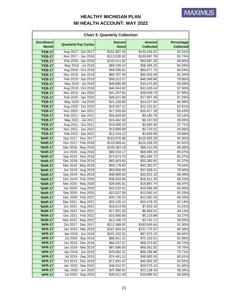| <b>Chart 3: Quarterly Collection</b> |                             |                              |                                   |                                |
|--------------------------------------|-----------------------------|------------------------------|-----------------------------------|--------------------------------|
| <b>Enrollment</b><br><b>Month</b>    | <b>Quarterly Pay Cycles</b> | <b>Amount</b><br><b>Owed</b> | <b>Amount</b><br><b>Collected</b> | Percentage<br><b>Collected</b> |
| <b>'FEB-17</b>                       | Aug 2017 - Oct 2017         | \$151,807.15                 | \$140,434.01                      | 92.51%                         |
| <b>'FEB-17</b>                       | Nov 2017 - Jan 2018         | \$113,036.92                 | \$103,697.76                      | 91.74%                         |
| <b>'FEB-17</b>                       | Feb 2018 - Apr 2018         | \$103,411.92                 | \$93,687.26                       | 90.60%                         |
| <b>'FEB-17</b>                       | May 2018 - Jul 2018         | \$69,299.24                  | \$58,394.25                       | 84.26%                         |
| <b>'FEB-17</b>                       | Aug 2018 - Oct 2018         | \$59,590.61                  | \$50,077.73                       | 84.04%                         |
| <b>'FEB-17</b>                       | Nov 2018 - Jan 2019         | \$60,787.56                  | \$50,003.49                       | 82.26%                         |
| <b>'FEB-17</b>                       | Feb 2019 - Apr 2019         | \$58,313.27                  | \$46,569.86                       | 79.86%                         |
| <b>'FEB-17</b>                       | May 2019 - Jul 2019         | \$49,896.85                  | \$34,474.83                       | 69.09%                         |
| <b>'FEB-17</b>                       | Aug 2019 - Oct 2019         | \$46,564.92                  | \$31,429.44                       | 67.50%                         |
| <b>'FEB-17</b>                       | Nov 2019 - Jan 2020         | \$41,257.64                  | \$28,038.79                       | 67.96%                         |
| <b>'FEB-17</b>                       | Feb 2020 - Apr 2020         | \$26,611.88                  | \$17,907.49                       | 67.29%                         |
| <b>'FEB-17</b>                       | May 2020 - Jul 2020         | \$21,228.86                  | \$14,027.94                       | 66.08%                         |
| <b>'FEB-17</b>                       | Aug 2020 - Oct 2020         | \$19,267.12                  | \$12,101.81                       | 62.81%                         |
| <b>'FEB-17</b>                       | Nov 2020 - Jan 2021         | \$17,528.64                  | \$10,417.18                       | 59.43%                         |
| <b>'FEB-17</b>                       | Feb 2021 - Apr 2021         | \$16,649.58                  | \$9,180.79                        | 55.14%                         |
| <b>'FEB-17</b>                       | May 2021 - Jul 2021         | \$15,462.30                  | \$6,157.93                        | 39.83%                         |
| <b>'FEB-17</b>                       | Aug 2021 - Oct 2021         | \$15,089.20                  | \$5,690.30                        | 37.71%                         |
| <b>'FEB-17</b>                       | Nov 2021 - Jan 2022         | \$13,889.89                  | \$4,733.52                        | 34.08%                         |
| <b>'FEB-17</b>                       | Feb 2022 - Apr 2022         | \$12,244.12                  | \$3,659.90                        | 29.89%                         |
| <b>'MAR-17</b>                       | Sep 2017 - Nov 2017         | \$163,976.86                 | \$150,855.29                      | 92.00%                         |
| <b>'MAR-17</b>                       | Dec 2017 - Feb 2018         | \$119,969.41                 | \$110,258.25                      | 91.91%                         |
| <b>'MAR-17</b>                       | Mar 2018 - May 2018         | \$109,364.19                 | \$98,410.09                       | 89.98%                         |
| <b>'MAR-17</b>                       | Jun 2018 - Aug 2018         | \$80,534.17                  | \$68,990.33                       | 85.67%                         |
| <b>'MAR-17</b>                       | Sep 2018 - Nov 2018         | \$74,873.70                  | \$62,494.72                       | 83.47%                         |
| <b>'MAR-17</b>                       | Dec 2018 - Feb 2019         | \$65,603.63                  | \$53,382.81                       | 81.37%                         |
| <b>'MAR-17</b>                       | Mar 2019 - May 2019         | \$59,178.65                  | \$45,353.07                       | 76.64%                         |
| <b>'MAR-17</b>                       | Jun 2019 - Aug 2019         | \$53,656.59                  | \$37,828.41                       | 70.50%                         |
| <b>'MAR-17</b>                       | Sep 2019 - Nov 2019         | \$48,989.92                  | \$33,551.15                       | 68.49%                         |
| <b>'MAR-17</b>                       | Dec 2019 - Feb 2020         | \$38,833.94                  | \$26,611.35                       | 68.53%                         |
| <b>'MAR-17</b>                       | Mar 2020 - May 2020         | \$29,695.81                  | \$19,887.74                       | 66.97%                         |
| <b>'MAR-17</b>                       | Jun 2020 - Aug 2020         | \$25,532.01                  | \$16,596.08                       | 65.00%                         |
| <b>'MAR-17</b>                       | Sep 2020 - Nov 2020         | \$22,037.58                  | \$13,560.31                       | 61.53%                         |
| <b>'MAR-17</b>                       | Dec 2020 - Feb 2021         | \$20,726.23                  | \$12,062.03                       | 58.20%                         |
| <b>'MAR-17</b>                       | Mar 2021 - May 2021         | \$20,100.14                  | \$10,479.35                       | 52.14%                         |
| <b>'MAR-17</b>                       | Jun 2021 - Aug 2021         | \$18,613.56                  | \$7,633.18                        | 41.01%                         |
| <b>'MAR-17</b>                       | Sep 2021 - Nov 2021         | \$17,851.26                  | \$6,809.01                        | 38.14%                         |
| <b>'MAR-17</b>                       | Dec 2021 - Feb 2022         | \$15,690.60                  | \$5,219.88                        | 33.27%                         |
| <b>'MAR-17</b>                       | Mar 2022 - May 2022         | \$13,196.75                  | \$3,702.11                        | 28.05%                         |
| 'APR-17                              | Oct 2017 - Dec 2017         | \$212,389.92                 | \$193,905.64                      | 91.30%                         |
| <b>'APR-17</b>                       | Jan 2018 - Mar 2018         | \$167,933.04                 | \$151,775.97                      | 90.38%                         |
| <b>'APR-17</b>                       | Apr 2018 - Jun 2018         | \$101,310.31                 | \$87,973.15                       | 86.84%                         |
| 'APR-17                              | Jul 2018 - Sep 2018         | \$86,911.21                  | \$72,102.61                       | 82.96%                         |
| <b>'APR-17</b>                       | Oct 2018 - Dec 2018         | \$84,337.07                  | \$68,073.82                       | 80.72%                         |
| <b>'APR-17</b>                       | Jan 2019 - Mar 2019         | \$87,696.83                  | \$69,061.92                       | 78.75%                         |
| 'APR-17                              | Apr 2019 - Jun 2019         | \$79,582.31                  | \$56,268.96                       | 70.71%                         |
| 'APR-17                              | Jul 2019 - Sep 2019         | \$74,481.12                  | \$48,865.00                       | 65.61%                         |
| <b>'APR-17</b>                       | Oct 2019 - Dec 2019         | \$71,841.47                  | \$45,656.25                       | 63.55%                         |
| <b>'APR-17</b>                       | Jan 2020 - Mar 2020         | \$48,010.57                  | \$29,575.42                       | 61.60%                         |
| 'APR-17                              | Apr 2020 - Jun 2020         | \$37,998.81                  | \$22,138.43                       | 58.26%                         |
| 'APR-17                              | Jul 2020 - Sep 2020         | \$35,011.09                  | \$19,895.52                       | 56.83%                         |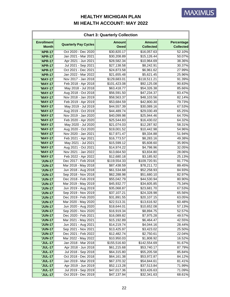| <b>Chart 3: Quarterly Collection</b> |                                            |                              |                                   |                                |
|--------------------------------------|--------------------------------------------|------------------------------|-----------------------------------|--------------------------------|
| <b>Enrollment</b><br><b>Month</b>    | <b>Quarterly Pay Cycles</b>                | <b>Amount</b><br><b>Owed</b> | <b>Amount</b><br><b>Collected</b> | Percentage<br><b>Collected</b> |
| <b>'APR-17</b>                       | Oct 2020 - Dec 2020                        | \$30,820.17                  | \$16,057.63                       | 52.10%                         |
| <b>'APR-17</b>                       | Jan 2021 - Mar 2021                        | \$30,208.89                  | \$15,126.44                       | 50.07%                         |
| <b>'APR-17</b>                       | Apr 2021 - Jun 2021                        | \$28,582.34                  | \$10,964.69                       | 38.36%                         |
| 'APR-17                              | Jul 2021 - Sep 2021                        | \$27,138.58                  | \$8,242.91                        | 30.37%                         |
| <b>'APR-17</b>                       | Oct 2021 - Dec 2021                        | \$24,873.58                  | \$6,961.62                        | 27.99%                         |
| 'APR-17                              | Jan 2022 - Mar 2022                        | \$21,655.48                  | \$5,621.45                        | 25.96%                         |
| <b>'MAY-17</b>                       | Nov 2017 - Jan 2018                        | \$129,683.01                 | \$118,511.21                      | 91.39%                         |
| <b>'MAY-17</b>                       | Feb 2018 - Apr 2018                        | \$101,423.08                 | \$92,125.08                       | 90.83%                         |
| <b>'MAY-17</b>                       | May 2018 - Jul 2018                        | \$63,418.77                  | \$54,326.38                       | 85.66%                         |
| <b>'MAY-17</b>                       | Aug 2018 - Oct 2018                        | \$56,591.50                  | \$47,234.37                       | 83.47%                         |
| <b>'MAY-17</b>                       | Nov 2018 - Jan 2019                        | \$58,563.37                  | \$48,103.56                       | 82.14%                         |
| <b>'MAY-17</b>                       | Feb 2019 - Apr 2019                        | \$53,684.59                  | \$42,800.30                       | 79.73%                         |
| <b>'MAY-17</b>                       | May 2019 - Jul 2019                        | \$44,557.39                  | \$30,089.16                       | 67.53%                         |
| <b>'MAY-17</b>                       | Aug 2019 - Oct 2019                        | \$44,489.74                  | \$29,030.49                       | 65.25%                         |
| <b>'MAY-17</b>                       | Nov 2019 - Jan 2020                        | \$40,099.98                  | \$25,944.46                       | 64.70%                         |
| <b>'MAY-17</b>                       | Feb 2020 - Apr 2020                        | \$25,544.83                  | \$16,430.02                       | 64.32%                         |
| <b>'MAY-17</b>                       | May 2020 - Jul 2020                        | \$21,074.03                  | \$12,287.92                       | 58.31%                         |
| <b>'MAY-17</b>                       | Aug 2020 - Oct 2020                        | \$19,001.52                  | \$10,442.98                       | 54.96%                         |
| <b>'MAY-17</b>                       | Nov 2020 - Jan 2021                        | \$17,971.47                  | \$9,334.88                        | 51.94%                         |
| <b>'MAY-17</b>                       | Feb 2021 - Apr 2021                        | \$16,773.57                  | \$8,283.16                        | 49.38%                         |
| <b>'MAY-17</b>                       | May 2021 - Jul 2021                        | \$15,599.12                  | \$5,608.60                        | 35.95%                         |
| <b>'MAY-17</b>                       | Aug 2021 - Oct 2021                        | \$14,974.22                  | \$4,798.96                        | 32.05%                         |
| <b>'MAY-17</b>                       | Nov 2021 - Jan 2022                        | \$13,664.50                  | \$3,834.80                        | 28.06%                         |
| <b>'MAY-17</b>                       | Feb 2022 - Apr 2022                        | \$12,680.18                  | \$3,185.92                        | 25.13%                         |
| <b>'JUN-17</b>                       | Dec 2017 - Feb 2018                        | \$119,554.33                 | \$109,720.91                      | 91.77%                         |
| <b>'JUN-17</b>                       | Mar 2018 - May 2018                        | \$87,438.59                  | \$78,211.72                       | 89.45%                         |
| <b>'JUN-17</b>                       | Jun 2018 - Aug 2018                        | \$61,534.68                  | \$52,258.93                       | 84.93%                         |
| <b>'JUN-17</b>                       | Sep 2018 - Nov 2018                        | \$62,288.98                  | \$51,680.10                       | 82.97%                         |
| <b>'JUN-17</b>                       | Dec 2018 - Feb 2019                        | \$55,042.79                  | \$44,530.94                       | 80.90%                         |
| <b>'JUN-17</b>                       | Mar 2019 - May 2019                        | \$45,932.77                  | \$34,605.85                       | 75.34%                         |
| <b>'JUN-17</b>                       | Jun 2019 - Aug 2019                        | \$35,068.87                  | \$23,681.70                       | 67.53%                         |
| <b>'JUN-17</b>                       | Sep 2019 - Nov 2019                        | \$37,107.21                  | \$24,328.98                       | 65.56%                         |
| <b>'JUN-17</b>                       | Dec 2019 - Feb 2020                        | \$31,891.55                  | \$20,107.15                       | 63.05%                         |
| <b>'JUN-17</b>                       | Mar 2020 - May 2020                        | \$22,513.31                  | \$13,616.92                       | 60.48%                         |
| <b>'JUN-17</b>                       | Jun 2020 - Aug 2020                        | \$18,644.01                  | \$10,652.08                       | 57.13%                         |
| <b>'JUN-17</b>                       | Sep 2020 - Nov 2020                        | \$16,919.34                  | \$8,894.75                        | 52.57%                         |
| <b>'JUN-17</b>                       | Dec 2020 - Feb 2021                        | \$16,089.82                  | \$7,975.28                        | 49.57%                         |
| <b>'JUN-17</b>                       | Mar 2021 - May 2021                        | \$15,192.89                  | \$6,464.47                        | 42.55%                         |
| <b>'JUN-17</b>                       | Jun 2021 - Aug 2021                        | \$14,219.74                  | \$4,044.16                        | 28.44%                         |
| <b>'JUN-17</b>                       | Sep 2021 - Nov 2021                        | \$13,425.97                  | \$3,423.02                        | 25.50%                         |
| <b>'JUN-17</b>                       | Dec 2021 - Feb 2022                        | \$12,482.74                  | \$2,750.61                        | 22.04%                         |
| <b>'JUN-17</b>                       | Mar 2022 - May 2022                        | \$10,950.03                  | \$1,808.92                        | 16.52%                         |
| <b>'JUL-17</b><br><b>'JUL-17</b>     | Jan 2018 - Mar 2018<br>Apr 2018 - Jun 2018 | \$155,516.60<br>\$61,215.68  | \$142,554.69<br>\$53,740.17       | 91.67%<br>87.79%               |
| <b>'JUL-17</b>                       | Jul 2018 - Sep 2018                        | \$64,315.80                  | \$55,205.58                       | 85.84%                         |
| <b>'JUL-17</b>                       | Oct 2018 - Dec 2018                        | \$64,161.38                  | \$53,972.87                       | 84.12%                         |
| <b>'JUL-17</b>                       | Jan 2019 - Mar 2019                        | \$67,370.32                  | \$54,844.61                       | 81.41%                         |
| <b>'JUL-17</b>                       | Apr 2019 - Jun 2019                        | \$52,113.28                  | \$37,513.84                       | 71.99%                         |
| <b>'JUL-17</b>                       | Jul 2019 - Sep 2019                        | \$47,017.36                  | \$33,426.63                       | 71.09%                         |
| <b>'JUL-17</b>                       | Oct 2019 - Dec 2019                        | \$47,137.94                  | \$32,341.63                       | 68.61%                         |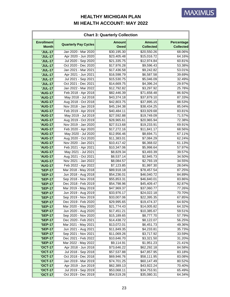| <b>Chart 3: Quarterly Collection</b> |                             |                              |                                   |                                |
|--------------------------------------|-----------------------------|------------------------------|-----------------------------------|--------------------------------|
| <b>Enrollment</b><br><b>Month</b>    | <b>Quarterly Pay Cycles</b> | <b>Amount</b><br><b>Owed</b> | <b>Amount</b><br><b>Collected</b> | Percentage<br><b>Collected</b> |
| <b>'JUL-17</b>                       | Jan 2020 - Mar 2020         | \$30,195.30                  | \$20,550.26                       | 68.06%                         |
| <b>'JUL-17</b>                       | Apr 2020 - Jun 2020         | \$23,405.48                  | \$15,016.72                       | 64.16%                         |
| <b>'JUL-17</b>                       | Jul 2020 - Sep 2020         | \$21,335.75                  | \$12,974.84                       | 60.81%                         |
| <b>'JUL-17</b>                       | Oct 2020 - Dec 2020         | \$17,976.28                  | \$9,596.43                        | 53.38%                         |
| <b>'JUL-17</b>                       | Jan 2021 - Mar 2021         | \$17,436.58                  | \$9,242.82                        | 53.01%                         |
| <b>'JUL-17</b>                       | Apr 2021 - Jun 2021         | \$16,598.79                  | \$6,587.58                        | 39.69%                         |
| <b>'JUL-17</b>                       | Jul 2021 - Sep 2021         | \$15,530.75                  | \$5,046.09                        | 32.49%                         |
| <b>'JUL-17</b>                       | Oct 2021 - Dec 2021         | \$14,669.75                  | \$4,396.24                        | 29.97%                         |
| <b>'JUL-17</b>                       | Jan 2022 - Mar 2022         | \$12,792.82                  | \$3,297.92                        | 25.78%                         |
| <b>'AUG-17</b>                       | Feb 2018 - Apr 2018         | \$82,446.39                  | \$71,658.48                       | 86.92%                         |
| <b>'AUG-17</b>                       | May 2018 - Jul 2018         | \$43,374.18                  | \$37,879.10                       | 87.33%                         |
| <b>'AUG-17</b>                       | Aug 2018 - Oct 2018         | \$42,803.75                  | \$37,895.15                       | 88.53%                         |
| <b>'AUG-17</b>                       | Nov 2018 - Jan 2019         | \$45,194.38                  | \$38,434.25                       | 85.04%                         |
| <b>'AUG-17</b>                       | Feb 2019 - Apr 2019         | \$40,484.11                  | \$33,929.68                       | 83.81%                         |
| <b>'AUG-17</b>                       | May 2019 - Jul 2019         | \$27,592.88                  | \$19,749.09                       | 71.57%                         |
| <b>'AUG-17</b>                       | Aug 2019 - Oct 2019         | \$28,965.61                  | \$20,965.94                       | 72.38%                         |
| <b>'AUG-17</b>                       | Nov 2019 - Jan 2020         | \$27,513.68                  | \$19,233.91                       | 69.91%                         |
| <b>'AUG-17</b>                       | Feb 2020 - Apr 2020         | \$17,272.16                  | \$11,841.17                       | 68.56%                         |
| <b>'AUG-17</b>                       | May 2020 - Jul 2020         | \$12,956.46                  | \$8,694.71                        | 67.11%                         |
| <b>'AUG-17</b>                       | Aug 2020 - Oct 2020         | \$11,383.01                  | \$7,084.29                        | 62.24%                         |
| <b>'AUG-17</b>                       | Nov 2020 - Jan 2021         | \$10,417.42                  | \$6,368.02                        | 61.13%                         |
| <b>'AUG-17</b>                       | Feb 2021 - Apr 2021         | \$10,347.06                  | \$5,998.64                        | 57.97%                         |
| <b>'AUG-17</b>                       | May 2021 - Jul 2021         | \$8,829.34                   | \$3,493.39                        | 39.57%                         |
| <b>'AUG-17</b>                       | Aug 2021 - Oct 2021         | \$8,537.14                   | \$2,945.73                        | 34.50%                         |
| <b>'AUG-17</b>                       | Nov 2021 - Jan 2022         | \$8,084.57                   | \$2,793.19                        | 34.55%                         |
| <b>'AUG-17</b>                       | Feb 2022 - Apr 2022         | \$7,123.85                   | \$1,997.30                        | 28.04%                         |
| <b>'SEP-17</b>                       | Mar 2018 - May 2018         | \$89,918.18                  | \$78,457.54                       | 87.25%                         |
| <b>'SEP-17</b>                       | Jun 2018 - Aug 2018         | \$54,236.01                  | \$46,040.72                       | 84.89%                         |
| <b>'SEP-17</b>                       | Sep 2018 - Nov 2018         | \$55,853.31                  | \$46,840.01                       | 83.86%                         |
| <b>'SEP-17</b>                       | Dec 2018 - Feb 2019         | \$54,798.96                  | \$45,409.47                       | 82.87%                         |
| <b>'SEP-17</b>                       | Mar 2019 - May 2019         | \$47,969.37                  | \$37,060.77                       | 77.26%                         |
| <b>'SEP-17</b>                       | Jun 2019 - Aug 2019         | \$33,976.17                  | \$24,022.18                       | 70.70%                         |
| <b>'SEP-17</b>                       | Sep 2019 - Nov 2019         | \$33,007.06                  | \$22,395.35                       | 67.85%                         |
| <b>'SEP-17</b>                       | Dec 2019 - Feb 2020         | \$29,995.65                  | \$19,474.37                       | 64.92%                         |
| <b>'SEP-17</b>                       | Mar 2020 - May 2020         | \$21,774.43                  | \$14,005.82                       | 64.32%                         |
| <b>'SEP-17</b>                       | Jun 2020 - Aug 2020         | \$17,451.21                  | \$10,385.67                       | 59.51%                         |
| <b>'SEP-17</b>                       | Sep 2020 - Nov 2020         | \$15,189.65                  | \$8,777.70                        | 57.79%                         |
| <b>'SEP-17</b>                       | Dec 2020 - Feb 2021         | \$14,438.72                  | \$8,122.07                        | 56.25%                         |
| <b>'SEP-17</b>                       | Mar 2021 - May 2021         | \$13,072.01                  | \$6,451.73                        | 49.36%                         |
| <b>'SEP-17</b>                       | Jun 2021 - Aug 2021         | \$11,849.35                  | \$4,233.81                        | 35.73%                         |
| <b>'SEP-17</b>                       | Sep 2021 - Nov 2021         | \$11,069.26                  | \$3,717.92                        | 33.59%                         |
| <b>'SEP-17</b>                       | Dec 2021 - Feb 2022         | \$10,646.70                  | \$3,321.50                        | 31.20%                         |
| <b>'SEP-17</b>                       | Mar 2022 - May 2022         | \$9,114.91                   | \$1,951.23                        | 21.41%                         |
| <b>'OCT-17</b>                       | Apr 2018 - Jun 2018         | \$73,646.22                  | \$62,292.18                       | 84.58%                         |
| <b>'OCT-17</b>                       | Jul 2018 - Sep 2018         | \$57,537.88                  | \$47,857.95                       | 83.18%                         |
| <b>'OCT-17</b>                       | Oct 2018 - Dec 2018         | \$69,946.76                  | \$58,111.95                       | 83.08%                         |
| <b>'OCT-17</b>                       | Jan 2019 - Mar 2019         | \$74,701.25                  | \$60,147.49                       | 80.52%                         |
| <b>'OCT-17</b>                       | Apr 2019 - Jun 2019         | \$62,389.13                  | \$43,922.24                       | 70.40%                         |
| <b>'OCT-17</b>                       | Jul 2019 - Sep 2019         | \$53,068.11                  | \$34,753.91                       | 65.49%                         |
| <b>'OCT-17</b>                       | Oct 2019 - Dec 2019         | \$54,519.26                  | \$35,080.31                       | 64.34%                         |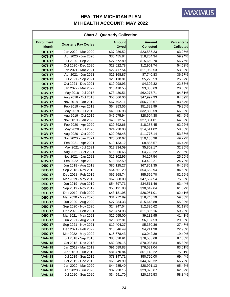| <b>Chart 3: Quarterly Collection</b> |                             |                              |                                   |                                |
|--------------------------------------|-----------------------------|------------------------------|-----------------------------------|--------------------------------|
| <b>Enrollment</b><br><b>Month</b>    | <b>Quarterly Pay Cycles</b> | <b>Amount</b><br><b>Owed</b> | <b>Amount</b><br><b>Collected</b> | Percentage<br><b>Collected</b> |
| <b>'OCT-17</b>                       | Jan 2020 - Mar 2020         | \$37,286.52                  | \$23,585.23                       | 63.25%                         |
| <b>'OCT-17</b>                       | Apr 2020 - Jun 2020         | \$30,455.84                  | \$18,254.34                       | 59.94%                         |
| <b>'OCT-17</b>                       | Jul 2020 - Sep 2020         | \$27,572.80                  | \$15,650.70                       | 56.76%                         |
| <b>'OCT-17</b>                       | Oct 2020 - Dec 2020         | \$23,622.78                  | \$12,901.74                       | 54.62%                         |
| <b>'OCT-17</b>                       | Jan 2021 - Mar 2021         | \$22,417.54                  | \$11,952.53                       | 53.32%                         |
| <b>'OCT-17</b>                       | Apr 2021 - Jun 2021         | \$21,168.87                  | \$7,740.83                        | 36.57%                         |
| <b>'OCT-17</b>                       | Jul 2021 - Sep 2021         | \$20,118.81                  | \$5,225.53                        | 25.97%                         |
| <b>'OCT-17</b>                       | Oct 2021 - Dec 2021         | \$19,098.93                  | \$4,302.32                        | 22.53%                         |
| <b>'OCT-17</b>                       | Jan 2022 - Mar 2022         | \$16,410.55                  | \$3,385.69                        | 20.63%                         |
| <b>'NOV-17</b>                       | May 2018 - Jul 2018         | \$73,430.51                  | \$62,277.71                       | 84.81%                         |
| <b>'NOV-17</b>                       | Aug 2018 - Oct 2018         | \$56,666.06                  | \$47,992.93                       | 84.69%                         |
| <b>'NOV-17</b>                       | Nov 2018 - Jan 2019         | \$67,792.11                  | \$56,703.67                       | 83.64%                         |
| <b>'NOV-17</b>                       | Feb 2019 - Apr 2019         | \$64,353.56                  | \$51,389.99                       | 79.86%                         |
| <b>'NOV-17</b>                       | May 2019 - Jul 2019         | \$49,056.98                  | \$32,830.59                       | 66.92%                         |
| <b>'NOV-17</b>                       | Aug 2019 - Oct 2019         | \$45,075.94                  | \$28,604.38                       | 63.46%                         |
| <b>'NOV-17</b>                       | Nov 2019 - Jan 2020         | \$43,012.57                  | \$27,881.01                       | 64.82%                         |
| <b>'NOV-17</b>                       | Feb 2020 - Apr 2020         | \$29,392.66                  | \$18,288.45                       | 62.22%                         |
| <b>'NOV-17</b>                       | May 2020 - Jul 2020         | \$24,730.00                  | \$14,511.02                       | 58.68%                         |
| <b>'NOV-17</b>                       | Aug 2020 - Oct 2020         | \$22,068.48                  | \$11,776.14                       | 53.36%                         |
| <b>'NOV-17</b>                       | Nov 2020 - Jan 2021         | \$20,600.67                  | \$10,138.96                       | 49.22%                         |
| <b>'NOV-17</b>                       | Feb 2021 - Apr 2021         | \$19,133.12                  | \$8,885.57                        | 46.44%                         |
| <b>'NOV-17</b>                       | May 2021 - Jul 2021         | \$17,934.09                  | \$5,802.17                        | 32.35%                         |
| <b>'NOV-17</b>                       | Aug 2021 - Oct 2021         | \$16,950.65                  | \$4,723.22                        | 27.86%                         |
| <b>'NOV-17</b>                       | Nov 2021 - Jan 2022         | \$16,302.95                  | \$4,107.54                        | 25.20%                         |
| <b>'NOV-17</b>                       | Feb 2022 - Apr 2022         | \$13,852.59                  | \$3,422.21                        | 24.70%                         |
| <b>'DEC-17</b>                       | Jun 2018 - Aug 2018         | \$80,125.27                  | \$67,861.35                       | 84.69%                         |
| <b>'DEC-17</b>                       | Sep 2018 - Nov 2018         | \$64,601.29                  | \$54,652.94                       | 84.60%                         |
| <b>'DEC-17</b>                       | Dec 2018 - Feb 2019         | \$67,268.74                  | \$55,556.70                       | 82.59%                         |
| <b>'DEC-17</b>                       | Mar 2019 - May 2019         | \$62,868.00                  | \$47,587.54                       | 75.69%                         |
| <b>'DEC-17</b>                       | Jun 2019 - Aug 2019         | \$54,397.71                  | \$34,511.46                       | 63.44%                         |
| <b>'DEC-17</b>                       | Sep 2019 - Nov 2019         | \$50,191.80                  | \$30,649.64                       | 61.07%                         |
| <b>'DEC-17</b>                       | Dec 2019 - Feb 2020         | \$43,181.95                  | \$26,951.01                       | 62.41%                         |
| <b>'DEC-17</b>                       | Mar 2020 - May 2020         | \$31,772.89                  | \$18,745.19                       | 59.00%                         |
| <b>'DEC-17</b>                       | Jun 2020 - Aug 2020         | \$27,984.33                  | \$15,648.88                       | 55.92%                         |
| <b>'DEC-17</b>                       | Sep 2020 - Nov 2020         | \$24,247.54                  | \$12,395.62                       | 51.12%                         |
| <b>'DEC-17</b>                       | Dec 2020 - Feb 2021         | \$23,474.93                  | \$11,806.16                       | 50.29%                         |
| <b>'DEC-17</b>                       | Mar 2021 - May 2021         | \$22,055.00                  | \$9,132.95                        | 41.41%                         |
| <b>'DEC-17</b>                       | Jun 2021 - Aug 2021         | \$20,682.81                  | \$6,107.53                        | 29.53%                         |
| <b>'DEC-17</b>                       | Sep 2021 - Nov 2021         | \$19,404.27                  | \$5,330.36                        | 27.47%                         |
| <b>'DEC-17</b>                       | Dec 2021 - Feb 2022         | \$18,346.49                  | \$4,211.98                        | 22.96%                         |
| <b>'DEC-17</b>                       | Mar 2022 - May 2022         | \$15,678.43                  | \$3,042.39                        | 19.40%                         |
| <b>'JAN-18</b>                       | Jul 2018 - Sep 2018         | \$88,028.91                  | \$76,583.68                       | 87.00%                         |
| <b>'JAN-18</b>                       | Oct 2018 - Dec 2018         | \$82,089.15                  | \$70,035.84                       | 85.32%                         |
| <b>'JAN-18</b>                       | Jan 2019 - Mar 2019         | \$91,589.83                  | \$76,581.04                       | 83.61%                         |
| 'JAN-18                              | Apr 2019 - Jun 2019         | \$81,470.84                  | \$61,113.22                       | 75.01%                         |
| 'JAN-18                              | Jul 2019 - Sep 2019         | \$73,147.71                  | \$50,796.00                       | 69.44%                         |
| 'JAN-18                              | Oct 2019 - Dec 2019         | \$66,049.99                  | \$44,070.32                       | 66.72%                         |
| <b>'JAN-18</b>                       | Jan 2020 - Mar 2020         | \$44,285.40                  | \$28,991.13                       | 65.46%                         |
| <b>'JAN-18</b>                       | Apr 2020 - Jun 2020         | \$37,928.15                  | \$23,826.67                       | 62.82%                         |
| 'JAN-18                              | Jul 2020 - Sep 2020         | \$34,591.70                  | \$20,179.53                       | 58.34%                         |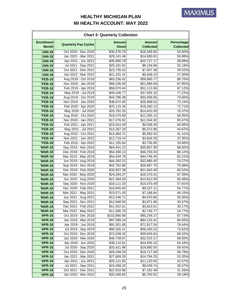| <b>Chart 3: Quarterly Collection</b> |                                            |                              |                                   |                                |
|--------------------------------------|--------------------------------------------|------------------------------|-----------------------------------|--------------------------------|
| <b>Enrollment</b><br><b>Month</b>    | <b>Quarterly Pay Cycles</b>                | <b>Amount</b><br><b>Owed</b> | <b>Amount</b><br><b>Collected</b> | Percentage<br><b>Collected</b> |
| <b>'JAN-18</b>                       | Oct 2020 - Dec 2020                        | \$30,276.79                  | \$16,349.65                       | 54.00%                         |
| <b>'JAN-18</b>                       | Jan 2021 - Mar 2021                        | \$29,141.46                  | \$14,830.91                       | 50.89%                         |
| <b>'JAN-18</b>                       | Apr 2021 - Jun 2021                        | \$26,890.78                  | \$10,727.17                       | 39.89%                         |
| <b>'JAN-18</b>                       | Jul 2021 - Sep 2021                        | \$25,181.91                  | \$8,104.66                        | 32.18%                         |
| <b>'JAN-18</b>                       | Oct 2021 - Dec 2021                        | \$23,735.02                  | \$7,007.38                        | 29.52%                         |
| <b>'JAN-18</b>                       | Jan 2022 - Mar 2022                        | \$21,231.41                  | \$5,838.23                        | 27.50%                         |
| <b>'FEB-18</b>                       | Aug 2018 - Oct 2018                        | \$63,156.42                  | \$56,680.77                       | 89.75%                         |
| <b>'FEB-18</b>                       | Nov 2018 - Jan 2019                        | \$59,106.94                  | \$51,986.69                       | 87.95%                         |
| <b>'FEB-18</b>                       | Feb 2019 - Apr 2019                        | \$58,670.44                  | \$51,113.56                       | 87.12%                         |
| <b>'FEB-18</b>                       | May 2019 - Jul 2019                        | \$49,106.77                  | \$37,926.32                       | 77.23%                         |
| <b>'FEB-18</b>                       | Aug 2019 - Oct 2019                        | \$44,786.38                  | \$33,409.65                       | 74.60%                         |
| <b>'FEB-18</b>                       | Nov 2019 - Jan 2020                        | \$36,672.40                  | \$26,858.52                       | 73.24%                         |
| <b>'FEB-18</b>                       | Feb 2020 - Apr 2020                        | \$25,115.26                  | \$18,260.12                       | 72.71%                         |
| <b>'FEB-18</b>                       | May 2020 - Jul 2020                        | \$20,782.33                  | \$14,623.59                       | 70.37%                         |
| <b>'FEB-18</b>                       | Aug 2020 - Oct 2020                        | \$18,379.89                  | \$12,305.15                       | 66.95%                         |
| <b>'FEB-18</b>                       | Nov 2020 - Jan 2021                        | \$17,276.92                  | \$11,344.92                       | 65.67%                         |
| <b>'FEB-18</b>                       | Feb 2021 - Apr 2021                        | \$15,624.49                  | \$9,508.40                        | 60.86%                         |
| <b>'FEB-18</b>                       | May 2021 - Jul 2021                        | \$14,267.28                  | \$6,372.86                        | 44.67%                         |
| <b>'FEB-18</b>                       | Aug 2021 - Oct 2021                        | \$13,484.71                  | \$5,583.42                        | 41.41%                         |
| <b>'FEB-18</b>                       | Nov 2021 - Jan 2022                        | \$12,719.14                  | \$4,826.50                        | 37.95%                         |
| <b>'FEB-18</b>                       | Feb 2022 - Apr 2022                        | \$11,155.84                  | \$3,756.95                        | 33.68%                         |
| <b>'MAR-18</b>                       | Sep 2018 - Nov 2018                        | \$64,441.22                  | \$55,807.99                       | 86.60%                         |
| <b>'MAR-18</b>                       | Dec 2018 - Feb 2019                        | \$54,300.13                  | \$46,763.34                       | 86.12%                         |
| <b>'MAR-18</b>                       | Mar 2019 - May 2019                        | \$54,434.78                  | \$44,749.45                       | 82.21%                         |
| <b>'MAR-18</b>                       | Jun 2019 - Aug 2019                        | \$44,282.22                  | \$32,890.45                       | 74.27%                         |
| <b>'MAR-18</b>                       | Sep 2019 - Nov 2019                        | \$42,762.85                  | \$29,967.70                       | 70.08%                         |
| <b>'MAR-18</b>                       | Dec 2019 - Feb 2020                        | \$32,837.39                  | \$21,842.48                       | 66.52%                         |
| <b>'MAR-18</b>                       | Mar 2020 - May 2020                        | \$24,294.27                  | \$16,373.01<br>\$13,912.59        | 67.39%<br>65.06%               |
| <b>'MAR-18</b>                       | Jun 2020 - Aug 2020<br>Sep 2020 - Nov 2020 | \$21,384.29                  |                                   |                                |
| <b>'MAR-18</b>                       | Dec 2020 - Feb 2021                        | \$18,111.33                  | \$10,470.49<br>\$9,227.11         | 57.81%                         |
| <b>'MAR-18</b><br><b>'MAR-18</b>     | Mar 2021 - May 2021                        | \$16,845.50<br>\$15,571.40   | \$7,186.84                        | 54.77%<br>46.15%               |
| <b>'MAR-18</b>                       | Jun 2021 - Aug 2021                        | \$13,346.71                  | \$4,670.86                        | 35.00%                         |
| <b>'MAR-18</b>                       | Sep 2021 - Nov 2021                        | \$12,948.50                  | \$3,971.66                        | 30.67%                         |
| <b>'MAR-18</b>                       | Dec 2021 - Feb 2022                        | \$12,422.01                  | \$3,623.51                        | 29.17%                         |
| <b>'MAR-18</b>                       | Mar 2022 - May 2022                        | \$11,085.78                  | \$2,745.77                        | 24.77%                         |
| <b>'APR-18</b>                       | Oct 2018 - Dec 2018                        | \$102,880.88                 | \$90,259.27                       | 87.73%                         |
| <b>'APR-18</b>                       | Jan 2019 - Mar 2019                        | \$97,099.18                  | \$84,133.42                       | 86.65%                         |
| <b>'APR-18</b>                       | Apr 2019 - Jun 2019                        | \$91,551.85                  | \$71,817.04                       | 78.44%                         |
| <b>'APR-18</b>                       | Jul 2019 - Sep 2019                        | \$80,326.21                  | \$58,330.22                       | 72.62%                         |
| 'APR-18                              | Oct 2019 - Dec 2019                        | \$72,049.32                  | \$49,945.64                       | 69.32%                         |
| <b>'APR-18</b>                       | Jan 2020 - Mar 2020                        | \$46,739.07                  | \$32,015.17                       | 68.50%                         |
| <b>'APR-18</b>                       | Apr 2020 - Jun 2020                        | \$38,110.61                  | \$24,555.22                       | 64.43%                         |
| <b>'APR-18</b>                       | Jul 2020 - Sep 2020                        | \$33,421.98                  | \$19,860.55                       | 59.42%                         |
| <b>'APR-18</b>                       | Oct 2020 - Dec 2020                        | \$29,438.29                  | \$16,717.69                       | 56.79%                         |
| 'APR-18                              | Jan 2021 - Mar 2021                        | \$27,809.20                  | \$14,794.25                       | 53.20%                         |
| <b>'APR-18</b>                       | Apr 2021 - Jun 2021                        | \$26,121.65                  | \$11,120.65                       | 42.57%                         |
| <b>'APR-18</b>                       | Jul 2021 - Sep 2021                        | \$24,289.20                  | \$8,639.74                        | 35.57%                         |
| <b>'APR-18</b>                       | Oct 2021 - Dec 2021                        | \$22,910.96                  | \$7,162.49                        | 31.26%                         |
| <b>'APR-18</b>                       | Jan 2022 - Mar 2022                        | \$20,448.65                  | \$5,763.91                        | 28.19%                         |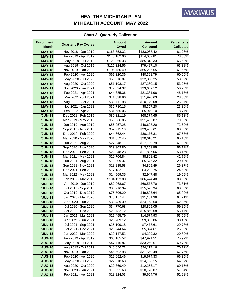| <b>Chart 3: Quarterly Collection</b> |                             |                              |                                   |                                |  |  |
|--------------------------------------|-----------------------------|------------------------------|-----------------------------------|--------------------------------|--|--|
| <b>Enrollment</b><br><b>Month</b>    | <b>Quarterly Pay Cycles</b> | <b>Amount</b><br><b>Owed</b> | <b>Amount</b><br><b>Collected</b> | Percentage<br><b>Collected</b> |  |  |
| <b>'MAY-18</b>                       | Nov 2018 - Jan 2019         | \$163,753.32                 | \$133,068.42                      | 81.26%                         |  |  |
| <b>'MAY-18</b>                       | Feb 2019 - Apr 2019         | \$145,182.00                 | \$114,082.81                      | 78.58%                         |  |  |
| <b>'MAY-18</b>                       | May 2019 - Jul 2019         | \$128,066.33                 | \$85,318.33                       | 66.62%                         |  |  |
| <b>'MAY-18</b>                       | Aug 2019 - Oct 2019         | \$125,324.56                 | \$79,427.10                       | 63.38%                         |  |  |
| <b>'MAY-18</b>                       | Nov 2019 - Jan 2020         | \$105,750.40                 | \$65,206.55                       | 61.66%                         |  |  |
| <b>'MAY-18</b>                       | Feb 2020 - Apr 2020         | \$67,320.36                  | \$40,391.79                       | 60.00%                         |  |  |
| <b>'MAY-18</b>                       | May 2020 - Jul 2020         | \$56,616.87                  | \$32,850.25                       | 58.02%                         |  |  |
| <b>'MAY-18</b>                       | Aug 2020 - Oct 2020         | \$51,193.17                  | \$27,260.15                       | 53.25%                         |  |  |
| <b>'MAY-18</b>                       | Nov 2020 - Jan 2021         | \$47,034.32                  | \$23,609.12                       | 50.20%                         |  |  |
| <b>'MAY-18</b>                       | Feb 2021 - Apr 2021         | \$44,385.36                  | \$21,381.98                       | 48.17%                         |  |  |
| <b>'MAY-18</b>                       | May 2021 - Jul 2021         | \$41,638.96                  | \$11,920.63                       | 28.63%                         |  |  |
| <b>'MAY-18</b>                       | Aug 2021 - Oct 2021         | \$38,711.98                  | \$10,170.08                       | 26.27%                         |  |  |
| <b>'MAY-18</b>                       | Nov 2021 - Jan 2022         | \$35,780.15                  | \$8,357.20                        | 23.36%                         |  |  |
| <b>'MAY-18</b>                       | Feb 2022 - Apr 2022         | \$31,655.06                  | \$5,940.10                        | 18.77%                         |  |  |
| <b>'JUN-18</b>                       | Dec 2018 - Feb 2019         | \$80,321.19                  | \$68,374.65                       | 85.13%                         |  |  |
| <b>'JUN-18</b>                       | Mar 2019 - May 2019         | \$65,066.86                  | \$51,405.87                       | 79.00%                         |  |  |
| <b>'JUN-18</b>                       | Jun 2019 - Aug 2019         | \$56,057.28                  | \$40,698.20                       | 72.60%                         |  |  |
| <b>'JUN-18</b>                       | Sep 2019 - Nov 2019         | \$57,215.19                  | \$39,407.61                       | 68.88%                         |  |  |
| <b>'JUN-18</b>                       | Dec 2019 - Feb 2020         | \$44,662.44                  | \$30,176.31                       | 67.57%                         |  |  |
| <b>'JUN-18</b>                       | Mar 2020 - May 2020         | \$31,652.45                  | \$20,616.21                       | 65.13%                         |  |  |
| <b>'JUN-18</b>                       | Jun 2020 - Aug 2020         | \$27,948.71                  | \$17,109.79                       | 61.22%                         |  |  |
| <b>'JUN-18</b>                       | Sep 2020 - Nov 2020         | \$23,803.80                  | \$13,358.55                       | 56.12%                         |  |  |
| <b>'JUN-18</b>                       | Dec 2020 - Feb 2021         | \$22,248.23                  | \$11,827.06                       | 53.16%                         |  |  |
| <b>'JUN-18</b>                       | Mar 2021 - May 2021         | \$20,706.84                  | \$8,861.42                        | 42.79%                         |  |  |
| <b>'JUN-18</b>                       | Jun 2021 - Aug 2021         | \$18,909.37                  | \$5,576.32                        | 29.49%                         |  |  |
| <b>'JUN-18</b>                       | Sep 2021 - Nov 2021         | \$18,235.58                  | \$4,809.49                        | 26.37%                         |  |  |
| <b>'JUN-18</b>                       | Dec 2021 - Feb 2022         | \$17,182.11                  | \$4,222.75                        | 24.58%                         |  |  |
| <b>'JUN-18</b>                       | Mar 2022 - May 2022         | \$14,969.35                  | \$2,947.48                        | 19.69%                         |  |  |
| <b>'JUL-18</b>                       | Jan 2019 - Mar 2019         | \$104,123.80                 | \$86,474.40                       | 83.05%                         |  |  |
| <b>'JUL-18</b>                       | Apr 2019 - Jun 2019         | \$82,068.67                  | \$60,578.70                       | 73.81%                         |  |  |
| <b>'JUL-18</b>                       | Jul 2019 - Sep 2019         | \$80,716.34                  | \$55,576.94                       | 68.85%                         |  |  |
| <b>'JUL-18</b>                       | Oct 2019 - Dec 2019         | \$75,706.20                  | \$49,893.64                       | 65.90%                         |  |  |
| <b>'JUL-18</b>                       | Jan 2020 - Mar 2020         | \$48,157.44                  | \$31,161.36                       | 64.71%                         |  |  |
| <b>'JUL-18</b>                       | Apr 2020 - Jun 2020         | \$38,439.39                  | \$24,163.50                       | 62.86%                         |  |  |
| <b>'JUL-18</b>                       | Jul 2020 - Sep 2020         | \$34,770.68                  | \$20,809.05                       | 59.85%                         |  |  |
| <b>'JUL-18</b>                       | Oct 2020 - Dec 2020         | \$28,732.72                  | \$15,850.68                       | 55.17%                         |  |  |
| <b>'JUL-18</b>                       | Jan 2021 - Mar 2021         | \$27,455.79                  | \$14,574.93                       | 53.09%                         |  |  |
| <b>'JUL-18</b>                       | Apr 2021 - Jun 2021         | \$25,709.12                  | \$9,886.86                        | 38.46%                         |  |  |
| <b>'JUL-18</b>                       | Jul 2021 - Sep 2021         | \$25,109.18                  | \$7,478.61                        | 29.78%                         |  |  |
| <b>'JUL-18</b>                       | Oct 2021 - Dec 2021         | \$23,244.64                  | \$5,824.61                        | 25.06%                         |  |  |
| <b>'JUL-18</b>                       | Jan 2022 - Mar 2022         | \$20,147.52                  | \$4,209.32                        | 20.89%                         |  |  |
| <b>'AUG-18</b>                       | Feb 2019 - Apr 2019         | \$63,185.52                  | \$47,971.51                       | 75.92%                         |  |  |
| <b>'AUG-18</b>                       | May 2019 - Jul 2019         | \$47,716.87                  | \$33,269.51                       | 69.72%                         |  |  |
| <b>'AUG-18</b>                       | Aug 2019 - Oct 2019         | \$48,656.72                  | \$34,117.16                       | 70.12%                         |  |  |
| <b>'AUG-18</b>                       | Nov 2019 - Jan 2020         | \$46,592.98                  | \$31,569.49                       | 67.76%                         |  |  |
| <b>'AUG-18</b>                       | Feb 2020 - Apr 2020         | \$29,652.46                  | \$19,674.33                       | 66.35%                         |  |  |
| <b>'AUG-18</b>                       | May 2020 - Jul 2020         | \$22,918.63                  | \$14,798.15                       | 64.57%                         |  |  |
| <b>'AUG-18</b>                       | Aug 2020 - Oct 2020         | \$20,369.49                  | \$12,253.17                       | 60.15%                         |  |  |
| <b>'AUG-18</b>                       | Nov 2020 - Jan 2021         | \$18,621.68                  | \$10,770.07                       | 57.84%                         |  |  |
| <b>'AUG-18</b>                       | Feb 2021 - Apr 2021         | \$18,224.03                  | \$9,654.76                        | 52.98%                         |  |  |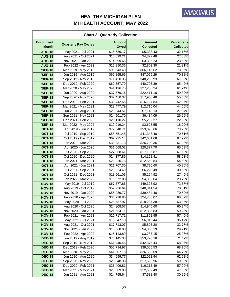| <b>Chart 3: Quarterly Collection</b> |                             |                              |                                   |                                |  |  |
|--------------------------------------|-----------------------------|------------------------------|-----------------------------------|--------------------------------|--|--|
| <b>Enrollment</b><br><b>Month</b>    | <b>Quarterly Pay Cycles</b> | <b>Amount</b><br><b>Owed</b> | <b>Amount</b><br><b>Collected</b> | Percentage<br><b>Collected</b> |  |  |
| <b>'AUG-18</b>                       | May 2021 - Jul 2021         | \$16,589.17                  | \$5,333.43                        | 32.15%                         |  |  |
| <b>'AUG-18</b>                       | Aug 2021 - Oct 2021         | \$15,699.21                  | \$4,377.48                        | 27.88%                         |  |  |
| <b>'AUG-18</b>                       | Nov 2021 - Jan 2022         | $\overline{$}14,399.66$      | \$3,395.23                        | 23.58%                         |  |  |
| <b>'AUG-18</b>                       | Feb 2022 - Apr 2022         | \$12,850.36                  | \$2,802.30                        | 21.81%                         |  |  |
| <b>'SEP-18</b>                       | Mar 2019 - May 2019         | \$90,543.48                  | \$66,146.62                       | 73.06%                         |  |  |
| <b>'SEP-18</b>                       | Jun 2019 - Aug 2019         | \$66,855.66                  | \$47,056.29                       | 70.38%                         |  |  |
| <b>'SEP-18</b>                       | Sep 2019 - Nov 2019         | \$71,450.36                  | \$48,253.93                       | 67.53%                         |  |  |
| <b>'SEP-18</b>                       | Dec 2019 - Feb 2020         | \$62,357.79                  | \$40,793.39                       | 65.42%                         |  |  |
| <b>'SEP-18</b>                       | Mar 2020 - May 2020         | \$44,196.75                  | \$27,288.24                       | 61.74%                         |  |  |
| <b>'SEP-18</b>                       | Jun 2020 - Aug 2020         | \$37,779.16                  | \$22,411.16                       | 59.32%                         |  |  |
| <b>'SEP-18</b>                       | Sep 2020 - Nov 2020         | \$32,450.37                  | \$17,960.48                       | 55.35%                         |  |  |
| <b>'SEP-18</b>                       | Dec 2020 - Feb 2021         | \$30,442.55                  | \$16,124.84                       | 52.97%                         |  |  |
| <b>'SEP-18</b>                       | Mar 2021 - May 2021         | \$28,477.79                  | \$12,716.04                       | 44.65%                         |  |  |
| <b>'SEP-18</b>                       | Jun 2021 - Aug 2021         | \$25,844.51                  | \$7,143.13                        | 27.64%                         |  |  |
| <b>'SEP-18</b>                       | Sep 2021 - Nov 2021         | \$24,501.70                  | \$6,434.09                        | 26.26%                         |  |  |
| <b>'SEP-18</b>                       | Dec 2021 - Feb 2022         | \$23,110.27                  | \$5,292.37                        | 22.90%                         |  |  |
| <b>'SEP-18</b>                       | Mar 2022 - May 2022         | \$19,919.24                  | \$3,625.55                        | 18.20%                         |  |  |
| <b>'OCT-18</b>                       | Apr 2019 - Jun 2019         | \$72,540.71                  | \$53,098.66                       | 73.20%                         |  |  |
| <b>'OCT-18</b>                       | Jul 2019 - Sep 2019         | \$58,551.48                  | \$41,343.48                       | 70.61%                         |  |  |
| <b>'OCT-18</b>                       | Oct 2019 - Dec 2019         | \$62,725.14                  | \$42,601.68                       | 67.92%                         |  |  |
| <b>'OCT-18</b>                       | Jan 2020 - Mar 2020         | \$39,831.13                  | \$26,700.36                       | 67.03%                         |  |  |
| <b>'OCT-18</b>                       | Apr 2020 - Jun 2020         | \$31,068.02                  | \$20,377.70                       | 65.59%                         |  |  |
| <b>'OCT-18</b>                       | Jul 2020 - Sep 2020         | \$27,858.61                  | $\overline{$}17,186.87$           | 61.69%                         |  |  |
| <b>'OCT-18</b>                       | Oct 2020 - Dec 2020         | \$24,177.86                  | \$14,152.41                       | 58.53%                         |  |  |
| <b>'OCT-18</b>                       | Jan 2021 - Mar 2021         | \$23,020.78                  | \$12,569.84                       | 54.60%                         |  |  |
| <b>'OCT-18</b>                       | Apr 2021 - Jun 2021         | \$21,707.30                  | \$8,726.60                        | 40.20%                         |  |  |
| <b>'OCT-18</b>                       | Jul 2021 - Sep 2021         | \$20,324.49                  | \$6,228.49                        | 30.65%                         |  |  |
| <b>'OCT-18</b>                       | Oct 2021 - Dec 2021         | \$18,961.06                  | \$5,194.92                        | 27.40%                         |  |  |
| <b>'OCT-18</b>                       | Jan 2022 - Mar 2022         | \$16,872.88                  | \$4,002.04                        | 23.72%                         |  |  |
| <b>'NOV-18</b>                       | May 2019 - Jul 2019         | \$67,877.86                  | \$49,326.92                       | 72.67%                         |  |  |
| <b>'NOV-18</b>                       | Aug 2019 - Oct 2019         | \$57,926.64                  | \$40,841.54                       | 70.51%                         |  |  |
| <b>'NOV-18</b>                       | Nov 2019 - Jan 2020         | \$55,989.77                  | \$39,484.40                       | 70.52%                         |  |  |
| <b>'NOV-18</b>                       | Feb 2020 - Apr 2020         | \$36,228.80                  | \$24,768.07                       | 68.37%                         |  |  |
| <b>'NOV-18</b>                       | May 2020 - Jul 2020         | \$28,787.97                  | \$18,237.38                       | 63.35%                         |  |  |
| <b>'NOV-18</b>                       | Aug 2020 - Oct 2020         | \$24,808.57                  | \$14,945.60                       | 60.24%                         |  |  |
| <b>'NOV-18</b>                       | Nov 2020 - Jan 2021         | \$21,664.11                  | \$12,835.83                       | 59.25%                         |  |  |
| <b>'NOV-18</b>                       | Feb 2021 - Apr 2021         | \$20,717.71                  | \$11,892.95                       | 57.40%                         |  |  |
| <b>'NOV-18</b>                       | May 2021 - Jul 2021         | \$18,947.13                  | \$6,910.44                        | 36.47%                         |  |  |
| <b>'NOV-18</b>                       | Aug 2021 - Oct 2021         | \$17,713.07                  | \$5,805.20                        | 32.77%                         |  |  |
| <b>'NOV-18</b>                       | Nov 2021 - Jan 2022         | \$16,668.08                  | \$4,868.19                        | 29.21%                         |  |  |
| <b>'NOV-18</b>                       | Feb 2022 - Apr 2022         | \$15,113.89                  | \$3,787.15                        | 25.06%                         |  |  |
| <b>'DEC-18</b>                       | Jun 2019 - Aug 2019         | \$75,145.38                  | \$53,720.16                       | 71.49%                         |  |  |
| <b>'DEC-18</b>                       | Sep 2019 - Nov 2019         | \$61,440.48                  | \$42,375.44                       | 68.97%                         |  |  |
| <b>'DEC-18</b>                       | Dec 2019 - Feb 2020         | \$56,734.97                  | \$39,005.53                       | 68.75%                         |  |  |
| <b>'DEC-18</b>                       | Mar 2020 - May 2020         | \$41,007.18                  | \$26,538.69                       | 64.72%                         |  |  |
| <b>'DEC-18</b>                       | Jun 2020 - Aug 2020         | \$34,999.77                  | \$22,021.94                       | 62.92%                         |  |  |
| <b>'DEC-18</b>                       | Sep 2020 - Nov 2020         | \$29,948.33                  | \$17,696.96                       | 59.09%                         |  |  |
| <b>'DEC-18</b>                       | Dec 2020 - Feb 2021         | \$28,409.81                  | \$16,218.49                       | 57.09%                         |  |  |
| <b>'DEC-18</b>                       | Mar 2021 - May 2021         | \$26,689.03                  | \$12,689.49                       | 47.55%                         |  |  |
| <b>'DEC-18</b>                       | Jun 2021 - Aug 2021         | \$24,755.64                  | \$7,588.40                        | 30.65%                         |  |  |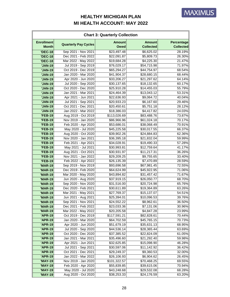| <b>Chart 3: Quarterly Collection</b> |                             |                              |                                   |                                       |  |  |
|--------------------------------------|-----------------------------|------------------------------|-----------------------------------|---------------------------------------|--|--|
| <b>Enrollment</b><br><b>Month</b>    | <b>Quarterly Pay Cycles</b> | <b>Amount</b><br><b>Owed</b> | <b>Amount</b><br><b>Collected</b> | <b>Percentage</b><br><b>Collected</b> |  |  |
| <b>'DEC-18</b>                       | Sep 2021 - Nov 2021         | \$23,497.48                  | \$6,625.02                        | 28.19%                                |  |  |
| <b>'DEC-18</b>                       | Dec 2021 - Feb 2022         | \$22,091.87                  | \$5,809.73                        | 26.30%                                |  |  |
| <b>'DEC-18</b>                       | Mar 2022 - May 2022         | \$19,684.28                  | \$4,225.30                        | 21.47%                                |  |  |
| <b>'JAN-19</b>                       | Jul 2019 - Sep 2019         | \$76,029.17                  | \$54,715.98                       | 71.97%                                |  |  |
| 'JAN-19                              | Oct 2019 - Dec 2019         | \$65,294.27                  | \$44,754.97                       | 68.54%                                |  |  |
| 'JAN-19                              | Jan 2020 - Mar 2020         | \$41,904.37                  | \$28,680.15                       | 68.44%                                |  |  |
| <b>'JAN-19</b>                       | Apr 2020 - Jun 2020         | \$33,206.27                  | \$21,297.62                       | 64.14%                                |  |  |
| 'JAN-19                              | Jul 2020 - Sep 2020         | \$30,137.65                  | \$18,132.65                       | 60.17%                                |  |  |
| <b>'JAN-19</b>                       | Oct 2020 - Dec 2020         | \$25,910.28                  | \$14,455.03                       | 55.79%                                |  |  |
| <b>'JAN-19</b>                       | Jan 2021 - Mar 2021         | \$24,464.39                  | \$13,043.12                       | 53.31%                                |  |  |
| 'JAN-19                              | Apr 2021 - Jun 2021         | \$22,636.93                  | \$9,064.72                        | 40.04%                                |  |  |
| 'JAN-19                              | Jul 2021 - Sep 2021         | \$20,933.23                  | \$6,167.60                        | 29.46%                                |  |  |
| <b>'JAN-19</b>                       | Oct 2021 - Dec 2021         | \$20,450.61                  | \$5,751.18                        | 28.12%                                |  |  |
| <b>'JAN-19</b>                       | Jan 2022 - Mar 2022         | \$18,386.03                  | \$4,417.82                        | 24.03%                                |  |  |
| <b>'FEB-19</b>                       | Aug 2019 - Oct 2019         | \$113,026.69                 | \$83,488.76                       | 73.87%                                |  |  |
| <b>'FEB-19</b>                       | Nov 2019 - Jan 2020         | \$86,966.96                  | \$61,024.18                       | 70.17%                                |  |  |
| <b>'FEB-19</b>                       | Feb 2020 - Apr 2020         | \$53,686.01                  | \$38,068.49                       | 70.91%                                |  |  |
| <b>'FEB-19</b>                       | May 2020 - Jul 2020         | \$45,225.58                  | \$30,017.55                       | 66.37%                                |  |  |
| <b>'FEB-19</b>                       | Aug 2020 - Oct 2020         | \$39,902.26                  | \$24,884.83                       | 62.36%                                |  |  |
| <b>'FEB-19</b>                       | Nov 2020 - Jan 2021         | \$36,395.18                  | \$21,832.04                       | 59.99%                                |  |  |
| <b>'FEB-19</b>                       | Feb 2021 - Apr 2021         | \$34,028.91                  | \$19,490.33                       | 57.28%                                |  |  |
| <b>'FEB-19</b>                       | May 2021 - Jul 2021         | \$30,993.81                  | \$12,759.64                       | 41.17%                                |  |  |
| <b>'FEB-19</b>                       | Aug 2021 - Oct 2021         | \$30,931.97                  | \$11,217.31                       | 36.26%                                |  |  |
| <b>'FEB-19</b>                       | Nov 2021 - Jan 2022         | \$29,209.25                  | \$9,755.65                        | 33.40%                                |  |  |
| <b>'FEB-19</b>                       | Feb 2022 - Apr 2022         | \$26,135.39                  | \$7,470.89                        | 28.59%                                |  |  |
| <b>'MAR-19</b>                       | Sep 2019 - Nov 2019         | \$93,696.58                  | \$67,981.45                       | 72.55%                                |  |  |
| <b>'MAR-19</b>                       | Dec 2019 - Feb 2020         | \$64,624.99                  | \$45,922.95                       | 71.06%                                |  |  |
| <b>'MAR-19</b>                       | Mar 2020 - May 2020         | \$43,894.82                  | \$31,457.42                       | 71.67%                                |  |  |
| 'MAR-19                              | Jun 2020 - Aug 2020         | \$37,919.15                  | \$26,050.77                       | 68.70%                                |  |  |
| <b>'MAR-19</b>                       | Sep 2020 - Nov 2020         | \$31,516.00                  | \$20,724.98                       | 65.76%                                |  |  |
| <b>'MAR-19</b>                       | Dec 2020 - Feb 2021         | \$30,611.89                  | \$19,364.89                       | 63.26%                                |  |  |
| <b>'MAR-19</b>                       | Mar 2021 - May 2021         | \$27,769.37                  | \$15,137.07                       | 54.51%                                |  |  |
| <b>'MAR-19</b>                       | Jun 2021 - Aug 2021         | \$25,394.01                  | \$10,096.53                       | 39.76%                                |  |  |
| <b>'MAR-19</b>                       | Sep 2021 - Nov 2021         | \$24,552.22                  | \$8,962.61                        | 36.50%                                |  |  |
| <b>'MAR-19</b>                       | Dec 2021 - Feb 2022         | \$23,033.36                  | \$7,131.06                        | 30.96%                                |  |  |
| <b>'MAR-19</b>                       | Mar 2022 - May 2022         | \$20,205.58                  | \$4,847.28                        | 23.99%                                |  |  |
| 'APR-19                              | Oct 2019 - Dec 2019         | \$117,591.21                 | \$82,828.61                       | 70.44%                                |  |  |
| 'APR-19                              | Jan 2020 - Mar 2020         | \$64,702.59                  | \$45,765.15                       | 70.73%                                |  |  |
| 'APR-19                              | Apr 2020 - Jun 2020         | \$51,679.19                  | \$35,631.13                       | 68.95%                                |  |  |
| 'APR-19                              | Jul 2020 - Sep 2020         | \$44,536.14                  | \$28,365.44                       | 63.69%                                |  |  |
| 'APR-19                              | Oct 2020 - Dec 2020         | \$37,385.52                  | \$22,824.09                       | 61.05%                                |  |  |
| 'APR-19                              | Jan 2021 - Mar 2021         | \$35,496.60                  | \$21,292.40                       | 59.98%                                |  |  |
| 'APR-19                              | Apr 2021 - Jun 2021         | \$32,625.85                  | \$15,098.90                       | 46.28%                                |  |  |
| 'APR-19                              | Jul 2021 - Sep 2021         | \$30,597.06                  | \$11,142.92                       | 36.42%                                |  |  |
| 'APR-19                              | Oct 2021 - Dec 2021         | \$29,249.37                  | \$9,360.53                        | 32.00%                                |  |  |
| 'APR-19                              | Jan 2022 - Mar 2022         | \$26,106.93                  | \$6,904.62                        | 26.45%                                |  |  |
| <b>'MAY-19</b>                       | Nov 2019 - Jan 2020         | \$101,322.57                 | \$70,468.25                       | 69.55%                                |  |  |
| <b>'MAY-19</b>                       | Feb 2020 - Apr 2020         | \$55,839.85                  | \$39,615.06                       | 70.94%                                |  |  |
| <b>'MAY-19</b>                       | May 2020 - Jul 2020         | \$43,248.68                  | \$29,532.08                       | 68.28%                                |  |  |
| <b>'MAY-19</b>                       | Aug 2020 - Oct 2020         | \$38,253.33                  | \$24,176.59                       | 63.20%                                |  |  |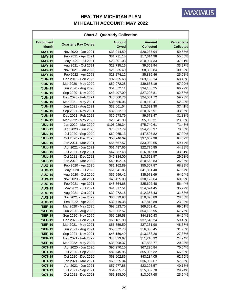| <b>Chart 3: Quarterly Collection</b> |                             |                              |                                   |                                       |  |  |
|--------------------------------------|-----------------------------|------------------------------|-----------------------------------|---------------------------------------|--|--|
| <b>Enrollment</b><br><b>Month</b>    | <b>Quarterly Pay Cycles</b> | <b>Amount</b><br><b>Owed</b> | <b>Amount</b><br><b>Collected</b> | <b>Percentage</b><br><b>Collected</b> |  |  |
| <b>'MAY-19</b>                       | Nov 2020 - Jan 2021         | \$33,914.59                  | \$20,237.94                       | 59.67%                                |  |  |
| <b>'MAY-19</b>                       | Feb 2021 - Apr 2021         | \$31,711.15                  | \$17,614.98                       | 55.55%                                |  |  |
| <b>'MAY-19</b>                       | May 2021 - Jul 2021         | \$29,301.03                  | \$10,904.33                       | 37.21%                                |  |  |
| <b>'MAY-19</b>                       | Aug 2021 - Oct 2021         | \$28,735.16                  | \$9,559.94                        | 33.27%                                |  |  |
| <b>'MAY-19</b>                       | Nov 2021 - Jan 2022         | \$26,935.40                  | \$8,302.84                        | 30.83%                                |  |  |
| <b>'MAY-19</b>                       | Feb 2022 - Apr 2022         | \$23,274.12                  | \$5,836.46                        | 25.08%                                |  |  |
| <b>'JUN-19</b>                       | Dec 2019 - Feb 2020         | \$92,625.63                  | \$63,153.14                       | 68.18%                                |  |  |
| <b>'JUN-19</b>                       | Mar 2020 - May 2020         | \$59,072.28                  | \$39,633.19                       | 67.09%                                |  |  |
| <b>'JUN-19</b>                       | Jun 2020 - Aug 2020         | \$51,572.11                  | \$34,185.25                       | 66.29%                                |  |  |
| <b>'JUN-19</b>                       | Sep 2020 - Nov 2020         | \$43,407.09                  | \$27,208.81                       | 62.68%                                |  |  |
| <b>'JUN-19</b>                       | Dec 2020 - Feb 2021         | \$40,500.76                  | \$24,001.72                       | 59.26%                                |  |  |
| <b>'JUN-19</b>                       | Mar 2021 - May 2021         | \$36,650.06                  | \$19,140.41                       | 52.22%                                |  |  |
| <b>'JUN-19</b>                       | Jun 2021 - Aug 2021         | \$33,661.54                  | \$12,591.30                       | 37.41%                                |  |  |
| <b>'JUN-19</b>                       | Sep 2021 - Nov 2021         | \$32,322.19                  | \$10,976.91                       | 33.96%                                |  |  |
| <b>'JUN-19</b>                       | Dec 2021 - Feb 2022         | \$30,573.79                  | \$9,578.47                        | 31.33%                                |  |  |
| <b>'JUN-19</b>                       | Mar 2022 - May 2022         | \$25,941.90                  | \$5,966.31                        | 23.00%                                |  |  |
| <b>'JUL-19</b>                       | Jan 2020 - Mar 2020         | \$106,029.34                 | \$75,740.61                       | 71.43%                                |  |  |
| <b>'JUL-19</b>                       | Apr 2020 - Jun 2020         | \$76,827.79                  | \$54,263.97                       | 70.63%                                |  |  |
| <b>'JUL-19</b>                       | Jul 2020 - Sep 2020         | \$69,965.13                  | \$47,507.82                       | 67.90%                                |  |  |
| <b>'JUL-19</b>                       | Oct 2020 - Dec 2020         | \$58,746.09                  | \$37,607.98                       | 64.02%                                |  |  |
| <b>'JUL-19</b>                       | Jan 2021 - Mar 2021         | \$55,667.57                  | \$33,089.65                       | 59.44%                                |  |  |
| <b>'JUL-19</b>                       | Apr 2021 - Jun 2021         | \$51,437.66                  | \$22,775.85                       | 44.28%                                |  |  |
| <b>'JUL-19</b>                       | Jul 2021 - Sep 2021         | \$47,887.48                  | \$16,046.58                       | 33.51%                                |  |  |
| <b>'JUL-19</b>                       | Oct 2021 - Dec 2021         | \$45,334.00                  | \$13,568.97                       | 29.93%                                |  |  |
| <b>'JUL-19</b>                       | Jan 2022 - Mar 2022         | \$40,102.14                  | \$10,568.83                       | 26.35%                                |  |  |
| <b>'AUG-19</b>                       | Feb 2020 - Apr 2020         | \$81,162.89                  | \$55,507.87                       | 68.39%                                |  |  |
| <b>'AUG-19</b>                       | May 2020 - Jul 2020         | \$61,941.85                  | \$41,851.40                       | 67.57%                                |  |  |
| 'AUG-19                              | Aug 2020 - Oct 2020         | \$55,999.42                  | \$35,971.69                       | 64.24%                                |  |  |
| <b>'AUG-19</b>                       | Nov 2020 - Jan 2021         | \$49,425.00                  | \$30,122.64                       | 60.95%                                |  |  |
| 'AUG-19                              | Feb 2021 - Apr 2021         | \$45,364.68                  | \$25,602.48                       | 56.44%                                |  |  |
| 'AUG-19                              | May 2021 - Jul 2021         | \$41,517.51                  | \$14,624.45                       | 35.22%                                |  |  |
| <b>'AUG-19</b>                       | Aug 2021 - Oct 2021         | \$39,072.16                  | \$12,357.43                       | 31.63%                                |  |  |
| <b>'AUG-19</b>                       | Nov 2021 - Jan 2022         | \$36,639.93                  | \$10,378.89                       | 28.33%                                |  |  |
| <b>'AUG-19</b>                       | Feb 2022 - Apr 2022         | \$32,719.38                  | \$7,818.89                        | 23.90%                                |  |  |
| <b>'SEP-19</b>                       | Mar 2020 - May 2020         | \$99,623.70                  | \$69,352.41                       | 69.61%                                |  |  |
| <b>'SEP-19</b>                       | Jun 2020 - Aug 2020         | \$79,902.57                  | \$54,135.95                       | 67.75%                                |  |  |
| <b>'SEP-19</b>                       | Sep 2020 - Nov 2020         | \$69,029.58                  | \$44,830.43                       | 64.94%                                |  |  |
| <b>'SEP-19</b>                       | Dec 2020 - Feb 2021         | \$63,181.90                  | \$37,549.24                       | 59.43%                                |  |  |
| <b>'SEP-19</b>                       | Mar 2021 - May 2021         | \$56,359.50                  | \$27,261.90                       | 48.37%                                |  |  |
| <b>'SEP-19</b>                       | Jun 2021 - Aug 2021         | \$50,372.78                  | \$16,066.45                       | 31.90%                                |  |  |
| <b>'SEP-19</b>                       | Sep 2021 - Nov 2021         | \$48,159.49                  | \$13,183.20                       | 27.37%                                |  |  |
| <b>'SEP-19</b>                       | Dec 2021 - Feb 2022         | \$45,323.67                  | \$11,210.92                       | 24.74%                                |  |  |
| <b>'SEP-19</b>                       | Mar 2022 - May 2022         | \$38,998.37                  | \$7,888.77                        | 20.23%                                |  |  |
| <b>'OCT-19</b>                       | Apr 2020 - Jun 2020         | \$95,270.10                  | \$67,295.84                       | 70.64%                                |  |  |
| <b>'OCT-19</b>                       | Jul 2020 - Sep 2020         | \$82,745.95                  | \$55,096.32                       | 66.58%                                |  |  |
| <b>'OCT-19</b>                       | Oct 2020 - Dec 2020         | \$68,902.86                  | \$43,234.05                       | 62.75%                                |  |  |
| <b>'OCT-19</b>                       | Jan 2021 - Mar 2021         | \$63,825.34                  | \$36,902.67                       | 57.82%                                |  |  |
| <b>'OCT-19</b>                       | Apr 2021 - Jun 2021         | \$57,977.88                  | \$23,295.57                       | 40.18%                                |  |  |
| <b>'OCT-19</b>                       | Jul 2021 - Sep 2021         | \$54,255.75                  | \$15,862.70                       | 29.24%                                |  |  |
| <b>'OCT-19</b>                       | Oct 2021 - Dec 2021         | \$51,158.00                  | \$13,067.68                       | 25.54%                                |  |  |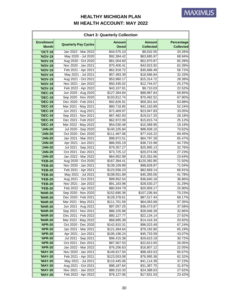| <b>Chart 3: Quarterly Collection</b> |                             |                              |                                   |                                |  |  |
|--------------------------------------|-----------------------------|------------------------------|-----------------------------------|--------------------------------|--|--|
| <b>Enrollment</b><br><b>Month</b>    | <b>Quarterly Pay Cycles</b> | <b>Amount</b><br><b>Owed</b> | <b>Amount</b><br><b>Collected</b> | Percentage<br><b>Collected</b> |  |  |
| <b>'OCT-19</b>                       | Jan 2022 - Mar 2022         | \$44,575.10                  | \$9,032.55                        | 20.26%                         |  |  |
| <b>'NOV-19</b>                       | May 2020 - Jul 2020         | \$92,384.42                  | \$63,685.97                       | 68.94%                         |  |  |
| <b>'NOV-19</b>                       | Aug 2020 - Oct 2020         | \$81,004.60                  | \$52,970.87                       | 65.39%                         |  |  |
| <b>'NOV-19</b>                       | Nov 2020 - Jan 2021         | \$70,406.41                  | \$43,923.92                       | 62.39%                         |  |  |
| <b>'NOV-19</b>                       | Feb 2021 - Apr 2021         | \$62,918.72                  | \$35,686.49                       | 56.72%                         |  |  |
| <b>'NOV-19</b>                       | May 2021 - Jul 2021         | \$57,483.39                  | \$18,586.84                       | 32.33%                         |  |  |
| <b>'NOV-19</b>                       | Aug 2021 - Oct 2021         | \$53,960.17                  | \$15,314.72                       | 28.38%                         |  |  |
| <b>'NOV-19</b>                       | Nov 2021 - Jan 2022         | \$50,435.02                  | \$12,744.07                       | 25.27%                         |  |  |
| <b>'NOV-19</b>                       | Feb 2022 - Apr 2022         | \$43,107.91                  | \$9,710.03                        | 22.52%                         |  |  |
| <b>'DEC-19</b>                       | Jun 2020 - Aug 2020         | \$127,394.84                 | \$88,987.84                       | 69.85%                         |  |  |
| <b>'DEC-19</b>                       | Sep 2020 - Nov 2020         | \$103,812.74                 | \$70,492.52                       | 67.90%                         |  |  |
| <b>'DEC-19</b>                       | Dec 2020 - Feb 2021         | \$92,826.91                  | \$59,301.64                       | 63.88%                         |  |  |
| <b>'DEC-19</b>                       | Mar 2021 - May 2021         | \$80,718.85                  | \$42,163.89                       | 52.24%                         |  |  |
| <b>'DEC-19</b>                       | Jun 2021 - Aug 2021         | \$72,469.97                  | \$23,947.83                       | 33.05%                         |  |  |
| <b>'DEC-19</b>                       | Sep 2021 - Nov 2021         | \$67,482.93                  | \$19,017.25                       | 28.18%                         |  |  |
| <b>'DEC-19</b>                       | Dec 2021 - Feb 2022         | \$62,972.09                  | \$15,815.74                       | 25.12%                         |  |  |
| <b>'DEC-19</b>                       | Mar 2022 - May 2022         | \$54,030.48                  | \$10,368.90                       | 19.19%                         |  |  |
| <b>'JAN-20</b>                       | Jul 2020 - Sep 2020         | \$140,105.84                 | \$98,938.10                       | 70.62%                         |  |  |
| <b>'JAN-20</b>                       | Oct 2020 - Dec 2020         | \$111,467.06                 | \$77,416.22                       | 69.45%                         |  |  |
| <b>'JAN-20</b>                       | Jan 2021 - Mar 2021         | \$98,972.51                  | \$64,797.28                       | 65.47%                         |  |  |
| <b>'JAN-20</b>                       | Apr 2021 - Jun 2021         | \$86,555.19                  | \$38,715.98                       | 44.73%                         |  |  |
| <b>'JAN-20</b>                       | Jul 2021 - Sep 2021         | \$79,357.27                  | \$25,995.13                       | 32.76%                         |  |  |
| <b>'JAN-20</b>                       | Oct 2021 - Dec 2021         | \$73,725.12                  | \$20,074.06                       | 27.23%                         |  |  |
| <b>'JAN-20</b>                       | Jan 2022 - Mar 2022         | \$64,952.99                  | \$15,352.66                       | 23.64%                         |  |  |
| <b>'FEB-20</b>                       | Aug 2020 - Oct 2020         | \$167,394.41                 | \$120,392.85                      | 71.92%                         |  |  |
| <b>'FEB-20</b>                       | Nov 2020 - Jan 2021         | \$139,109.89                 | \$98,828.87                       | 71.04%                         |  |  |
| <b>'FEB-20</b>                       | Feb 2021 - Apr 2021         | \$123,556.23                 | \$82,669.14                       | 66.91%                         |  |  |
| <b>'FEB-20</b>                       | May 2021 - Jul 2021         | \$108,551.89                 | \$45,355.05                       | 41.78%                         |  |  |
| <b>'FEB-20</b>                       | Aug 2021 - Oct 2021         | \$99,952.54                  | \$36,840.18                       | 36.86%                         |  |  |
| <b>'FEB-20</b>                       | Nov 2021 - Jan 2022         | \$91,183.98                  | \$28,530.27                       | 31.29%                         |  |  |
| <b>'FEB-20</b>                       | Feb 2022 - Apr 2022         | \$80,934.79                  | \$20,959.17                       | 25.90%                         |  |  |
| <b>'MAR-20</b>                       | Sep 2020 - Nov 2020         | \$152,690.38                 | \$107,236.94                      | 70.23%                         |  |  |
| <b>'MAR-20</b>                       | Dec 2020 - Feb 2021         | \$128,378.61                 | \$87,517.44                       | 68.17%                         |  |  |
| <b>'MAR-20</b>                       | Mar 2021 - May 2021         | \$111,701.59                 | \$64,063.68                       | 57.35%                         |  |  |
| <b>'MAR-20</b>                       | Jun 2021 - Aug 2021         | \$97,057.25                  | \$36,473.87                       | 37.58%                         |  |  |
| <b>'MAR-20</b>                       | Sep 2021 - Nov 2021         | \$88,105.98                  | \$28,948.39                       | 32.86%                         |  |  |
| <b>'MAR-20</b>                       | Dec 2021 - Feb 2022         | \$80,127.77                  | \$22,134.14                       | 27.62%                         |  |  |
| <b>'MAR-20</b>                       | Mar 2022 - May 2022         | \$68,895.39                  | \$14,416.34                       | 20.92%                         |  |  |
| <b>'APR-20</b>                       | Oct 2020 - Dec 2020         | \$142,810.31                 | \$96,023.49                       | 67.24%                         |  |  |
| <b>'APR-20</b>                       | Jan 2021 - Mar 2021         | \$121,484.64                 | \$79,192.80                       | 65.19%                         |  |  |
| <b>'APR-20</b>                       | Apr 2021 - Jun 2021         | \$106,196.24                 | \$45,733.59                       | 43.07%                         |  |  |
| 'APR-20                              | Jul 2021 - Sep 2021         | \$96,415.38                  | \$29,623.19                       | 30.72%                         |  |  |
| <b>'APR-20</b>                       | Oct 2021 - Dec 2021         | \$87,567.53                  | \$22,813.55                       | 26.05%                         |  |  |
| <b>'APR-20</b>                       | Jan 2022 - Mar 2022         | \$76,206.63                  | \$16,807.12                       | 22.05%                         |  |  |
| <b>'MAY-20</b>                       | Nov 2020 - Jan 2021         | \$149,917.50                 | \$98,453.53                       | 65.67%                         |  |  |
| <b>'MAY-20</b>                       | Feb 2021 - Apr 2021         | \$123,553.08                 | \$76,995.38                       | 62.32%                         |  |  |
| <b>'MAY-20</b>                       | May 2021 - Jul 2021         | \$110,445.06                 | \$41,114.39                       | 37.23%                         |  |  |
| <b>'MAY-20</b>                       | Aug 2021 - Oct 2021         | \$98,187.64                  | \$31,387.70                       | 31.97%                         |  |  |
| <b>'MAY-20</b>                       | Nov 2021 - Jan 2022         | \$88,310.33                  | \$24,388.63                       | 27.62%                         |  |  |
| <b>'MAY-20</b>                       | Feb 2022 - Apr 2022         | \$76,127.06                  | \$17,831.03                       | 23.42%                         |  |  |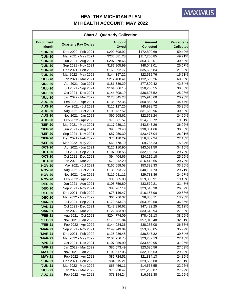| <b>Chart 3: Quarterly Collection</b> |                             |                              |                                   |                                |  |  |
|--------------------------------------|-----------------------------|------------------------------|-----------------------------------|--------------------------------|--|--|
| <b>Enrollment</b><br><b>Month</b>    | <b>Quarterly Pay Cycles</b> | <b>Amount</b><br><b>Owed</b> | <b>Amount</b><br><b>Collected</b> | Percentage<br><b>Collected</b> |  |  |
| <b>'JUN-20</b>                       | Dec 2020 - Feb 2021         | \$290,598.92                 | \$172,890.69                      | 59.49%                         |  |  |
| <b>'JUN-20</b>                       | Mar 2021 - May 2021         | \$235,881.28                 | \$117,250.85                      | 49.71%                         |  |  |
| <b>'JUN-20</b>                       | Jun 2021 - Aug 2021         | \$207,078.66                 | \$63,322.01                       | 30.58%                         |  |  |
| <b>'JUN-20</b>                       | Sep 2021 - Nov 2021         | \$187,905.99                 | \$48,043.01                       | 25.57%                         |  |  |
| <b>'JUN-20</b>                       | Dec 2021 - Feb 2022         | \$168,892.77                 | \$35,606.84                       | 21.08%                         |  |  |
| <b>'JUN-20</b>                       | Mar 2022 - May 2022         | \$144,197.22                 | \$22,515.76                       | 15.61%                         |  |  |
| <b>'JUL-20</b>                       | Jan 2021 - Mar 2021         | \$217,408.41                 | \$132,509.26                      | 60.95%                         |  |  |
| <b>'JUL-20</b>                       | Apr 2021 - Jun 2021         | \$181,589.29                 | \$77,800.42                       | 42.84%                         |  |  |
| <b>'JUL-20</b>                       | Jul 2021 - Sep 2021         | \$164,066.15                 | \$50,200.55                       | 30.60%                         |  |  |
| <b>'JUL-20</b>                       | Oct 2021 - Dec 2021         | \$144,808.19                 | \$36,607.52                       | 25.28%                         |  |  |
| <b>'JUL-20</b>                       | Jan 2022 - Mar 2022         | \$123,545.28                 | \$25,916.60                       | 20.98%                         |  |  |
| <b>'AUG-20</b>                       | Feb 2021 - Apr 2021         | \$136,872.36                 | \$60,863.73                       | 44.47%                         |  |  |
| <b>'AUG-20</b>                       | May 2021 - Jul 2021         | \$116,127.26                 | \$40,998.72                       | 35.30%                         |  |  |
| <b>'AUG-20</b>                       | Aug 2021 - Oct 2021         | \$103,737.52                 | \$31,669.96                       | 30.53%                         |  |  |
| <b>'AUG-20</b>                       | Nov 2021 - Jan 2022         | \$90,608.62                  | \$22,558.24                       | 24.90%                         |  |  |
| <b>'AUG-20</b>                       | Feb 2022 - Apr 2022         | \$75,661.57                  | \$14,763.72                       | 19.51%                         |  |  |
| <b>'SEP-20</b>                       | Mar 2021 - May 2021         | \$117,939.12                 | \$43,543.26                       | 36.92%                         |  |  |
| <b>'SEP-20</b>                       | Jun 2021 - Aug 2021         | \$98,373.48                  | \$30,351.66                       | 30.85%                         |  |  |
| <b>'SEP-20</b>                       | Sep 2021 - Nov 2021         | \$87,250.30                  | \$23,475.04                       | 26.91%                         |  |  |
| <b>'SEP-20</b>                       | Dec 2021 - Feb 2022         | \$76,120.29                  | \$16,882.24                       | 22.18%                         |  |  |
| <b>'SEP-20</b>                       | Mar 2022 - May 2022         | \$63,778.10                  | \$9,785.23                        | 15.34%                         |  |  |
| <b>'OCT-20</b>                       | Apr 2021 - Jun 2021         | \$126,110.90                 | \$43,081.50                       | 34.16%                         |  |  |
| <b>'OCT-20</b>                       | Jul 2021 - Sep 2021         | \$107,908.56                 | \$32,150.24                       | 29.79%                         |  |  |
| <b>'OCT-20</b>                       | Oct 2021 - Dec 2021         | \$94,404.66                  | \$24,216.18                       | 25.65%                         |  |  |
| <b>'OCT-20</b>                       | Jan 2022 - Mar 2022         | \$79,212.20                  | \$16,418.65                       | 20.73%                         |  |  |
| <b>'NOV-20</b>                       | May 2021 - Jul 2021         | \$160,658.08                 | \$53,338.33                       | 33.20%                         |  |  |
| <b>'NOV-20</b>                       | Aug 2021 - Oct 2021         | \$135,093.72                 | \$40,137.73                       | 29.71%                         |  |  |
| <b>'NOV-20</b>                       | Nov 2021 - Jan 2022         | \$119,081.11                 | \$29,733.36                       | 24.97%                         |  |  |
| <b>'NOV-20</b>                       | Feb 2022 - Apr 2022         | \$99,365.00                  | \$19,369.91                       | 19.49%                         |  |  |
| <b>'DEC-20</b>                       | Jun 2021 - Aug 2021         | \$106,759.80                 | \$33,579.21                       | 31.45%                         |  |  |
| <b>'DEC-20</b>                       | Sep 2021 - Nov 2021         | \$88,767.14                  | \$23,543.30                       | 26.52%                         |  |  |
| <b>'DEC-20</b>                       | Dec 2021 - Feb 2022         | \$78,146.47                  | \$16,157.90                       | 20.68%                         |  |  |
| <b>'DEC-20</b>                       | Mar 2022 - May 2022         | \$64,276.32                  | \$8,808.11                        | 13.70%                         |  |  |
| <b>'JAN-21</b>                       | Jul 2021 - Sep 2021         | \$173,543.78                 | \$63,959.50                       | 36.85%                         |  |  |
| 'JAN-21                              | Oct 2021 - Dec 2021         | \$147,836.62                 | \$47,482.25                       | 32.12%                         |  |  |
| <b>'JAN-21</b>                       | Jan 2022 - Mar 2022         | \$122,783.89                 | \$33,542.94                       | 27.32%                         |  |  |
| <b>'FEB-21</b>                       | Aug 2021 - Oct 2021         | \$204,774.09                 | \$78,402.13                       | 38.29%                         |  |  |
| <b>'FEB-21</b>                       | Nov 2021 - Jan 2022         | \$173,231.84                 | \$57,016.48                       | 32.91%                         |  |  |
| <b>'FEB-21</b>                       | Feb 2022 - Apr 2022         | \$144,024.36                 | \$38,286.08                       | 26.58%                         |  |  |
| <b>'MAR-21</b>                       | Sep 2021 - Nov 2021         | \$149,949.04                 | \$53,858.05                       | 35.92%                         |  |  |
| <b>'MAR-21</b>                       | Dec 2021 - Feb 2022         | \$126,236.45                 | \$38,547.32                       | 30.54%                         |  |  |
| <b>'MAR-21</b>                       | Mar 2022 - May 2022         | \$104,956.75                 | \$23,257.13                       | 22.16%                         |  |  |
| 'APR-21                              | Oct 2021 - Dec 2021         | \$107,059.90                 | \$33,459.95                       | 31.25%                         |  |  |
| <b>'APR-21</b>                       | Jan 2022 - Mar 2022         | \$85,673.49                  | \$23,636.56                       | 27.59%                         |  |  |
| <b>'MAY-21</b>                       | Nov 2021 - Jan 2022         | \$109,517.05                 | \$32,005.63                       | 29.22%                         |  |  |
| <b>'MAY-21</b>                       | Feb 2022 - Apr 2022         | \$87,724.51                  | \$21,834.13                       | 24.89%                         |  |  |
| <b>'JUN-21</b>                       | Dec 2021 - Feb 2022         | \$84,515.21                  | \$23,506.00                       | 27.81%                         |  |  |
| <b>'JUN-21</b>                       | Mar 2022 - May 2022         | \$65,456.11                  | \$14,568.55                       | 22.26%                         |  |  |
| <b>'JUL-21</b>                       | Jan 2022 - Mar 2022         | \$75,938.47                  | \$21,253.87                       | 27.99%                         |  |  |
| <b>'AUG-21</b>                       | Feb 2022 - Apr 2022         | \$78,194.24                  | \$16,618.38                       | 21.25%                         |  |  |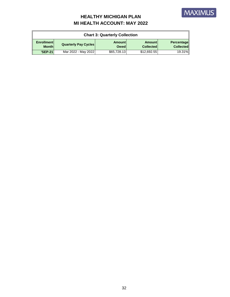

| <b>Chart 3: Quarterly Collection</b> |                             |                              |                                   |                                       |  |
|--------------------------------------|-----------------------------|------------------------------|-----------------------------------|---------------------------------------|--|
| <b>Enrollment</b><br><b>Month</b>    | <b>Quarterly Pay Cycles</b> | <b>Amount</b><br><b>Owed</b> | <b>Amount</b><br><b>Collected</b> | <b>Percentage</b><br><b>Collected</b> |  |
| <b>'SEP-21</b>                       | Mar 2022 - May 2022         | \$65,728.13                  | \$12,692.55                       | 19.31%                                |  |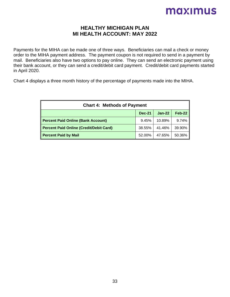#### **HEALTHY MICHIGAN PLAN MI HEALTH ACCOUNT: MAY 2022**

Payments for the MIHA can be made one of three ways. Beneficiaries can mail a check or money order to the MIHA payment address. The payment coupon is not required to send in a payment by mail. Beneficiaries also have two options to pay online. They can send an electronic payment using their bank account, or they can send a credit/debit card payment. Credit/debit card payments started in April 2020.

Chart 4 displays a three month history of the percentage of payments made into the MIHA.

| <b>Chart 4: Methods of Payment</b>             |        |        |        |  |  |
|------------------------------------------------|--------|--------|--------|--|--|
| $Feb-22$<br>$Jan-22$<br><b>Dec-21</b>          |        |        |        |  |  |
| <b>Percent Paid Online (Bank Account)</b>      | 9.45%  | 10.89% | 9.74%  |  |  |
| <b>Percent Paid Online (Credit/Debit Card)</b> | 38.55% | 41.46% | 39.90% |  |  |
| <b>Percent Paid by Mail</b>                    | 52.00% | 47.65% | 50.36% |  |  |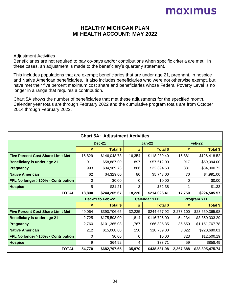#### **HEALTHY MICHIGAN PLAN MI HEALTH ACCOUNT: MAY 2022**

#### Adjustment Activities

Beneficiaries are not required to pay co-pays and/or contributions when specific criteria are met. In these cases, an adjustment is made to the beneficiary's quarterly statement.

This includes populations that are exempt; beneficiaries that are under age 21, pregnant, in hospice and Native American beneficiaries. It also includes beneficiaries who were not otherwise exempt, but have met their five percent maximum cost share and beneficiaries whose Federal Poverty Level is no longer in a range that requires a contribution.

Chart 5A shows the number of beneficiaries that met these adjustments for the specified month. Calendar year totals are through February 2022 and the cumulative program totals are from October 2014 through February 2022.

| <b>Chart 5A: Adjustment Activities</b>   |                  |                 |                     |                 |                    |                 |
|------------------------------------------|------------------|-----------------|---------------------|-----------------|--------------------|-----------------|
|                                          | <b>Dec-21</b>    |                 | <b>Jan-22</b>       |                 |                    | <b>Feb-22</b>   |
|                                          | #                | Total \$        | #                   | Total \$        | #                  | <b>Total \$</b> |
| <b>Five Percent Cost Share Limit Met</b> | 16,829           | \$146,048.73    | 16,354              | \$118,239.40    | 15,881             | \$126,418.52    |
| <b>Beneficiary is under age 21</b>       | 911              | \$58,887.00     | 897                 | \$57,612.00     | 917                | \$59,094.00     |
| Pregnancy                                | 993              | \$34,969.73     | 886                 | \$32,394.63     | 881                | \$34,000.72     |
| <b>Native American</b>                   | 62               | \$4,329.00      | 80                  | \$5,748.00      | 70                 | \$4,991.00      |
| FPL No longer >100% - Contribution       | 0                | \$0.00          | 0                   | \$0.00          | 0                  | \$0.00          |
| <b>Hospice</b>                           | 5                | \$31.21         | 3                   | \$32.38         |                    | \$1.33          |
| <b>TOTAL</b>                             | 18,800           | \$244,265.67    | 18,220              | \$214,026.41    | 17,750             | \$224,505.57    |
|                                          | Dec-21 to Feb-22 |                 | <b>Calendar YTD</b> |                 | <b>Program YTD</b> |                 |
|                                          | #                | <b>Total \$</b> | #                   | <b>Total \$</b> | #                  | <b>Total \$</b> |
| <b>Five Percent Cost Share Limit Met</b> | 49,064           | \$390,706.65    | 32,235              | \$244,657.92    | 2,273,100          | \$23,659,365.98 |
| <b>Beneficiary is under age 21</b>       | 2,725            | \$175,593.00    | 1,814               | \$116,706.00    | 54,234             | \$3,350,303.29  |
| Pregnancy                                | 2,760            | \$101,365.08    | 1,767               | \$66,395.35     | 36,650             | \$1,151,767.78  |
| <b>Native American</b>                   | 212              | \$15,068.00     | 150                 | \$10,739.00     | 3,022              | \$220,680.01    |
| FPL No longer >100% - Contribution       | 0                | \$0.00          | $\Omega$            | \$0.00          | 323                | \$12,500.19     |
| <b>Hospice</b>                           | 9                | \$64.92         | 4                   | \$33.71         | 59                 | \$858.49        |
| <b>TOTAL</b>                             | 54,770           | \$682,797.65    | 35,970              | \$438,531.98    | 2,367,388          | \$28,395,475.74 |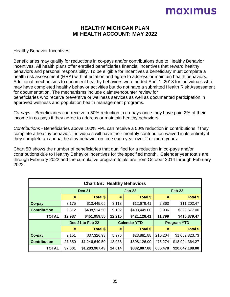#### **HEALTHY MICHIGAN PLAN MI HEALTH ACCOUNT: MAY 2022**

#### Healthy Behavior Incentives

Beneficiaries may qualify for reductions in co-pays and/or contributions due to Healthy Behavior incentives. All health plans offer enrolled beneficiaries financial incentives that reward healthy behaviors and personal responsibility. To be eligible for incentives a beneficiary must complete a health risk assessment (HRA) with attestation and agree to address or maintain health behaviors. Additional mechanisms to document healthy behaviors were added April 1, 2018 for individuals who may have completed healthy behavior activities but do not have a submitted Health Risk Assessment for documentation. The mechanisms include claims/encounter review for beneficiaries who receive preventive or wellness services as well as documented participation in approved wellness and population health management programs.

*Co-pays* – Beneficiaries can receive a 50% reduction in co-pays once they have paid 2% of their income in co-pays if they agree to address or maintain healthy behaviors.

*Contributions* - Beneficiaries above 100% FPL can receive a 50% reduction in contributions if they complete a healthy behavior. Individuals will have their monthly contribution waived in its entirety if they complete an annual healthy behavior on time each year over 2 or more years

Chart 5B shows the number of beneficiaries that qualified for a reduction in co-pays and/or contributions due to Healthy Behavior incentives for the specified month. Calendar year totals are through February 2022 and the cumulative program totals are from October 2014 through February 2022.

| <b>Chart 5B: Healthy Behaviors</b> |               |                  |                     |                 |                    |                 |  |
|------------------------------------|---------------|------------------|---------------------|-----------------|--------------------|-----------------|--|
|                                    | <b>Dec-21</b> |                  |                     | <b>Jan-22</b>   |                    | Feb-22          |  |
|                                    | #             | <b>Total \$</b>  | #                   | <b>Total \$</b> | #                  | <b>Total \$</b> |  |
| Co-pay                             | 3,175         | \$13,445.05      | 3,113               | \$12,679.41     | 2,863              | \$11,202.47     |  |
| <b>Contribution</b>                | 9,812         | \$438,514.50     | 9,102               | \$408,449.00    | 8,936              | \$399,677.00    |  |
| <b>TOTAL</b>                       | 12,987        | \$451,959.55     | 12,215              | \$421,128.41    | 11,799             | \$410,879.47    |  |
|                                    |               | Dec 21 to Feb 22 | <b>Calendar YTD</b> |                 | <b>Program YTD</b> |                 |  |
|                                    | #             | <b>Total \$</b>  | #                   | <b>Total \$</b> | #                  | <b>Total \$</b> |  |
| Co-pay                             | 9,151         | \$37,326.93      | 5,976               | \$23,881.88     | 210,204            | \$1,052,823.73  |  |
| <b>Contribution</b>                | 27,850        | \$1,246,640.50   | 18,038              | \$808,126.00    | 475,274            | \$18,994,364.27 |  |
| <b>TOTAL</b>                       | 37,001        | \$1,283,967.43   | 24,014              | \$832,007.88    | 685,478            | \$20,047,188.00 |  |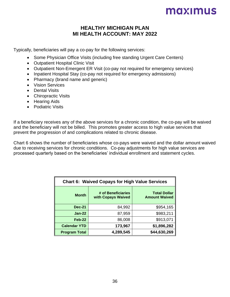#### **HEALTHY MICHIGAN PLAN MI HEALTH ACCOUNT: MAY 2022**

Typically, beneficiaries will pay a co-pay for the following services:

- Some Physician Office Visits (including free standing Urgent Care Centers)
- Outpatient Hospital Clinic Visit
- Outpatient Non-Emergent ER Visit (co-pay not required for emergency services)
- Inpatient Hospital Stay (co-pay not required for emergency admissions)
- Pharmacy (brand name and generic)
- Vision Services
- Dental Visits
- Chiropractic Visits
- Hearing Aids
- Podiatric Visits

If a beneficiary receives any of the above services for a chronic condition, the co-pay will be waived and the beneficiary will not be billed. This promotes greater access to high value services that prevent the progression of and complications related to chronic disease.

Chart 6 shows the number of beneficiaries whose co-pays were waived and the dollar amount waived due to receiving services for chronic conditions. Co-pay adjustments for high value services are processed quarterly based on the beneficiaries' individual enrollment and statement cycles.

| <b>Chart 6: Waived Copays for High Value Services</b> |                                          |                                             |  |  |
|-------------------------------------------------------|------------------------------------------|---------------------------------------------|--|--|
| <b>Month</b>                                          | # of Beneficiaries<br>with Copays Waived | <b>Total Dollar</b><br><b>Amount Waived</b> |  |  |
| <b>Dec-21</b>                                         | 84,992                                   | \$954,165                                   |  |  |
| $Jan-22$                                              | 87,959                                   | \$983,211                                   |  |  |
| Feb-22                                                | 86,008                                   | \$913,071                                   |  |  |
| <b>Calendar YTD</b>                                   | 173,967                                  | \$1,896,282                                 |  |  |
| <b>Program Total</b>                                  | 4,289,545                                | \$44,630,269                                |  |  |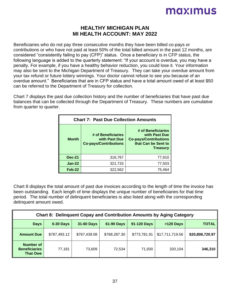#### **HEALTHY MICHIGAN PLAN MI HEALTH ACCOUNT: MAY 2022**

Beneficiaries who do not pay three consecutive months they have been billed co-pays or contributions or who have not paid at least 50% of the total billed amount in the past 12 months, are considered "consistently failing to pay (CFP)" status. Once a beneficiary is in CFP status, the following language is added to the quarterly statement: "If your account is overdue, you may have a penalty. For example, if you have a healthy behavior reduction, you could lose it. Your information may also be sent to the Michigan Department of Treasury. They can take your overdue amount from your tax refund or future lottery winnings. Your doctor cannot refuse to see you because of an overdue amount." Beneficiaries that are in CFP status and have a total amount owed of at least \$50 can be referred to the Department of Treasury for collection.

Chart 7 displays the past due collection history and the number of beneficiaries that have past due balances that can be collected through the Department of Treasury. These numbers are cumulative from quarter to quarter.

| <b>Chart 7: Past Due Collection Amounts</b> |                                                                     |                                                                                                               |  |  |  |
|---------------------------------------------|---------------------------------------------------------------------|---------------------------------------------------------------------------------------------------------------|--|--|--|
| <b>Month</b>                                | # of Beneficiaries<br>with Past Due<br><b>Co-pays/Contributions</b> | # of Beneficiaries<br>with Past Due<br><b>Co-pays/Contributions</b><br>that Can be Sent to<br><b>Treasury</b> |  |  |  |
| <b>Dec-21</b>                               | 316,767                                                             | 77,910                                                                                                        |  |  |  |
| $Jan-22$                                    | 321,733                                                             | 77,503                                                                                                        |  |  |  |
| Feb-22                                      | 322,562                                                             | 75,464                                                                                                        |  |  |  |

Chart 8 displays the total amount of past due invoices according to the length of time the invoice has been outstanding. Each length of time displays the unique number of beneficiaries for that time period. The total number of delinquent beneficiaries is also listed along with the corresponding delinquent amount owed.

| <b>Chart 8: Delinguent Copay and Contribution Amounts by Aging Category</b> |              |                   |                   |              |                 |                 |
|-----------------------------------------------------------------------------|--------------|-------------------|-------------------|--------------|-----------------|-----------------|
| <b>Days</b>                                                                 | $0-30$ Days  | <b>31-60 Days</b> | <b>61-90 Days</b> | 91-120 Days  | >120 Days       | <b>TOTAL</b>    |
| <b>Amount Due</b>                                                           | \$787,493.12 | \$767,439.08      | \$768,287.30      | \$773,781.91 | \$17,711,719.56 | \$20,808,720.97 |
| <b>Number of</b><br><b>Beneficiaries</b><br><b>That Owe</b>                 | 77,181       | 73,609            | 72,534            | 71,930       | 320,104         | 346,310         |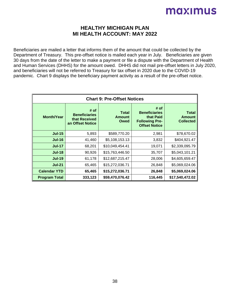#### **HEALTHY MICHIGAN PLAN MI HEALTH ACCOUNT: MAY 2022**

Beneficiaries are mailed a letter that informs them of the amount that could be collected by the Department of Treasury. This pre-offset notice is mailed each year in July. Beneficiaries are given 30 days from the date of the letter to make a payment or file a dispute with the Department of Health and Human Services (DHHS) for the amount owed. DHHS did not mail pre-offset letters in July 2020, and beneficiaries will not be referred to Treasury for tax offset in 2020 due to the COVID-19 pandemic. Chart 9 displays the beneficiary payment activity as a result of the pre-offset notice.

| <b>Chart 9: Pre-Offset Notices</b> |                                                                   |                                       |                                                                                            |                                                   |  |  |
|------------------------------------|-------------------------------------------------------------------|---------------------------------------|--------------------------------------------------------------------------------------------|---------------------------------------------------|--|--|
| <b>Month/Year</b>                  | # of<br><b>Beneficiaries</b><br>that Received<br>an Offset Notice | <b>Total</b><br><b>Amount</b><br>Owed | # of<br><b>Beneficiaries</b><br>that Paid<br><b>Following Pre-</b><br><b>Offset Notice</b> | <b>Total</b><br><b>Amount</b><br><b>Collected</b> |  |  |
| <b>Jul-15</b>                      | 5,893                                                             | \$589,770.20                          | 2,981                                                                                      | \$78,670.02                                       |  |  |
| <b>Jul-16</b>                      | 41,460                                                            | \$5,108,153.13                        | 3,832                                                                                      | \$404,921.47                                      |  |  |
| $Jul-17$                           | 68,201                                                            | \$10,049,454.41                       | 19,071                                                                                     | \$2,339,095.79                                    |  |  |
| <b>Jul-18</b>                      | 90,926                                                            | \$15,763,446.50                       | 35,707                                                                                     | \$5,043,101.21                                    |  |  |
| <b>Jul-19</b>                      | 61,178                                                            | \$12,687,215.47                       | 28,006                                                                                     | \$4,605,659.47                                    |  |  |
| <b>Jul-21</b>                      | 65,465                                                            | \$15,272,036.71                       | 26,848                                                                                     | \$5,069,024.06                                    |  |  |
| <b>Calendar YTD</b>                | 65,465                                                            | \$15,272,036.71                       | 26,848                                                                                     | \$5,069,024.06                                    |  |  |
| <b>Program Total</b>               | 333,123                                                           | \$59,470,076.42                       | 116,445                                                                                    | \$17,540,472.02                                   |  |  |